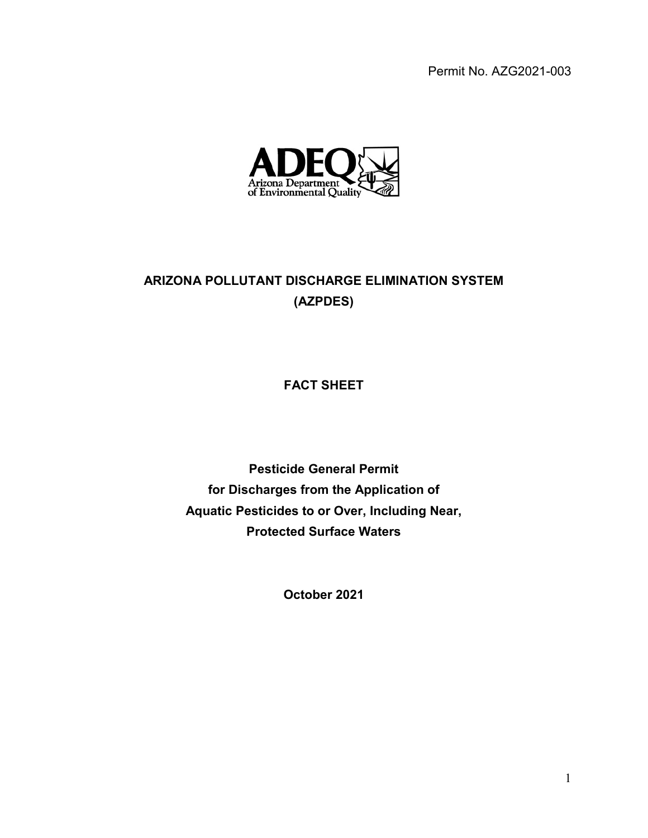Permit No. AZG2021-003



# **ARIZONA POLLUTANT DISCHARGE ELIMINATION SYSTEM (AZPDES)**

**FACT SHEET**

**Pesticide General Permit for Discharges from the Application of Aquatic Pesticides to or Over, Including Near, Protected Surface Waters**

**October 2021**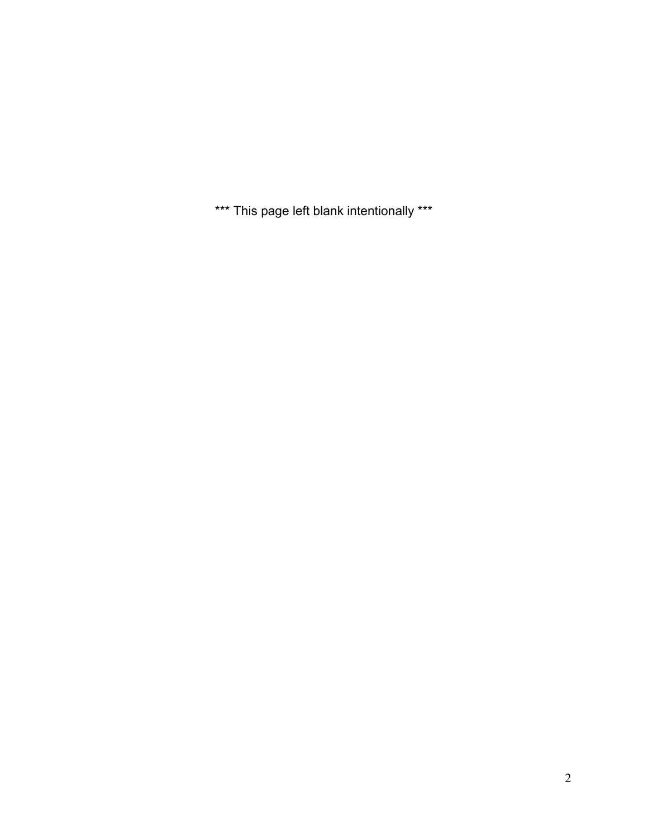\*\*\* This page left blank intentionally \*\*\*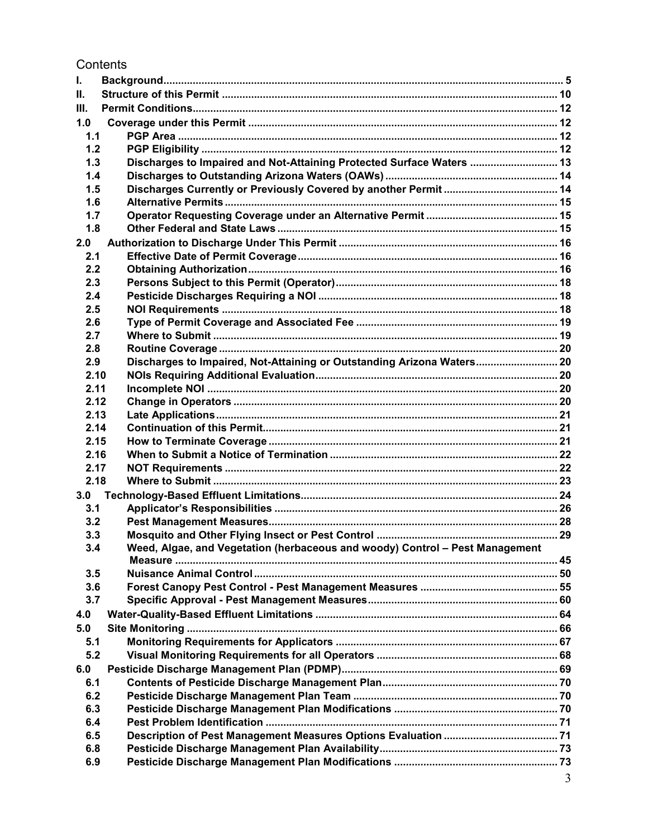Contents

| Ι.         |                                                                              |  |
|------------|------------------------------------------------------------------------------|--|
| Ш.         |                                                                              |  |
| III.       |                                                                              |  |
| 1.0        |                                                                              |  |
| 1.1        |                                                                              |  |
| 1.2        |                                                                              |  |
| 1.3        | Discharges to Impaired and Not-Attaining Protected Surface Waters  13        |  |
| 1.4        |                                                                              |  |
| 1.5        |                                                                              |  |
| 1.6        |                                                                              |  |
| 1.7        |                                                                              |  |
| 1.8        |                                                                              |  |
| 2.0        |                                                                              |  |
| 2.1        |                                                                              |  |
| 2.2        |                                                                              |  |
| 2.3        |                                                                              |  |
| 2.4        |                                                                              |  |
| 2.5        |                                                                              |  |
| 2.6        |                                                                              |  |
| 2.7        |                                                                              |  |
| 2.8        |                                                                              |  |
| 2.9        | Discharges to Impaired, Not-Attaining or Outstanding Arizona Waters 20       |  |
| 2.10       |                                                                              |  |
| 2.11       |                                                                              |  |
| 2.12       |                                                                              |  |
| 2.13       |                                                                              |  |
| 2.14       |                                                                              |  |
| 2.15       |                                                                              |  |
| 2.16       |                                                                              |  |
| 2.17       |                                                                              |  |
| 2.18       |                                                                              |  |
| 3.0        |                                                                              |  |
| 3.1<br>3.2 |                                                                              |  |
| 3.3        |                                                                              |  |
| 3.4        | Weed, Algae, and Vegetation (herbaceous and woody) Control - Pest Management |  |
|            |                                                                              |  |
| 3.5        |                                                                              |  |
| 3.6        |                                                                              |  |
| 3.7        |                                                                              |  |
| 4.0        |                                                                              |  |
| 5.0        |                                                                              |  |
| 5.1        |                                                                              |  |
| 5.2        |                                                                              |  |
| 6.0        |                                                                              |  |
| 6.1        |                                                                              |  |
| 6.2        |                                                                              |  |
| 6.3        |                                                                              |  |
| 6.4        |                                                                              |  |
| 6.5        |                                                                              |  |
| 6.8        |                                                                              |  |
| 6.9        |                                                                              |  |
|            |                                                                              |  |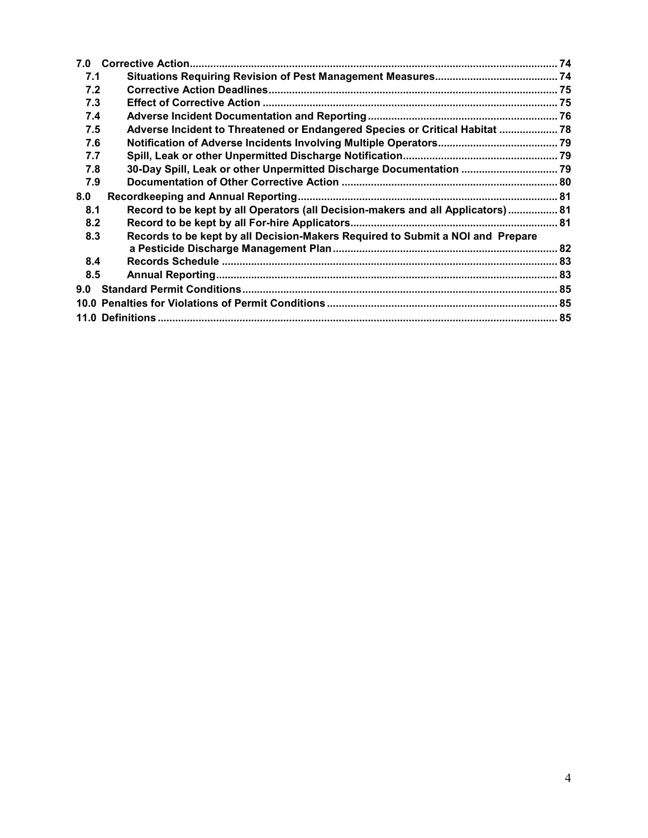| 7.1<br>7.2<br>7.3<br>7.4<br>Adverse Incident to Threatened or Endangered Species or Critical Habitat  78<br>7.5<br>7.6<br>7.7 |  |
|-------------------------------------------------------------------------------------------------------------------------------|--|
|                                                                                                                               |  |
|                                                                                                                               |  |
|                                                                                                                               |  |
|                                                                                                                               |  |
|                                                                                                                               |  |
|                                                                                                                               |  |
|                                                                                                                               |  |
| 30-Day Spill, Leak or other Unpermitted Discharge Documentation  79<br>7.8                                                    |  |
| 7.9                                                                                                                           |  |
| 8.0                                                                                                                           |  |
| Record to be kept by all Operators (all Decision-makers and all Applicators)  81<br>8.1                                       |  |
| 8.2                                                                                                                           |  |
| Records to be kept by all Decision-Makers Required to Submit a NOI and Prepare<br>8.3                                         |  |
|                                                                                                                               |  |
| 8.4                                                                                                                           |  |
| 8.5                                                                                                                           |  |
| 9.0                                                                                                                           |  |
|                                                                                                                               |  |
|                                                                                                                               |  |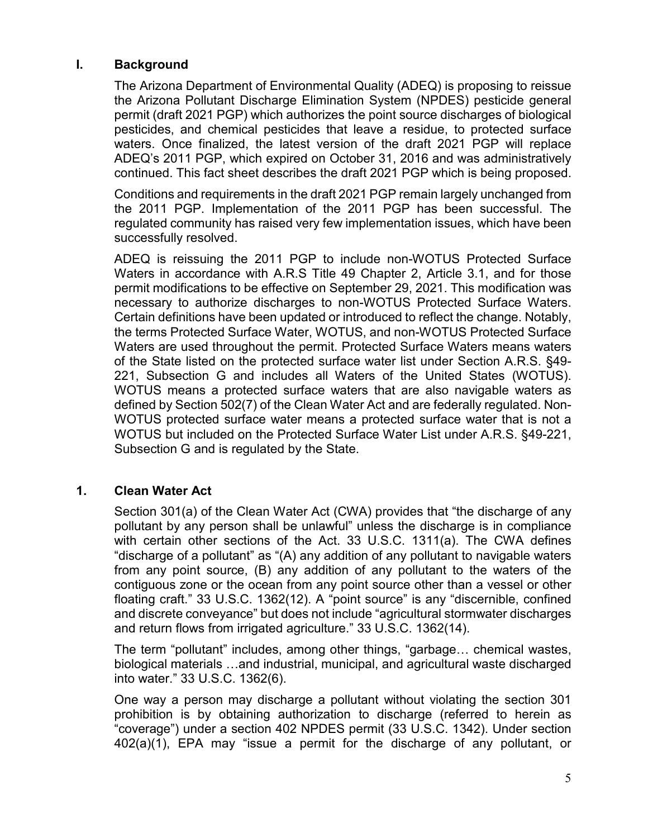# <span id="page-4-0"></span>**I. Background**

The Arizona Department of Environmental Quality (ADEQ) is proposing to reissue the Arizona Pollutant Discharge Elimination System (NPDES) pesticide general permit (draft 2021 PGP) which authorizes the point source discharges of biological pesticides, and chemical pesticides that leave a residue, to protected surface waters. Once finalized, the latest version of the draft 2021 PGP will replace ADEQ's 2011 PGP, which expired on October 31, 2016 and was administratively continued. This fact sheet describes the draft 2021 PGP which is being proposed.

Conditions and requirements in the draft 2021 PGP remain largely unchanged from the 2011 PGP. Implementation of the 2011 PGP has been successful. The regulated community has raised very few implementation issues, which have been successfully resolved.

ADEQ is reissuing the 2011 PGP to include non-WOTUS Protected Surface Waters in accordance with A.R.S Title 49 Chapter 2, Article 3.1, and for those permit modifications to be effective on September 29, 2021. This modification was necessary to authorize discharges to non-WOTUS Protected Surface Waters. Certain definitions have been updated or introduced to reflect the change. Notably, the terms Protected Surface Water, WOTUS, and non-WOTUS Protected Surface Waters are used throughout the permit. Protected Surface Waters means waters of the State listed on the protected surface water list under Section A.R.S. §49- 221, Subsection G and includes all Waters of the United States (WOTUS). WOTUS means a protected surface waters that are also navigable waters as defined by Section 502(7) of the Clean Water Act and are federally regulated. Non-WOTUS protected surface water means a protected surface water that is not a WOTUS but included on the Protected Surface Water List under A.R.S. §49-221, Subsection G and is regulated by the State.

# **1. Clean Water Act**

Section 301(a) of the Clean Water Act (CWA) provides that "the discharge of any pollutant by any person shall be unlawful" unless the discharge is in compliance with certain other sections of the Act. 33 U.S.C. 1311(a). The CWA defines "discharge of a pollutant" as "(A) any addition of any pollutant to navigable waters from any point source, (B) any addition of any pollutant to the waters of the contiguous zone or the ocean from any point source other than a vessel or other floating craft." 33 U.S.C. 1362(12). A "point source" is any "discernible, confined and discrete conveyance" but does not include "agricultural stormwater discharges and return flows from irrigated agriculture." 33 U.S.C. 1362(14).

The term "pollutant" includes, among other things, "garbage… chemical wastes, biological materials …and industrial, municipal, and agricultural waste discharged into water." 33 U.S.C. 1362(6).

One way a person may discharge a pollutant without violating the section 301 prohibition is by obtaining authorization to discharge (referred to herein as "coverage") under a section 402 NPDES permit (33 U.S.C. 1342). Under section 402(a)(1), EPA may "issue a permit for the discharge of any pollutant, or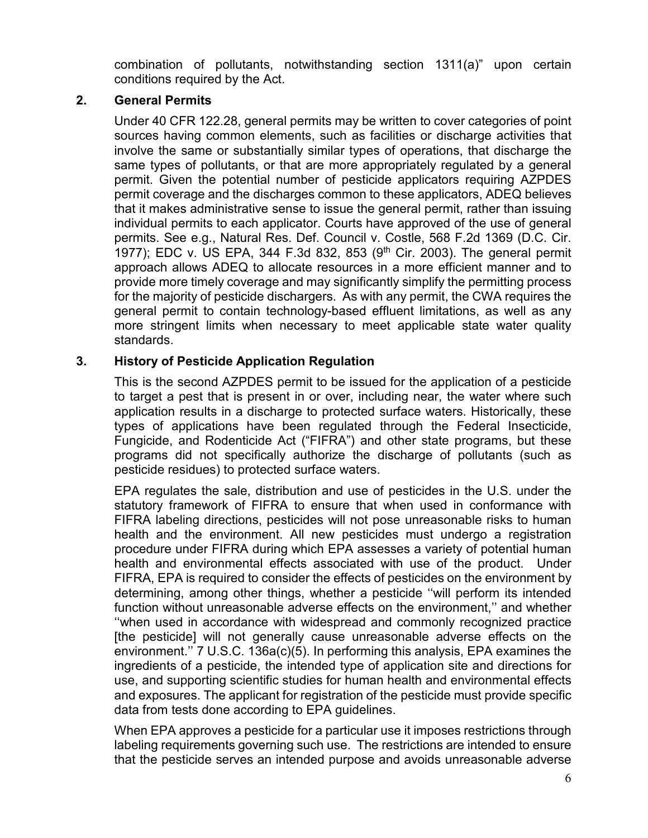combination of pollutants, notwithstanding section 1311(a)" upon certain conditions required by the Act.

# **2. General Permits**

Under 40 CFR 122.28, general permits may be written to cover categories of point sources having common elements, such as facilities or discharge activities that involve the same or substantially similar types of operations, that discharge the same types of pollutants, or that are more appropriately regulated by a general permit. Given the potential number of pesticide applicators requiring AZPDES permit coverage and the discharges common to these applicators, ADEQ believes that it makes administrative sense to issue the general permit, rather than issuing individual permits to each applicator. Courts have approved of the use of general permits. See e.g., Natural Res. Def. Council v. Costle, 568 F.2d 1369 (D.C. Cir. 1977); EDC v. US EPA, 344 F.3d 832, 853  $(9<sup>th</sup>$  Cir. 2003). The general permit approach allows ADEQ to allocate resources in a more efficient manner and to provide more timely coverage and may significantly simplify the permitting process for the majority of pesticide dischargers. As with any permit, the CWA requires the general permit to contain technology-based effluent limitations, as well as any more stringent limits when necessary to meet applicable state water quality standards.

# **3. History of Pesticide Application Regulation**

This is the second AZPDES permit to be issued for the application of a pesticide to target a pest that is present in or over, including near, the water where such application results in a discharge to protected surface waters. Historically, these types of applications have been regulated through the Federal Insecticide, Fungicide, and Rodenticide Act ("FIFRA") and other state programs, but these programs did not specifically authorize the discharge of pollutants (such as pesticide residues) to protected surface waters.

EPA regulates the sale, distribution and use of pesticides in the U.S. under the statutory framework of FIFRA to ensure that when used in conformance with FIFRA labeling directions, pesticides will not pose unreasonable risks to human health and the environment. All new pesticides must undergo a registration procedure under FIFRA during which EPA assesses a variety of potential human health and environmental effects associated with use of the product. Under FIFRA, EPA is required to consider the effects of pesticides on the environment by determining, among other things, whether a pesticide ''will perform its intended function without unreasonable adverse effects on the environment,'' and whether ''when used in accordance with widespread and commonly recognized practice [the pesticide] will not generally cause unreasonable adverse effects on the environment.'' 7 U.S.C. 136a(c)(5). In performing this analysis, EPA examines the ingredients of a pesticide, the intended type of application site and directions for use, and supporting scientific studies for human health and environmental effects and exposures. The applicant for registration of the pesticide must provide specific data from tests done according to EPA guidelines.

When EPA approves a pesticide for a particular use it imposes restrictions through labeling requirements governing such use. The restrictions are intended to ensure that the pesticide serves an intended purpose and avoids unreasonable adverse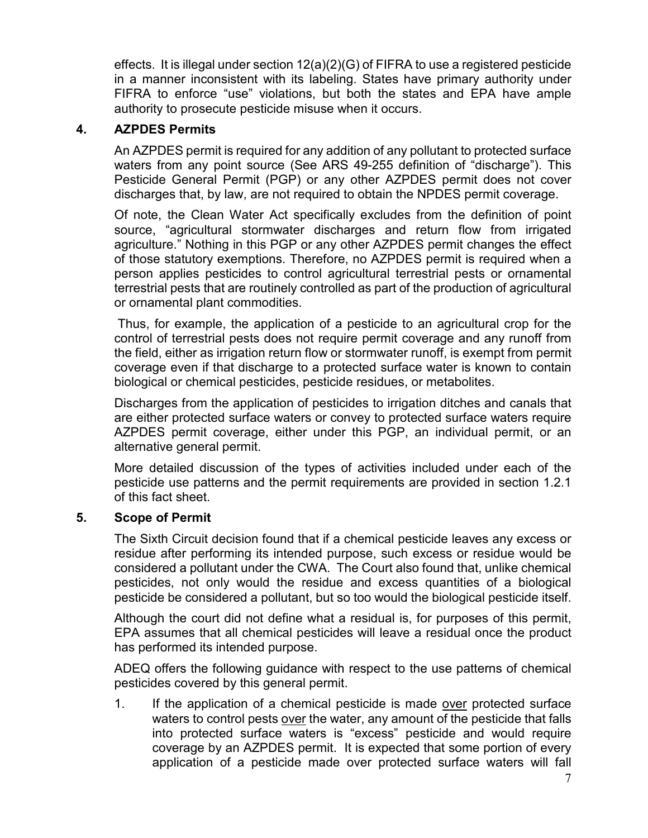effects. It is illegal under section 12(a)(2)(G) of FIFRA to use a registered pesticide in a manner inconsistent with its labeling. States have primary authority under FIFRA to enforce "use" violations, but both the states and EPA have ample authority to prosecute pesticide misuse when it occurs.

## **4. AZPDES Permits**

An AZPDES permit is required for any addition of any pollutant to protected surface waters from any point source (See ARS 49-255 definition of "discharge"). This Pesticide General Permit (PGP) or any other AZPDES permit does not cover discharges that, by law, are not required to obtain the NPDES permit coverage.

Of note, the Clean Water Act specifically excludes from the definition of point source, "agricultural stormwater discharges and return flow from irrigated agriculture." Nothing in this PGP or any other AZPDES permit changes the effect of those statutory exemptions. Therefore, no AZPDES permit is required when a person applies pesticides to control agricultural terrestrial pests or ornamental terrestrial pests that are routinely controlled as part of the production of agricultural or ornamental plant commodities.

Thus, for example, the application of a pesticide to an agricultural crop for the control of terrestrial pests does not require permit coverage and any runoff from the field, either as irrigation return flow or stormwater runoff, is exempt from permit coverage even if that discharge to a protected surface water is known to contain biological or chemical pesticides, pesticide residues, or metabolites.

Discharges from the application of pesticides to irrigation ditches and canals that are either protected surface waters or convey to protected surface waters require AZPDES permit coverage, either under this PGP, an individual permit, or an alternative general permit.

More detailed discussion of the types of activities included under each of the pesticide use patterns and the permit requirements are provided in section 1.2.1 of this fact sheet.

## **5. Scope of Permit**

The Sixth Circuit decision found that if a chemical pesticide leaves any excess or residue after performing its intended purpose, such excess or residue would be considered a pollutant under the CWA. The Court also found that, unlike chemical pesticides, not only would the residue and excess quantities of a biological pesticide be considered a pollutant, but so too would the biological pesticide itself.

Although the court did not define what a residual is, for purposes of this permit, EPA assumes that all chemical pesticides will leave a residual once the product has performed its intended purpose.

ADEQ offers the following guidance with respect to the use patterns of chemical pesticides covered by this general permit.

1. If the application of a chemical pesticide is made over protected surface waters to control pests over the water, any amount of the pesticide that falls into protected surface waters is "excess" pesticide and would require coverage by an AZPDES permit. It is expected that some portion of every application of a pesticide made over protected surface waters will fall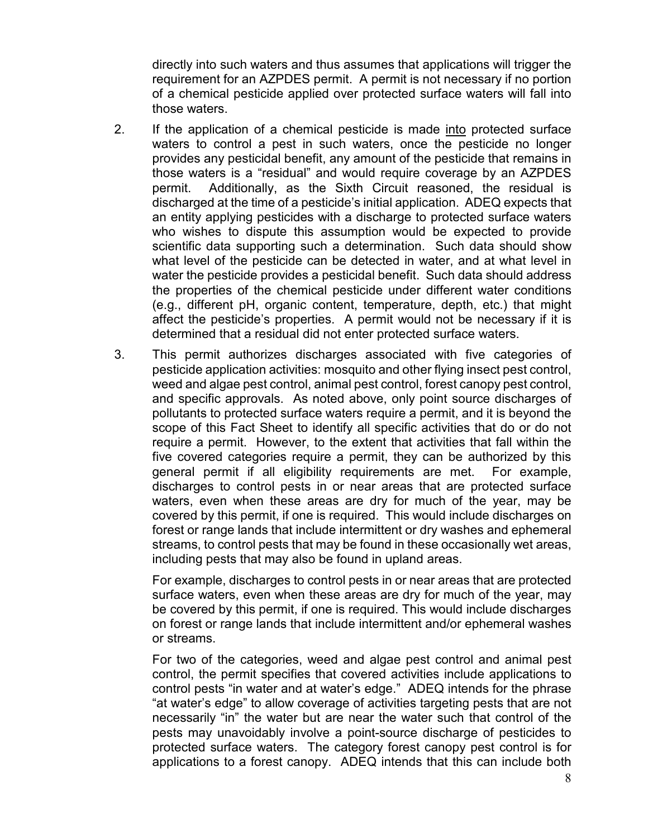directly into such waters and thus assumes that applications will trigger the requirement for an AZPDES permit. A permit is not necessary if no portion of a chemical pesticide applied over protected surface waters will fall into those waters.

- 2. If the application of a chemical pesticide is made into protected surface waters to control a pest in such waters, once the pesticide no longer provides any pesticidal benefit, any amount of the pesticide that remains in those waters is a "residual" and would require coverage by an AZPDES permit. Additionally, as the Sixth Circuit reasoned, the residual is discharged at the time of a pesticide's initial application. ADEQ expects that an entity applying pesticides with a discharge to protected surface waters who wishes to dispute this assumption would be expected to provide scientific data supporting such a determination. Such data should show what level of the pesticide can be detected in water, and at what level in water the pesticide provides a pesticidal benefit. Such data should address the properties of the chemical pesticide under different water conditions (e.g., different pH, organic content, temperature, depth, etc.) that might affect the pesticide's properties. A permit would not be necessary if it is determined that a residual did not enter protected surface waters.
- 3. This permit authorizes discharges associated with five categories of pesticide application activities: mosquito and other flying insect pest control, weed and algae pest control, animal pest control, forest canopy pest control, and specific approvals. As noted above, only point source discharges of pollutants to protected surface waters require a permit, and it is beyond the scope of this Fact Sheet to identify all specific activities that do or do not require a permit. However, to the extent that activities that fall within the five covered categories require a permit, they can be authorized by this general permit if all eligibility requirements are met. For example, discharges to control pests in or near areas that are protected surface waters, even when these areas are dry for much of the year, may be covered by this permit, if one is required. This would include discharges on forest or range lands that include intermittent or dry washes and ephemeral streams, to control pests that may be found in these occasionally wet areas, including pests that may also be found in upland areas.

For example, discharges to control pests in or near areas that are protected surface waters, even when these areas are dry for much of the year, may be covered by this permit, if one is required. This would include discharges on forest or range lands that include intermittent and/or ephemeral washes or streams.

For two of the categories, weed and algae pest control and animal pest control, the permit specifies that covered activities include applications to control pests "in water and at water's edge." ADEQ intends for the phrase "at water's edge" to allow coverage of activities targeting pests that are not necessarily "in" the water but are near the water such that control of the pests may unavoidably involve a point-source discharge of pesticides to protected surface waters. The category forest canopy pest control is for applications to a forest canopy. ADEQ intends that this can include both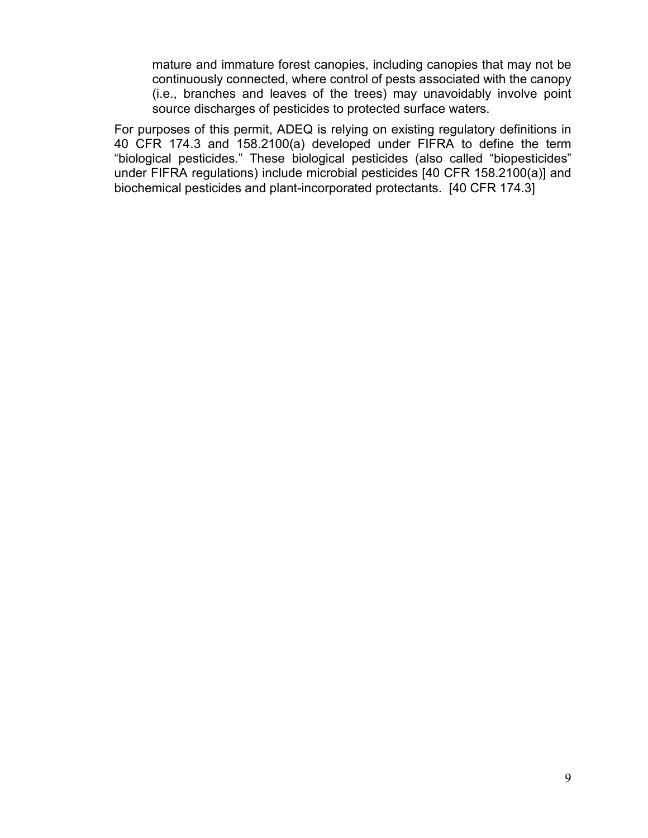mature and immature forest canopies, including canopies that may not be continuously connected, where control of pests associated with the canopy (i.e., branches and leaves of the trees) may unavoidably involve point source discharges of pesticides to protected surface waters.

For purposes of this permit, ADEQ is relying on existing regulatory definitions in 40 CFR 174.3 and 158.2100(a) developed under FIFRA to define the term "biological pesticides." These biological pesticides (also called "biopesticides" under FIFRA regulations) include microbial pesticides [40 CFR 158.2100(a)] and biochemical pesticides and plant-incorporated protectants. [40 CFR 174.3]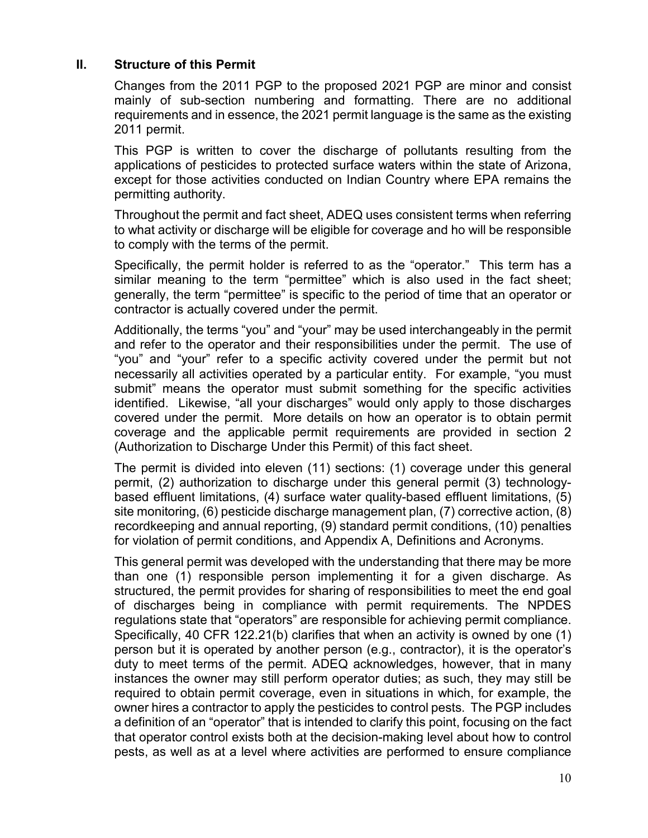## <span id="page-9-0"></span>**II. Structure of this Permit**

Changes from the 2011 PGP to the proposed 2021 PGP are minor and consist mainly of sub-section numbering and formatting. There are no additional requirements and in essence, the 2021 permit language is the same as the existing 2011 permit.

This PGP is written to cover the discharge of pollutants resulting from the applications of pesticides to protected surface waters within the state of Arizona, except for those activities conducted on Indian Country where EPA remains the permitting authority.

Throughout the permit and fact sheet, ADEQ uses consistent terms when referring to what activity or discharge will be eligible for coverage and ho will be responsible to comply with the terms of the permit.

Specifically, the permit holder is referred to as the "operator." This term has a similar meaning to the term "permittee" which is also used in the fact sheet; generally, the term "permittee" is specific to the period of time that an operator or contractor is actually covered under the permit.

Additionally, the terms "you" and "your" may be used interchangeably in the permit and refer to the operator and their responsibilities under the permit. The use of "you" and "your" refer to a specific activity covered under the permit but not necessarily all activities operated by a particular entity. For example, "you must submit" means the operator must submit something for the specific activities identified. Likewise, "all your discharges" would only apply to those discharges covered under the permit. More details on how an operator is to obtain permit coverage and the applicable permit requirements are provided in section 2 (Authorization to Discharge Under this Permit) of this fact sheet.

The permit is divided into eleven (11) sections: (1) coverage under this general permit, (2) authorization to discharge under this general permit (3) technologybased effluent limitations, (4) surface water quality-based effluent limitations, (5) site monitoring, (6) pesticide discharge management plan, (7) corrective action, (8) recordkeeping and annual reporting, (9) standard permit conditions, (10) penalties for violation of permit conditions, and Appendix A, Definitions and Acronyms.

This general permit was developed with the understanding that there may be more than one (1) responsible person implementing it for a given discharge. As structured, the permit provides for sharing of responsibilities to meet the end goal of discharges being in compliance with permit requirements. The NPDES regulations state that "operators" are responsible for achieving permit compliance. Specifically, 40 CFR 122.21(b) clarifies that when an activity is owned by one (1) person but it is operated by another person (e.g., contractor), it is the operator's duty to meet terms of the permit. ADEQ acknowledges, however, that in many instances the owner may still perform operator duties; as such, they may still be required to obtain permit coverage, even in situations in which, for example, the owner hires a contractor to apply the pesticides to control pests. The PGP includes a definition of an "operator" that is intended to clarify this point, focusing on the fact that operator control exists both at the decision-making level about how to control pests, as well as at a level where activities are performed to ensure compliance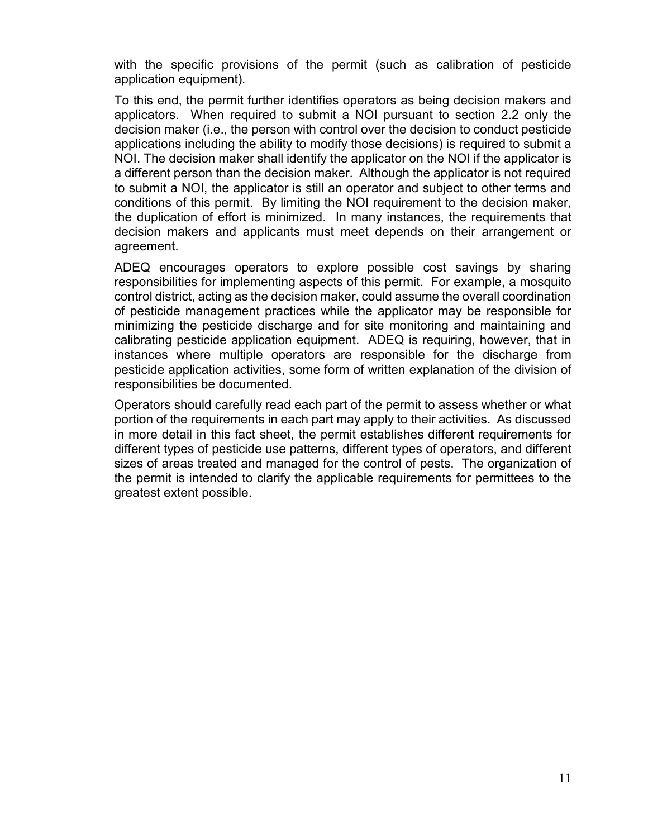with the specific provisions of the permit (such as calibration of pesticide application equipment).

To this end, the permit further identifies operators as being decision makers and applicators. When required to submit a NOI pursuant to section 2.2 only the decision maker (i.e., the person with control over the decision to conduct pesticide applications including the ability to modify those decisions) is required to submit a NOI. The decision maker shall identify the applicator on the NOI if the applicator is a different person than the decision maker. Although the applicator is not required to submit a NOI, the applicator is still an operator and subject to other terms and conditions of this permit. By limiting the NOI requirement to the decision maker, the duplication of effort is minimized. In many instances, the requirements that decision makers and applicants must meet depends on their arrangement or agreement.

ADEQ encourages operators to explore possible cost savings by sharing responsibilities for implementing aspects of this permit. For example, a mosquito control district, acting as the decision maker, could assume the overall coordination of pesticide management practices while the applicator may be responsible for minimizing the pesticide discharge and for site monitoring and maintaining and calibrating pesticide application equipment. ADEQ is requiring, however, that in instances where multiple operators are responsible for the discharge from pesticide application activities, some form of written explanation of the division of responsibilities be documented.

Operators should carefully read each part of the permit to assess whether or what portion of the requirements in each part may apply to their activities. As discussed in more detail in this fact sheet, the permit establishes different requirements for different types of pesticide use patterns, different types of operators, and different sizes of areas treated and managed for the control of pests. The organization of the permit is intended to clarify the applicable requirements for permittees to the greatest extent possible.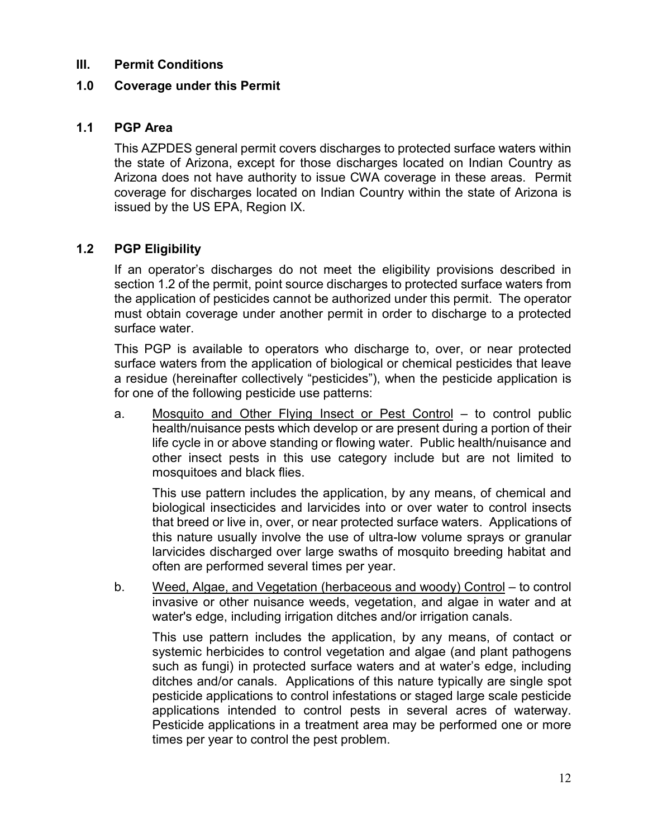## <span id="page-11-0"></span>**III. Permit Conditions**

## <span id="page-11-1"></span>**1.0 Coverage under this Permit**

## <span id="page-11-2"></span>**1.1 PGP Area**

This AZPDES general permit covers discharges to protected surface waters within the state of Arizona, except for those discharges located on Indian Country as Arizona does not have authority to issue CWA coverage in these areas. Permit coverage for discharges located on Indian Country within the state of Arizona is issued by the US EPA, Region IX.

# <span id="page-11-3"></span>**1.2 PGP Eligibility**

If an operator's discharges do not meet the eligibility provisions described in section 1.2 of the permit, point source discharges to protected surface waters from the application of pesticides cannot be authorized under this permit. The operator must obtain coverage under another permit in order to discharge to a protected surface water.

This PGP is available to operators who discharge to, over, or near protected surface waters from the application of biological or chemical pesticides that leave a residue (hereinafter collectively "pesticides"), when the pesticide application is for one of the following pesticide use patterns:

a. Mosquito and Other Flying Insect or Pest Control – to control public health/nuisance pests which develop or are present during a portion of their life cycle in or above standing or flowing water. Public health/nuisance and other insect pests in this use category include but are not limited to mosquitoes and black flies.

This use pattern includes the application, by any means, of chemical and biological insecticides and larvicides into or over water to control insects that breed or live in, over, or near protected surface waters. Applications of this nature usually involve the use of ultra-low volume sprays or granular larvicides discharged over large swaths of mosquito breeding habitat and often are performed several times per year.

b. Weed, Algae, and Vegetation (herbaceous and woody) Control – to control invasive or other nuisance weeds, vegetation, and algae in water and at water's edge, including irrigation ditches and/or irrigation canals.

This use pattern includes the application, by any means, of contact or systemic herbicides to control vegetation and algae (and plant pathogens such as fungi) in protected surface waters and at water's edge, including ditches and/or canals. Applications of this nature typically are single spot pesticide applications to control infestations or staged large scale pesticide applications intended to control pests in several acres of waterway. Pesticide applications in a treatment area may be performed one or more times per year to control the pest problem.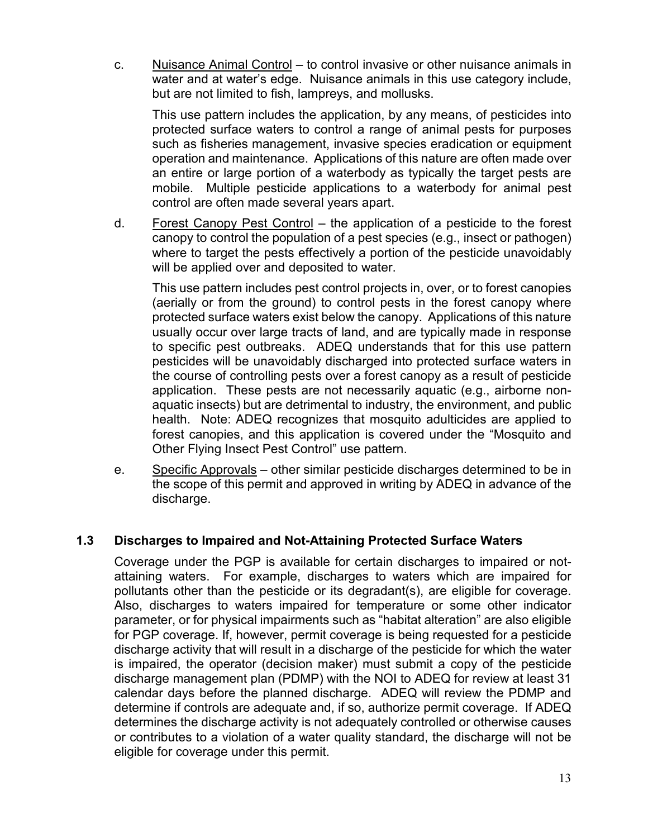c. Nuisance Animal Control – to control invasive or other nuisance animals in water and at water's edge. Nuisance animals in this use category include, but are not limited to fish, lampreys, and mollusks.

This use pattern includes the application, by any means, of pesticides into protected surface waters to control a range of animal pests for purposes such as fisheries management, invasive species eradication or equipment operation and maintenance. Applications of this nature are often made over an entire or large portion of a waterbody as typically the target pests are mobile. Multiple pesticide applications to a waterbody for animal pest control are often made several years apart.

d. Forest Canopy Pest Control – the application of a pesticide to the forest canopy to control the population of a pest species (e.g., insect or pathogen) where to target the pests effectively a portion of the pesticide unavoidably will be applied over and deposited to water.

This use pattern includes pest control projects in, over, or to forest canopies (aerially or from the ground) to control pests in the forest canopy where protected surface waters exist below the canopy. Applications of this nature usually occur over large tracts of land, and are typically made in response to specific pest outbreaks. ADEQ understands that for this use pattern pesticides will be unavoidably discharged into protected surface waters in the course of controlling pests over a forest canopy as a result of pesticide application. These pests are not necessarily aquatic (e.g., airborne nonaquatic insects) but are detrimental to industry, the environment, and public health. Note: ADEQ recognizes that mosquito adulticides are applied to forest canopies, and this application is covered under the "Mosquito and Other Flying Insect Pest Control" use pattern.

e. Specific Approvals – other similar pesticide discharges determined to be in the scope of this permit and approved in writing by ADEQ in advance of the discharge.

# <span id="page-12-0"></span>**1.3 Discharges to Impaired and Not-Attaining Protected Surface Waters**

Coverage under the PGP is available for certain discharges to impaired or notattaining waters. For example, discharges to waters which are impaired for pollutants other than the pesticide or its degradant(s), are eligible for coverage. Also, discharges to waters impaired for temperature or some other indicator parameter, or for physical impairments such as "habitat alteration" are also eligible for PGP coverage. If, however, permit coverage is being requested for a pesticide discharge activity that will result in a discharge of the pesticide for which the water is impaired, the operator (decision maker) must submit a copy of the pesticide discharge management plan (PDMP) with the NOI to ADEQ for review at least 31 calendar days before the planned discharge. ADEQ will review the PDMP and determine if controls are adequate and, if so, authorize permit coverage. If ADEQ determines the discharge activity is not adequately controlled or otherwise causes or contributes to a violation of a water quality standard, the discharge will not be eligible for coverage under this permit.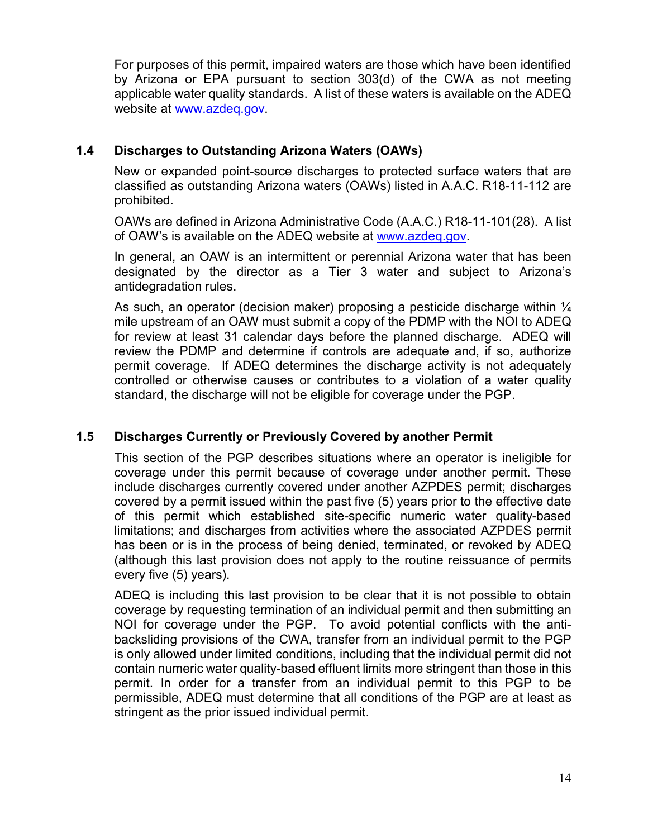For purposes of this permit, impaired waters are those which have been identified by Arizona or EPA pursuant to section 303(d) of the CWA as not meeting applicable water quality standards. A list of these waters is available on the ADEQ website at [www.azdeq.gov.](http://www.azdeq.gov/)

## <span id="page-13-0"></span>**1.4 Discharges to Outstanding Arizona Waters (OAWs)**

New or expanded point-source discharges to protected surface waters that are classified as outstanding Arizona waters (OAWs) listed in A.A.C. R18-11-112 are prohibited.

OAWs are defined in Arizona Administrative Code (A.A.C.) R18-11-101(28). A list of OAW's is available on the ADEQ website at [www.azdeq.gov.](http://www.azdeq.gov/)

In general, an OAW is an intermittent or perennial Arizona water that has been designated by the director as a Tier 3 water and subject to Arizona's antidegradation rules.

As such, an operator (decision maker) proposing a pesticide discharge within  $\frac{1}{4}$ mile upstream of an OAW must submit a copy of the PDMP with the NOI to ADEQ for review at least 31 calendar days before the planned discharge. ADEQ will review the PDMP and determine if controls are adequate and, if so, authorize permit coverage. If ADEQ determines the discharge activity is not adequately controlled or otherwise causes or contributes to a violation of a water quality standard, the discharge will not be eligible for coverage under the PGP.

# <span id="page-13-1"></span>**1.5 Discharges Currently or Previously Covered by another Permit**

This section of the PGP describes situations where an operator is ineligible for coverage under this permit because of coverage under another permit. These include discharges currently covered under another AZPDES permit; discharges covered by a permit issued within the past five (5) years prior to the effective date of this permit which established site-specific numeric water quality-based limitations; and discharges from activities where the associated AZPDES permit has been or is in the process of being denied, terminated, or revoked by ADEQ (although this last provision does not apply to the routine reissuance of permits every five (5) years).

ADEQ is including this last provision to be clear that it is not possible to obtain coverage by requesting termination of an individual permit and then submitting an NOI for coverage under the PGP. To avoid potential conflicts with the antibacksliding provisions of the CWA, transfer from an individual permit to the PGP is only allowed under limited conditions, including that the individual permit did not contain numeric water quality-based effluent limits more stringent than those in this permit. In order for a transfer from an individual permit to this PGP to be permissible, ADEQ must determine that all conditions of the PGP are at least as stringent as the prior issued individual permit.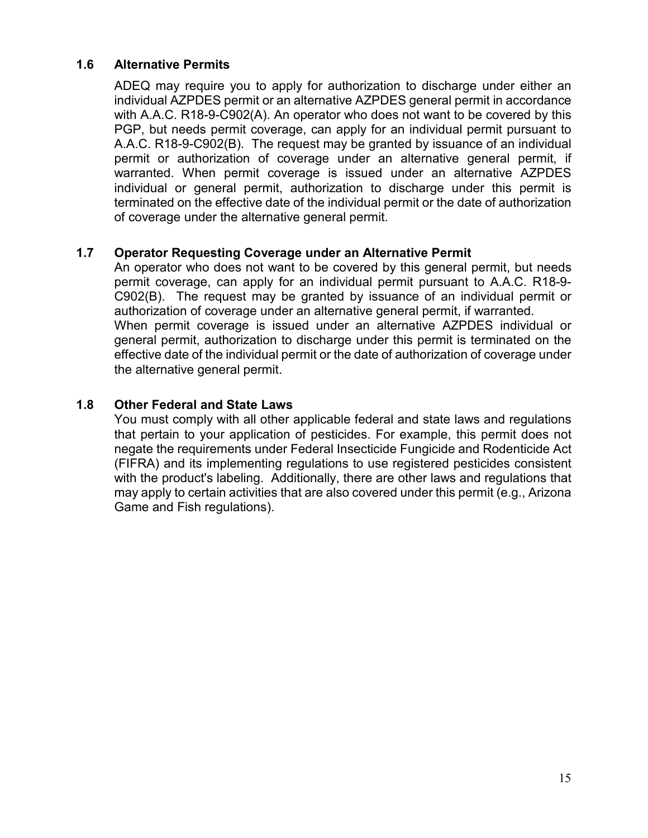## <span id="page-14-0"></span>**1.6 Alternative Permits**

ADEQ may require you to apply for authorization to discharge under either an individual AZPDES permit or an alternative AZPDES general permit in accordance with A.A.C. R18-9-C902(A). An operator who does not want to be covered by this PGP, but needs permit coverage, can apply for an individual permit pursuant to A.A.C. R18-9-C902(B). The request may be granted by issuance of an individual permit or authorization of coverage under an alternative general permit, if warranted. When permit coverage is issued under an alternative AZPDES individual or general permit, authorization to discharge under this permit is terminated on the effective date of the individual permit or the date of authorization of coverage under the alternative general permit.

# <span id="page-14-1"></span>**1.7 Operator Requesting Coverage under an Alternative Permit**

An operator who does not want to be covered by this general permit, but needs permit coverage, can apply for an individual permit pursuant to A.A.C. R18-9- C902(B). The request may be granted by issuance of an individual permit or authorization of coverage under an alternative general permit, if warranted. When permit coverage is issued under an alternative AZPDES individual or general permit, authorization to discharge under this permit is terminated on the effective date of the individual permit or the date of authorization of coverage under the alternative general permit.

## <span id="page-14-2"></span>**1.8 Other Federal and State Laws**

You must comply with all other applicable federal and state laws and regulations that pertain to your application of pesticides. For example, this permit does not negate the requirements under Federal Insecticide Fungicide and Rodenticide Act (FIFRA) and its implementing regulations to use registered pesticides consistent with the product's labeling. Additionally, there are other laws and regulations that may apply to certain activities that are also covered under this permit (e.g., Arizona Game and Fish regulations).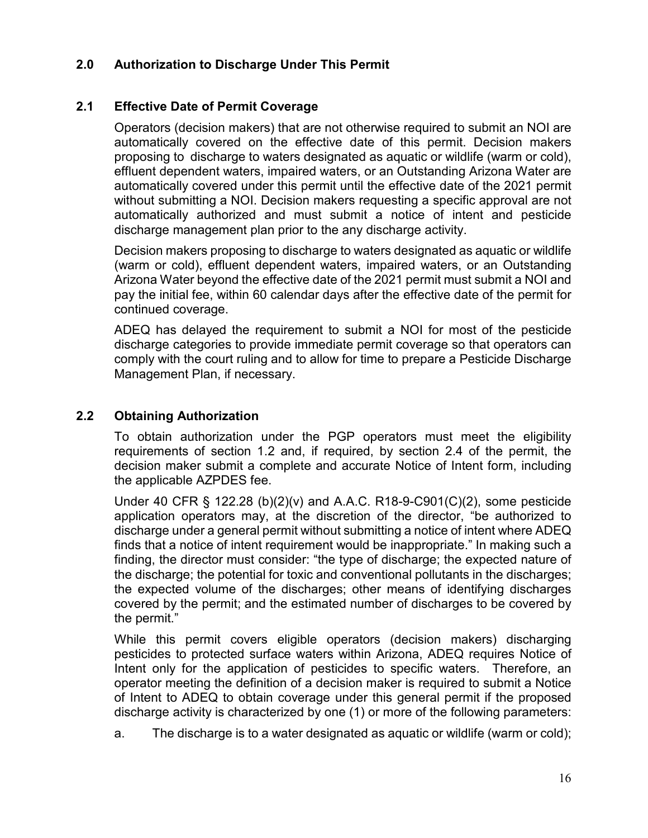# <span id="page-15-0"></span>**2.0 Authorization to Discharge Under This Permit**

## <span id="page-15-1"></span>**2.1 Effective Date of Permit Coverage**

Operators (decision makers) that are not otherwise required to submit an NOI are automatically covered on the effective date of this permit. Decision makers proposing to discharge to waters designated as aquatic or wildlife (warm or cold), effluent dependent waters, impaired waters, or an Outstanding Arizona Water are automatically covered under this permit until the effective date of the 2021 permit without submitting a NOI. Decision makers requesting a specific approval are not automatically authorized and must submit a notice of intent and pesticide discharge management plan prior to the any discharge activity.

Decision makers proposing to discharge to waters designated as aquatic or wildlife (warm or cold), effluent dependent waters, impaired waters, or an Outstanding Arizona Water beyond the effective date of the 2021 permit must submit a NOI and pay the initial fee, within 60 calendar days after the effective date of the permit for continued coverage.

ADEQ has delayed the requirement to submit a NOI for most of the pesticide discharge categories to provide immediate permit coverage so that operators can comply with the court ruling and to allow for time to prepare a Pesticide Discharge Management Plan, if necessary.

#### <span id="page-15-2"></span>**2.2 Obtaining Authorization**

To obtain authorization under the PGP operators must meet the eligibility requirements of section 1.2 and, if required, by section 2.4 of the permit, the decision maker submit a complete and accurate Notice of Intent form, including the applicable AZPDES fee.

Under 40 CFR § 122.28 (b)(2)(v) and A.A.C. R18-9-C901(C)(2), some pesticide application operators may, at the discretion of the director, "be authorized to discharge under a general permit without submitting a notice of intent where ADEQ finds that a notice of intent requirement would be inappropriate." In making such a finding, the director must consider: "the type of discharge; the expected nature of the discharge; the potential for toxic and conventional pollutants in the discharges; the expected volume of the discharges; other means of identifying discharges covered by the permit; and the estimated number of discharges to be covered by the permit."

While this permit covers eligible operators (decision makers) discharging pesticides to protected surface waters within Arizona, ADEQ requires Notice of Intent only for the application of pesticides to specific waters. Therefore, an operator meeting the definition of a decision maker is required to submit a Notice of Intent to ADEQ to obtain coverage under this general permit if the proposed discharge activity is characterized by one (1) or more of the following parameters:

a. The discharge is to a water designated as aquatic or wildlife (warm or cold);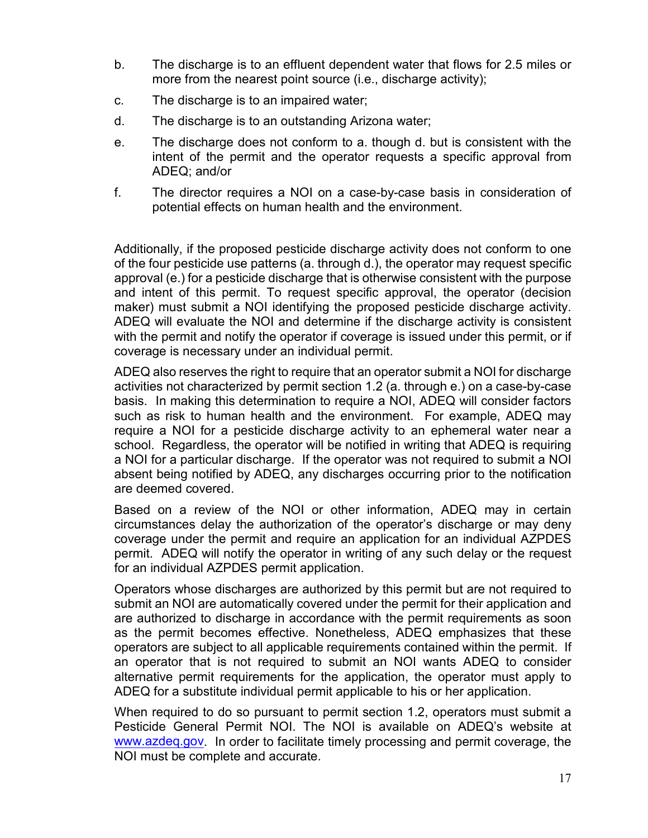- b. The discharge is to an effluent dependent water that flows for 2.5 miles or more from the nearest point source (i.e., discharge activity);
- c. The discharge is to an impaired water;
- d. The discharge is to an outstanding Arizona water;
- e. The discharge does not conform to a. though d. but is consistent with the intent of the permit and the operator requests a specific approval from ADEQ; and/or
- f. The director requires a NOI on a case-by-case basis in consideration of potential effects on human health and the environment.

Additionally, if the proposed pesticide discharge activity does not conform to one of the four pesticide use patterns (a. through d.), the operator may request specific approval (e.) for a pesticide discharge that is otherwise consistent with the purpose and intent of this permit. To request specific approval, the operator (decision maker) must submit a NOI identifying the proposed pesticide discharge activity. ADEQ will evaluate the NOI and determine if the discharge activity is consistent with the permit and notify the operator if coverage is issued under this permit, or if coverage is necessary under an individual permit.

ADEQ also reserves the right to require that an operator submit a NOI for discharge activities not characterized by permit section 1.2 (a. through e.) on a case-by-case basis. In making this determination to require a NOI, ADEQ will consider factors such as risk to human health and the environment. For example, ADEQ may require a NOI for a pesticide discharge activity to an ephemeral water near a school. Regardless, the operator will be notified in writing that ADEQ is requiring a NOI for a particular discharge. If the operator was not required to submit a NOI absent being notified by ADEQ, any discharges occurring prior to the notification are deemed covered.

Based on a review of the NOI or other information, ADEQ may in certain circumstances delay the authorization of the operator's discharge or may deny coverage under the permit and require an application for an individual AZPDES permit. ADEQ will notify the operator in writing of any such delay or the request for an individual AZPDES permit application.

Operators whose discharges are authorized by this permit but are not required to submit an NOI are automatically covered under the permit for their application and are authorized to discharge in accordance with the permit requirements as soon as the permit becomes effective. Nonetheless, ADEQ emphasizes that these operators are subject to all applicable requirements contained within the permit. If an operator that is not required to submit an NOI wants ADEQ to consider alternative permit requirements for the application, the operator must apply to ADEQ for a substitute individual permit applicable to his or her application.

When required to do so pursuant to permit section 1.2, operators must submit a Pesticide General Permit NOI. The NOI is available on ADEQ's website at [www.azdeq.gov.](http://www.azdeq.gov/) In order to facilitate timely processing and permit coverage, the NOI must be complete and accurate.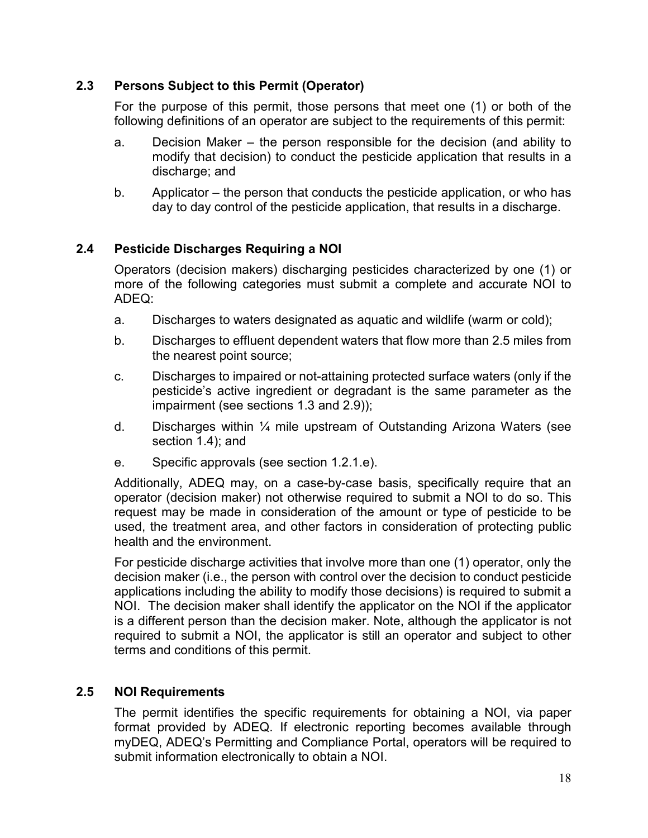# <span id="page-17-0"></span>**2.3 Persons Subject to this Permit (Operator)**

For the purpose of this permit, those persons that meet one (1) or both of the following definitions of an operator are subject to the requirements of this permit:

- a. Decision Maker the person responsible for the decision (and ability to modify that decision) to conduct the pesticide application that results in a discharge; and
- b. Applicator the person that conducts the pesticide application, or who has day to day control of the pesticide application, that results in a discharge.

# <span id="page-17-1"></span>**2.4 Pesticide Discharges Requiring a NOI**

Operators (decision makers) discharging pesticides characterized by one (1) or more of the following categories must submit a complete and accurate NOI to ADEQ:

- a. Discharges to waters designated as aquatic and wildlife (warm or cold);
- b. Discharges to effluent dependent waters that flow more than 2.5 miles from the nearest point source;
- c. Discharges to impaired or not-attaining protected surface waters (only if the pesticide's active ingredient or degradant is the same parameter as the impairment (see sections 1.3 and 2.9));
- d. Discharges within  $\frac{1}{4}$  mile upstream of Outstanding Arizona Waters (see section 1.4); and
- e. Specific approvals (see section 1.2.1.e).

Additionally, ADEQ may, on a case-by-case basis, specifically require that an operator (decision maker) not otherwise required to submit a NOI to do so. This request may be made in consideration of the amount or type of pesticide to be used, the treatment area, and other factors in consideration of protecting public health and the environment.

For pesticide discharge activities that involve more than one (1) operator, only the decision maker (i.e., the person with control over the decision to conduct pesticide applications including the ability to modify those decisions) is required to submit a NOI. The decision maker shall identify the applicator on the NOI if the applicator is a different person than the decision maker. Note, although the applicator is not required to submit a NOI, the applicator is still an operator and subject to other terms and conditions of this permit.

## <span id="page-17-2"></span>**2.5 NOI Requirements**

The permit identifies the specific requirements for obtaining a NOI, via paper format provided by ADEQ. If electronic reporting becomes available through myDEQ, ADEQ's Permitting and Compliance Portal, operators will be required to submit information electronically to obtain a NOI.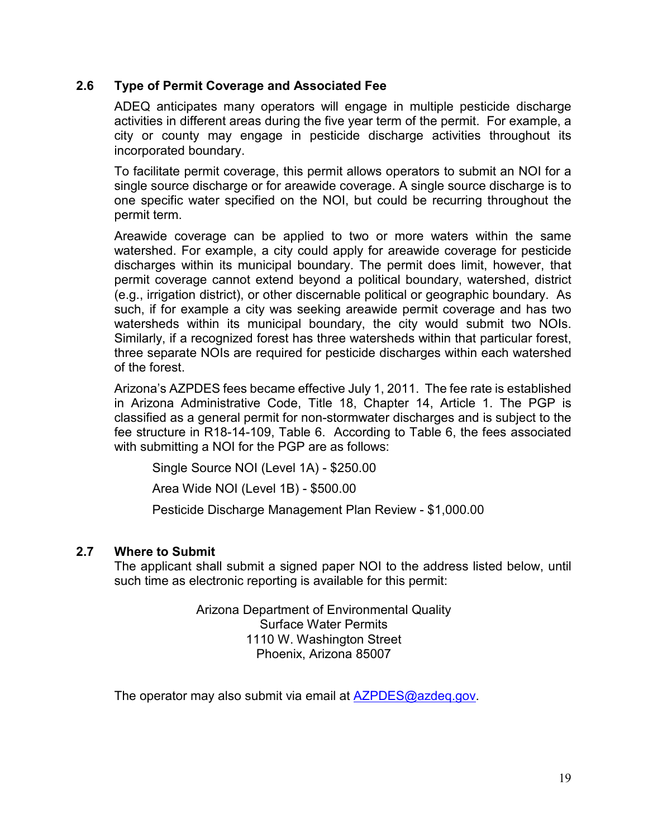## <span id="page-18-0"></span>**2.6 Type of Permit Coverage and Associated Fee**

ADEQ anticipates many operators will engage in multiple pesticide discharge activities in different areas during the five year term of the permit. For example, a city or county may engage in pesticide discharge activities throughout its incorporated boundary.

To facilitate permit coverage, this permit allows operators to submit an NOI for a single source discharge or for areawide coverage. A single source discharge is to one specific water specified on the NOI, but could be recurring throughout the permit term.

Areawide coverage can be applied to two or more waters within the same watershed. For example, a city could apply for areawide coverage for pesticide discharges within its municipal boundary. The permit does limit, however, that permit coverage cannot extend beyond a political boundary, watershed, district (e.g., irrigation district), or other discernable political or geographic boundary. As such, if for example a city was seeking areawide permit coverage and has two watersheds within its municipal boundary, the city would submit two NOIs. Similarly, if a recognized forest has three watersheds within that particular forest, three separate NOIs are required for pesticide discharges within each watershed of the forest.

Arizona's AZPDES fees became effective July 1, 2011. The fee rate is established in Arizona Administrative Code, Title 18, Chapter 14, Article 1. The PGP is classified as a general permit for non-stormwater discharges and is subject to the fee structure in R18-14-109, Table 6. According to Table 6, the fees associated with submitting a NOI for the PGP are as follows:

Single Source NOI (Level 1A) - \$250.00

Area Wide NOI (Level 1B) - \$500.00

Pesticide Discharge Management Plan Review - \$1,000.00

## <span id="page-18-1"></span>**2.7 Where to Submit**

The applicant shall submit a signed paper NOI to the address listed below, until such time as electronic reporting is available for this permit:

> Arizona Department of Environmental Quality Surface Water Permits 1110 W. Washington Street Phoenix, Arizona 85007

The operator may also submit via email at [AZPDES@azdeq.gov.](mailto:AZPDES@azdeq.gov)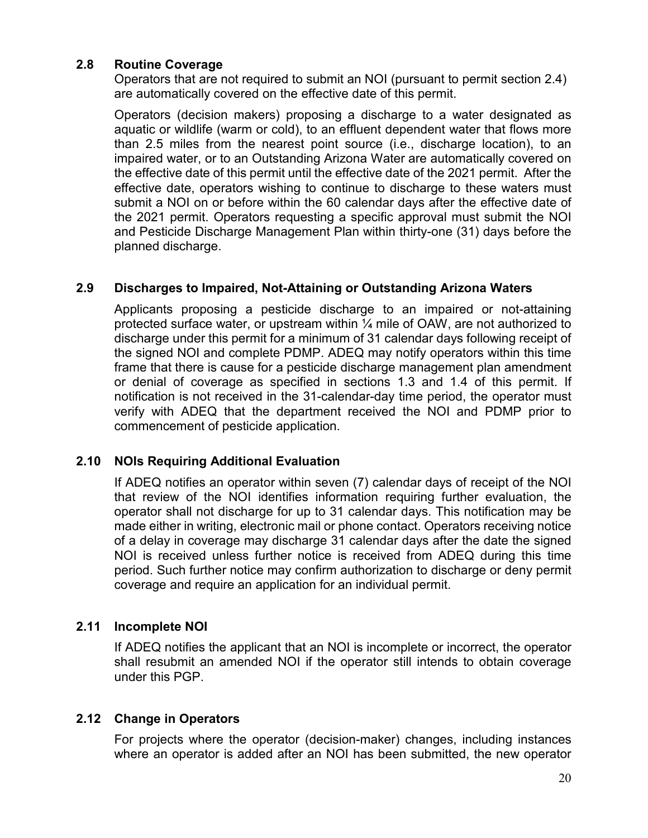# <span id="page-19-0"></span>**2.8 Routine Coverage**

Operators that are not required to submit an NOI (pursuant to permit section 2.4) are automatically covered on the effective date of this permit.

Operators (decision makers) proposing a discharge to a water designated as aquatic or wildlife (warm or cold), to an effluent dependent water that flows more than 2.5 miles from the nearest point source (i.e., discharge location), to an impaired water, or to an Outstanding Arizona Water are automatically covered on the effective date of this permit until the effective date of the 2021 permit. After the effective date, operators wishing to continue to discharge to these waters must submit a NOI on or before within the 60 calendar days after the effective date of the 2021 permit. Operators requesting a specific approval must submit the NOI and Pesticide Discharge Management Plan within thirty-one (31) days before the planned discharge.

## <span id="page-19-1"></span>**2.9 Discharges to Impaired, Not-Attaining or Outstanding Arizona Waters**

Applicants proposing a pesticide discharge to an impaired or not-attaining protected surface water, or upstream within 1/4 mile of OAW, are not authorized to discharge under this permit for a minimum of 31 calendar days following receipt of the signed NOI and complete PDMP. ADEQ may notify operators within this time frame that there is cause for a pesticide discharge management plan amendment or denial of coverage as specified in sections 1.3 and 1.4 of this permit. If notification is not received in the 31-calendar-day time period, the operator must verify with ADEQ that the department received the NOI and PDMP prior to commencement of pesticide application.

## <span id="page-19-2"></span>**2.10 NOIs Requiring Additional Evaluation**

If ADEQ notifies an operator within seven (7) calendar days of receipt of the NOI that review of the NOI identifies information requiring further evaluation, the operator shall not discharge for up to 31 calendar days. This notification may be made either in writing, electronic mail or phone contact. Operators receiving notice of a delay in coverage may discharge 31 calendar days after the date the signed NOI is received unless further notice is received from ADEQ during this time period. Such further notice may confirm authorization to discharge or deny permit coverage and require an application for an individual permit.

## <span id="page-19-3"></span>**2.11 Incomplete NOI**

If ADEQ notifies the applicant that an NOI is incomplete or incorrect, the operator shall resubmit an amended NOI if the operator still intends to obtain coverage under this PGP.

# <span id="page-19-4"></span>**2.12 Change in Operators**

For projects where the operator (decision-maker) changes, including instances where an operator is added after an NOI has been submitted, the new operator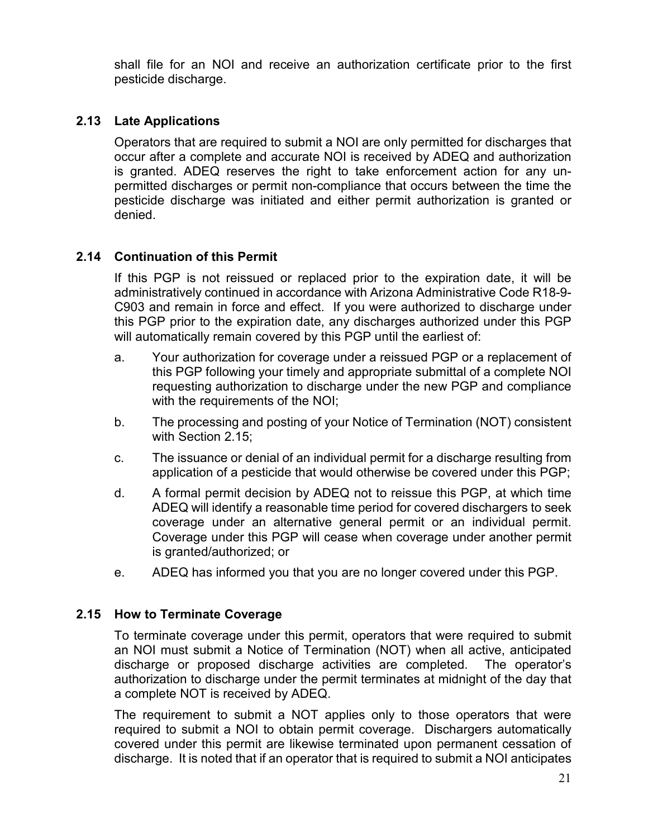shall file for an NOI and receive an authorization certificate prior to the first pesticide discharge.

## <span id="page-20-0"></span>**2.13 Late Applications**

Operators that are required to submit a NOI are only permitted for discharges that occur after a complete and accurate NOI is received by ADEQ and authorization is granted. ADEQ reserves the right to take enforcement action for any unpermitted discharges or permit non-compliance that occurs between the time the pesticide discharge was initiated and either permit authorization is granted or denied.

## <span id="page-20-1"></span>**2.14 Continuation of this Permit**

If this PGP is not reissued or replaced prior to the expiration date, it will be administratively continued in accordance with Arizona Administrative Code R18-9- C903 and remain in force and effect. If you were authorized to discharge under this PGP prior to the expiration date, any discharges authorized under this PGP will automatically remain covered by this PGP until the earliest of:

- a. Your authorization for coverage under a reissued PGP or a replacement of this PGP following your timely and appropriate submittal of a complete NOI requesting authorization to discharge under the new PGP and compliance with the requirements of the NOI;
- b. The processing and posting of your Notice of Termination (NOT) consistent with Section 2.15;
- c. The issuance or denial of an individual permit for a discharge resulting from application of a pesticide that would otherwise be covered under this PGP;
- d. A formal permit decision by ADEQ not to reissue this PGP, at which time ADEQ will identify a reasonable time period for covered dischargers to seek coverage under an alternative general permit or an individual permit. Coverage under this PGP will cease when coverage under another permit is granted/authorized; or
- e. ADEQ has informed you that you are no longer covered under this PGP.

## <span id="page-20-2"></span>**2.15 How to Terminate Coverage**

To terminate coverage under this permit, operators that were required to submit an NOI must submit a Notice of Termination (NOT) when all active, anticipated discharge or proposed discharge activities are completed. The operator's authorization to discharge under the permit terminates at midnight of the day that a complete NOT is received by ADEQ.

The requirement to submit a NOT applies only to those operators that were required to submit a NOI to obtain permit coverage. Dischargers automatically covered under this permit are likewise terminated upon permanent cessation of discharge. It is noted that if an operator that is required to submit a NOI anticipates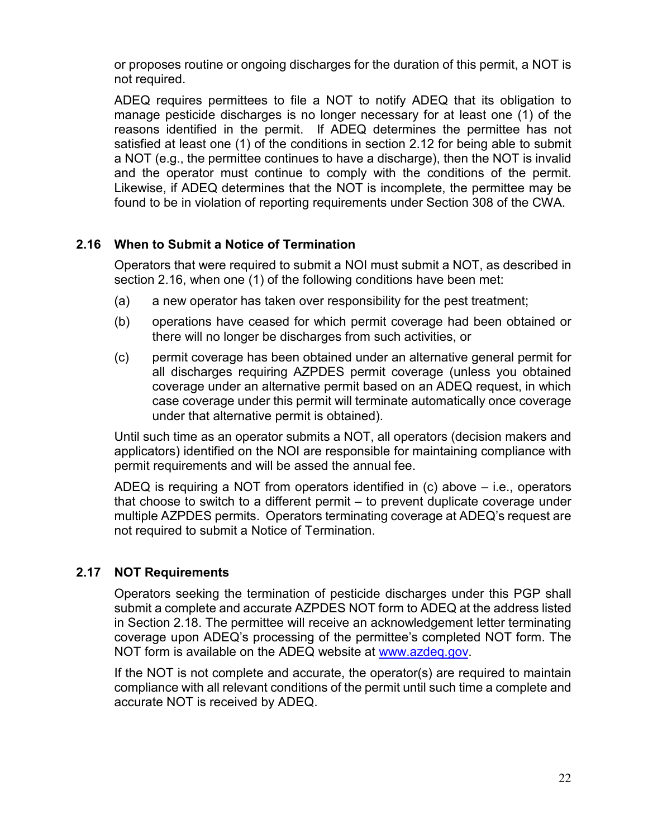or proposes routine or ongoing discharges for the duration of this permit, a NOT is not required.

ADEQ requires permittees to file a NOT to notify ADEQ that its obligation to manage pesticide discharges is no longer necessary for at least one (1) of the reasons identified in the permit. If ADEQ determines the permittee has not satisfied at least one (1) of the conditions in section 2.12 for being able to submit a NOT (e.g., the permittee continues to have a discharge), then the NOT is invalid and the operator must continue to comply with the conditions of the permit. Likewise, if ADEQ determines that the NOT is incomplete, the permittee may be found to be in violation of reporting requirements under Section 308 of the CWA.

# <span id="page-21-0"></span>**2.16 When to Submit a Notice of Termination**

Operators that were required to submit a NOI must submit a NOT, as described in section 2.16, when one (1) of the following conditions have been met:

- (a) a new operator has taken over responsibility for the pest treatment;
- (b) operations have ceased for which permit coverage had been obtained or there will no longer be discharges from such activities, or
- (c) permit coverage has been obtained under an alternative general permit for all discharges requiring AZPDES permit coverage (unless you obtained coverage under an alternative permit based on an ADEQ request, in which case coverage under this permit will terminate automatically once coverage under that alternative permit is obtained).

Until such time as an operator submits a NOT, all operators (decision makers and applicators) identified on the NOI are responsible for maintaining compliance with permit requirements and will be assed the annual fee.

ADEQ is requiring a NOT from operators identified in (c) above – i.e., operators that choose to switch to a different permit – to prevent duplicate coverage under multiple AZPDES permits. Operators terminating coverage at ADEQ's request are not required to submit a Notice of Termination.

## <span id="page-21-1"></span>**2.17 NOT Requirements**

Operators seeking the termination of pesticide discharges under this PGP shall submit a complete and accurate AZPDES NOT form to ADEQ at the address listed in Section 2.18. The permittee will receive an acknowledgement letter terminating coverage upon ADEQ's processing of the permittee's completed NOT form. The NOT form is available on the ADEQ website at [www.azdeq.gov.](http://www.azdeq.gov/)

If the NOT is not complete and accurate, the operator(s) are required to maintain compliance with all relevant conditions of the permit until such time a complete and accurate NOT is received by ADEQ.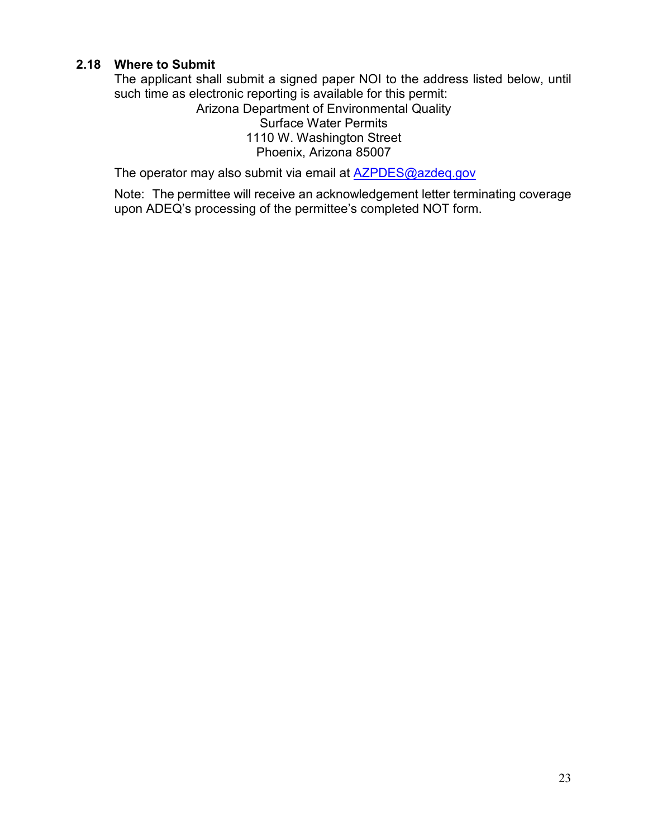# <span id="page-22-0"></span>**2.18 Where to Submit**

The applicant shall submit a signed paper NOI to the address listed below, until such time as electronic reporting is available for this permit: Arizona Department of Environmental Quality Surface Water Permits 1110 W. Washington Street Phoenix, Arizona 85007

The operator may also submit via email at **AZPDES@azdeq.gov** 

Note: The permittee will receive an acknowledgement letter terminating coverage upon ADEQ's processing of the permittee's completed NOT form.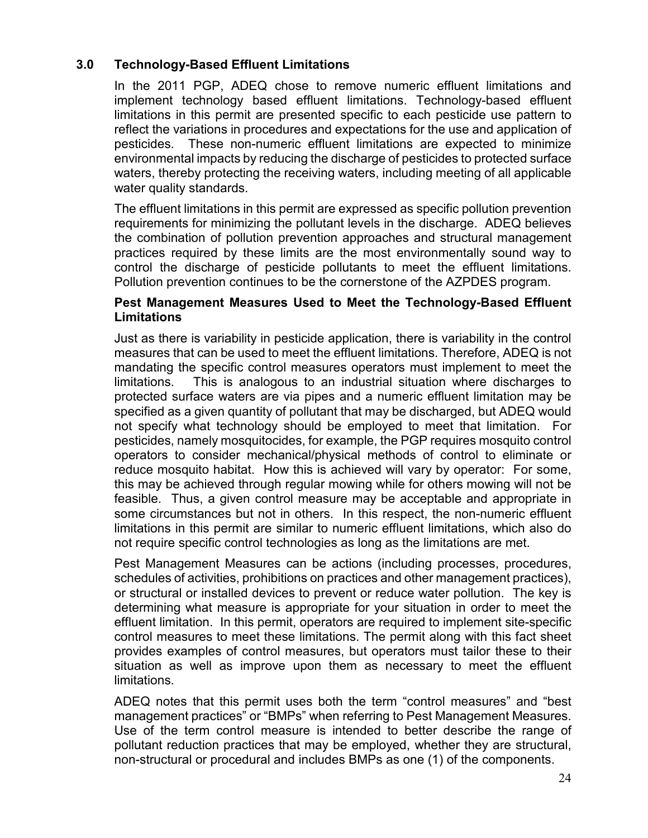# <span id="page-23-0"></span>**3.0 Technology-Based Effluent Limitations**

In the 2011 PGP, ADEQ chose to remove numeric effluent limitations and implement technology based effluent limitations. Technology-based effluent limitations in this permit are presented specific to each pesticide use pattern to reflect the variations in procedures and expectations for the use and application of pesticides. These non-numeric effluent limitations are expected to minimize environmental impacts by reducing the discharge of pesticides to protected surface waters, thereby protecting the receiving waters, including meeting of all applicable water quality standards.

The effluent limitations in this permit are expressed as specific pollution prevention requirements for minimizing the pollutant levels in the discharge. ADEQ believes the combination of pollution prevention approaches and structural management practices required by these limits are the most environmentally sound way to control the discharge of pesticide pollutants to meet the effluent limitations. Pollution prevention continues to be the cornerstone of the AZPDES program.

#### **Pest Management Measures Used to Meet the Technology-Based Effluent Limitations**

Just as there is variability in pesticide application, there is variability in the control measures that can be used to meet the effluent limitations. Therefore, ADEQ is not mandating the specific control measures operators must implement to meet the limitations. This is analogous to an industrial situation where discharges to protected surface waters are via pipes and a numeric effluent limitation may be specified as a given quantity of pollutant that may be discharged, but ADEQ would not specify what technology should be employed to meet that limitation. For pesticides, namely mosquitocides, for example, the PGP requires mosquito control operators to consider mechanical/physical methods of control to eliminate or reduce mosquito habitat. How this is achieved will vary by operator: For some, this may be achieved through regular mowing while for others mowing will not be feasible. Thus, a given control measure may be acceptable and appropriate in some circumstances but not in others. In this respect, the non-numeric effluent limitations in this permit are similar to numeric effluent limitations, which also do not require specific control technologies as long as the limitations are met.

Pest Management Measures can be actions (including processes, procedures, schedules of activities, prohibitions on practices and other management practices), or structural or installed devices to prevent or reduce water pollution. The key is determining what measure is appropriate for your situation in order to meet the effluent limitation. In this permit, operators are required to implement site-specific control measures to meet these limitations. The permit along with this fact sheet provides examples of control measures, but operators must tailor these to their situation as well as improve upon them as necessary to meet the effluent limitations.

ADEQ notes that this permit uses both the term "control measures" and "best management practices" or "BMPs" when referring to Pest Management Measures. Use of the term control measure is intended to better describe the range of pollutant reduction practices that may be employed, whether they are structural, non-structural or procedural and includes BMPs as one (1) of the components.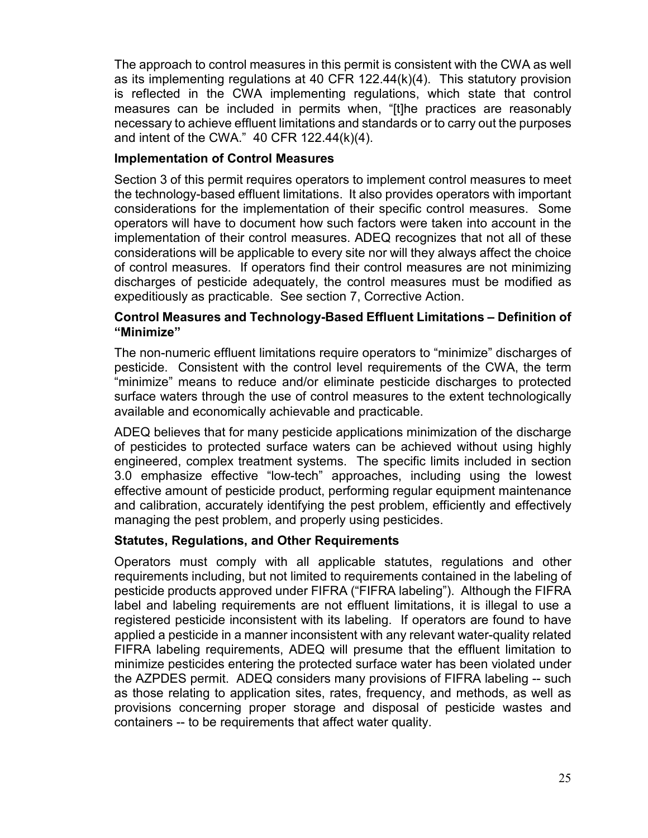The approach to control measures in this permit is consistent with the CWA as well as its implementing regulations at 40 CFR 122.44(k)(4). This statutory provision is reflected in the CWA implementing regulations, which state that control measures can be included in permits when, "[t]he practices are reasonably necessary to achieve effluent limitations and standards or to carry out the purposes and intent of the CWA." 40 CFR 122.44(k)(4).

#### **Implementation of Control Measures**

Section 3 of this permit requires operators to implement control measures to meet the technology-based effluent limitations. It also provides operators with important considerations for the implementation of their specific control measures. Some operators will have to document how such factors were taken into account in the implementation of their control measures. ADEQ recognizes that not all of these considerations will be applicable to every site nor will they always affect the choice of control measures. If operators find their control measures are not minimizing discharges of pesticide adequately, the control measures must be modified as expeditiously as practicable. See section 7, Corrective Action.

#### **Control Measures and Technology-Based Effluent Limitations – Definition of "Minimize"**

The non-numeric effluent limitations require operators to "minimize" discharges of pesticide. Consistent with the control level requirements of the CWA, the term "minimize" means to reduce and/or eliminate pesticide discharges to protected surface waters through the use of control measures to the extent technologically available and economically achievable and practicable.

ADEQ believes that for many pesticide applications minimization of the discharge of pesticides to protected surface waters can be achieved without using highly engineered, complex treatment systems. The specific limits included in section 3.0 emphasize effective "low-tech" approaches, including using the lowest effective amount of pesticide product, performing regular equipment maintenance and calibration, accurately identifying the pest problem, efficiently and effectively managing the pest problem, and properly using pesticides.

## **Statutes, Regulations, and Other Requirements**

Operators must comply with all applicable statutes, regulations and other requirements including, but not limited to requirements contained in the labeling of pesticide products approved under FIFRA ("FIFRA labeling"). Although the FIFRA label and labeling requirements are not effluent limitations, it is illegal to use a registered pesticide inconsistent with its labeling. If operators are found to have applied a pesticide in a manner inconsistent with any relevant water-quality related FIFRA labeling requirements, ADEQ will presume that the effluent limitation to minimize pesticides entering the protected surface water has been violated under the AZPDES permit. ADEQ considers many provisions of FIFRA labeling -- such as those relating to application sites, rates, frequency, and methods, as well as provisions concerning proper storage and disposal of pesticide wastes and containers -- to be requirements that affect water quality.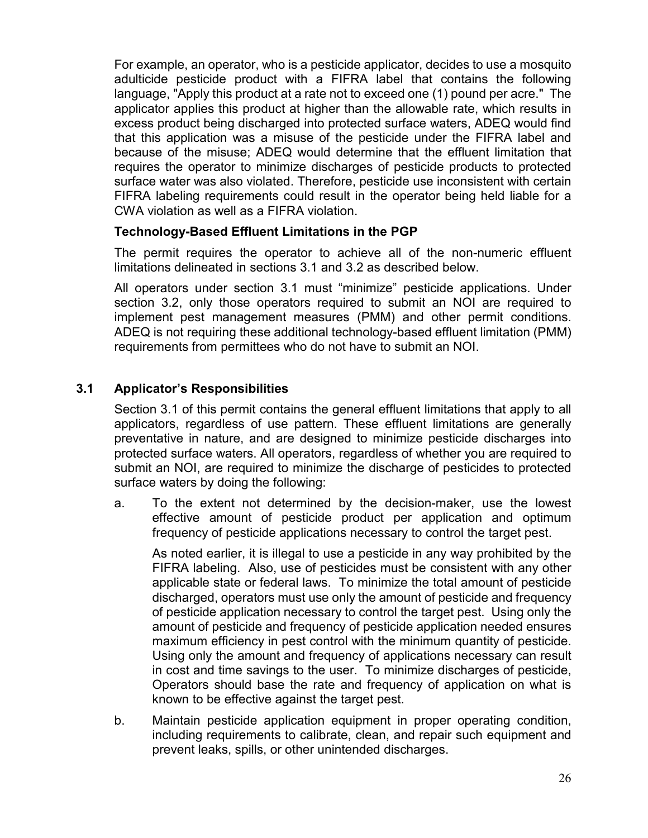For example, an operator, who is a pesticide applicator, decides to use a mosquito adulticide pesticide product with a FIFRA label that contains the following language, "Apply this product at a rate not to exceed one (1) pound per acre." The applicator applies this product at higher than the allowable rate, which results in excess product being discharged into protected surface waters, ADEQ would find that this application was a misuse of the pesticide under the FIFRA label and because of the misuse; ADEQ would determine that the effluent limitation that requires the operator to minimize discharges of pesticide products to protected surface water was also violated. Therefore, pesticide use inconsistent with certain FIFRA labeling requirements could result in the operator being held liable for a CWA violation as well as a FIFRA violation.

# **Technology-Based Effluent Limitations in the PGP**

The permit requires the operator to achieve all of the non-numeric effluent limitations delineated in sections 3.1 and 3.2 as described below.

All operators under section 3.1 must "minimize" pesticide applications. Under section 3.2, only those operators required to submit an NOI are required to implement pest management measures (PMM) and other permit conditions. ADEQ is not requiring these additional technology-based effluent limitation (PMM) requirements from permittees who do not have to submit an NOI.

# <span id="page-25-0"></span>**3.1 Applicator's Responsibilities**

Section 3.1 of this permit contains the general effluent limitations that apply to all applicators, regardless of use pattern. These effluent limitations are generally preventative in nature, and are designed to minimize pesticide discharges into protected surface waters. All operators, regardless of whether you are required to submit an NOI, are required to minimize the discharge of pesticides to protected surface waters by doing the following:

a. To the extent not determined by the decision-maker, use the lowest effective amount of pesticide product per application and optimum frequency of pesticide applications necessary to control the target pest.

As noted earlier, it is illegal to use a pesticide in any way prohibited by the FIFRA labeling. Also, use of pesticides must be consistent with any other applicable state or federal laws. To minimize the total amount of pesticide discharged, operators must use only the amount of pesticide and frequency of pesticide application necessary to control the target pest. Using only the amount of pesticide and frequency of pesticide application needed ensures maximum efficiency in pest control with the minimum quantity of pesticide. Using only the amount and frequency of applications necessary can result in cost and time savings to the user. To minimize discharges of pesticide, Operators should base the rate and frequency of application on what is known to be effective against the target pest.

b. Maintain pesticide application equipment in proper operating condition, including requirements to calibrate, clean, and repair such equipment and prevent leaks, spills, or other unintended discharges.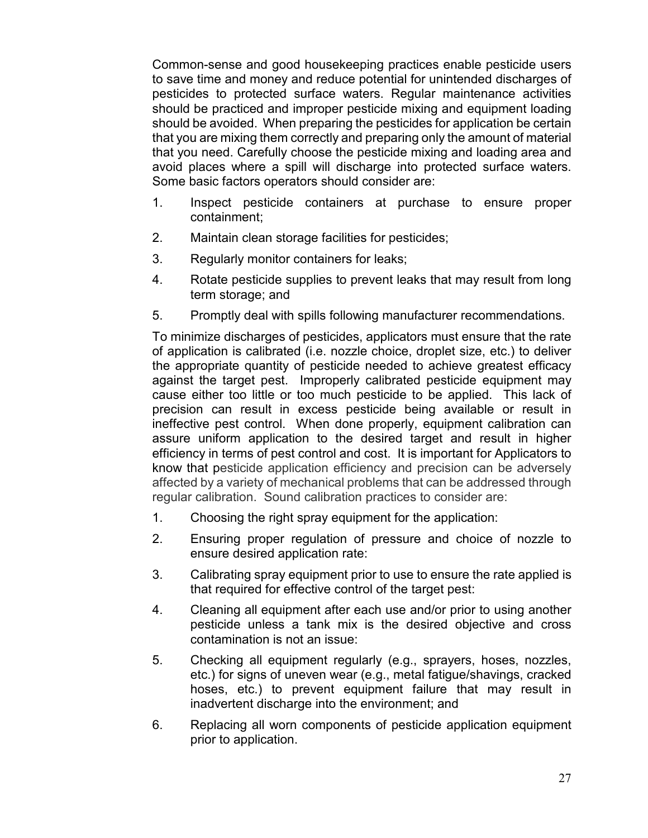Common-sense and good housekeeping practices enable pesticide users to save time and money and reduce potential for unintended discharges of pesticides to protected surface waters. Regular maintenance activities should be practiced and improper pesticide mixing and equipment loading should be avoided. When preparing the pesticides for application be certain that you are mixing them correctly and preparing only the amount of material that you need. Carefully choose the pesticide mixing and loading area and avoid places where a spill will discharge into protected surface waters. Some basic factors operators should consider are:

- 1. Inspect pesticide containers at purchase to ensure proper containment;
- 2. Maintain clean storage facilities for pesticides;
- 3. Regularly monitor containers for leaks;
- 4. Rotate pesticide supplies to prevent leaks that may result from long term storage; and
- 5. Promptly deal with spills following manufacturer recommendations.

To minimize discharges of pesticides, applicators must ensure that the rate of application is calibrated (i.e. nozzle choice, droplet size, etc.) to deliver the appropriate quantity of pesticide needed to achieve greatest efficacy against the target pest. Improperly calibrated pesticide equipment may cause either too little or too much pesticide to be applied. This lack of precision can result in excess pesticide being available or result in ineffective pest control. When done properly, equipment calibration can assure uniform application to the desired target and result in higher efficiency in terms of pest control and cost. It is important for Applicators to know that pesticide application efficiency and precision can be adversely affected by a variety of mechanical problems that can be addressed through regular calibration. Sound calibration practices to consider are:

- 1. Choosing the right spray equipment for the application:
- 2. Ensuring proper regulation of pressure and choice of nozzle to ensure desired application rate:
- 3. Calibrating spray equipment prior to use to ensure the rate applied is that required for effective control of the target pest:
- 4. Cleaning all equipment after each use and/or prior to using another pesticide unless a tank mix is the desired objective and cross contamination is not an issue:
- 5. Checking all equipment regularly (e.g., sprayers, hoses, nozzles, etc.) for signs of uneven wear (e.g., metal fatigue/shavings, cracked hoses, etc.) to prevent equipment failure that may result in inadvertent discharge into the environment; and
- 6. Replacing all worn components of pesticide application equipment prior to application.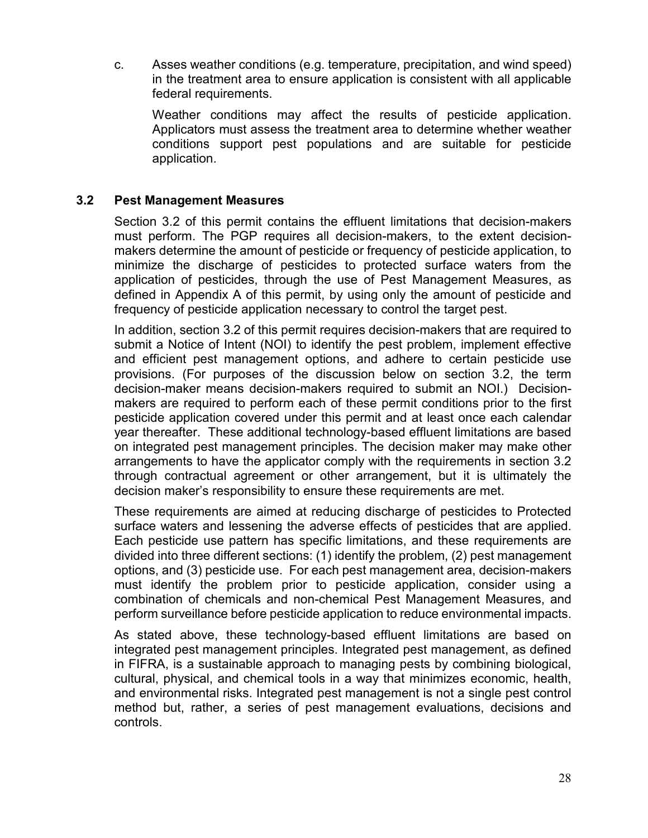c. Asses weather conditions (e.g. temperature, precipitation, and wind speed) in the treatment area to ensure application is consistent with all applicable federal requirements.

Weather conditions may affect the results of pesticide application. Applicators must assess the treatment area to determine whether weather conditions support pest populations and are suitable for pesticide application.

## <span id="page-27-0"></span>**3.2 Pest Management Measures**

Section 3.2 of this permit contains the effluent limitations that decision-makers must perform. The PGP requires all decision-makers, to the extent decisionmakers determine the amount of pesticide or frequency of pesticide application, to minimize the discharge of pesticides to protected surface waters from the application of pesticides, through the use of Pest Management Measures, as defined in Appendix A of this permit, by using only the amount of pesticide and frequency of pesticide application necessary to control the target pest.

In addition, section 3.2 of this permit requires decision-makers that are required to submit a Notice of Intent (NOI) to identify the pest problem, implement effective and efficient pest management options, and adhere to certain pesticide use provisions. (For purposes of the discussion below on section 3.2, the term decision-maker means decision-makers required to submit an NOI.) Decisionmakers are required to perform each of these permit conditions prior to the first pesticide application covered under this permit and at least once each calendar year thereafter. These additional technology-based effluent limitations are based on integrated pest management principles. The decision maker may make other arrangements to have the applicator comply with the requirements in section 3.2 through contractual agreement or other arrangement, but it is ultimately the decision maker's responsibility to ensure these requirements are met.

These requirements are aimed at reducing discharge of pesticides to Protected surface waters and lessening the adverse effects of pesticides that are applied. Each pesticide use pattern has specific limitations, and these requirements are divided into three different sections: (1) identify the problem, (2) pest management options, and (3) pesticide use. For each pest management area, decision-makers must identify the problem prior to pesticide application, consider using a combination of chemicals and non-chemical Pest Management Measures, and perform surveillance before pesticide application to reduce environmental impacts.

As stated above, these technology-based effluent limitations are based on integrated pest management principles. Integrated pest management, as defined in FIFRA, is a sustainable approach to managing pests by combining biological, cultural, physical, and chemical tools in a way that minimizes economic, health, and environmental risks. Integrated pest management is not a single pest control method but, rather, a series of pest management evaluations, decisions and controls.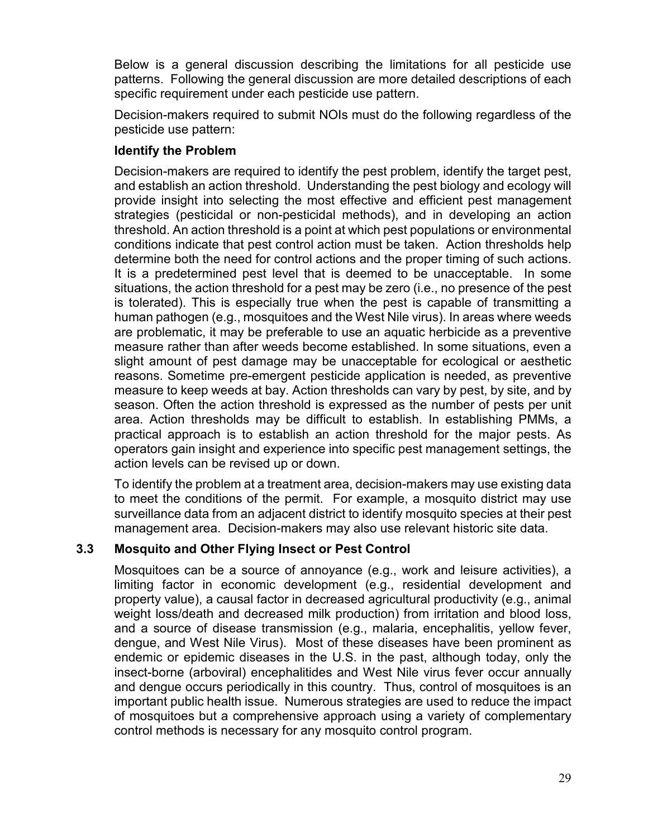Below is a general discussion describing the limitations for all pesticide use patterns. Following the general discussion are more detailed descriptions of each specific requirement under each pesticide use pattern.

Decision-makers required to submit NOIs must do the following regardless of the pesticide use pattern:

# **Identify the Problem**

Decision-makers are required to identify the pest problem, identify the target pest, and establish an action threshold. Understanding the pest biology and ecology will provide insight into selecting the most effective and efficient pest management strategies (pesticidal or non-pesticidal methods), and in developing an action threshold. An action threshold is a point at which pest populations or environmental conditions indicate that pest control action must be taken. Action thresholds help determine both the need for control actions and the proper timing of such actions. It is a predetermined pest level that is deemed to be unacceptable. In some situations, the action threshold for a pest may be zero (i.e., no presence of the pest is tolerated). This is especially true when the pest is capable of transmitting a human pathogen (e.g., mosquitoes and the West Nile virus). In areas where weeds are problematic, it may be preferable to use an aquatic herbicide as a preventive measure rather than after weeds become established. In some situations, even a slight amount of pest damage may be unacceptable for ecological or aesthetic reasons. Sometime pre-emergent pesticide application is needed, as preventive measure to keep weeds at bay. Action thresholds can vary by pest, by site, and by season. Often the action threshold is expressed as the number of pests per unit area. Action thresholds may be difficult to establish. In establishing PMMs, a practical approach is to establish an action threshold for the major pests. As operators gain insight and experience into specific pest management settings, the action levels can be revised up or down.

To identify the problem at a treatment area, decision-makers may use existing data to meet the conditions of the permit. For example, a mosquito district may use surveillance data from an adjacent district to identify mosquito species at their pest management area. Decision-makers may also use relevant historic site data.

# <span id="page-28-0"></span>**3.3 Mosquito and Other Flying Insect or Pest Control**

Mosquitoes can be a source of annoyance (e.g., work and leisure activities), a limiting factor in economic development (e.g., residential development and property value), a causal factor in decreased agricultural productivity (e.g., animal weight loss/death and decreased milk production) from irritation and blood loss, and a source of disease transmission (e.g., malaria, encephalitis, yellow fever, dengue, and West Nile Virus). Most of these diseases have been prominent as endemic or epidemic diseases in the U.S. in the past, although today, only the insect-borne (arboviral) encephalitides and West Nile virus fever occur annually and dengue occurs periodically in this country. Thus, control of mosquitoes is an important public health issue. Numerous strategies are used to reduce the impact of mosquitoes but a comprehensive approach using a variety of complementary control methods is necessary for any mosquito control program.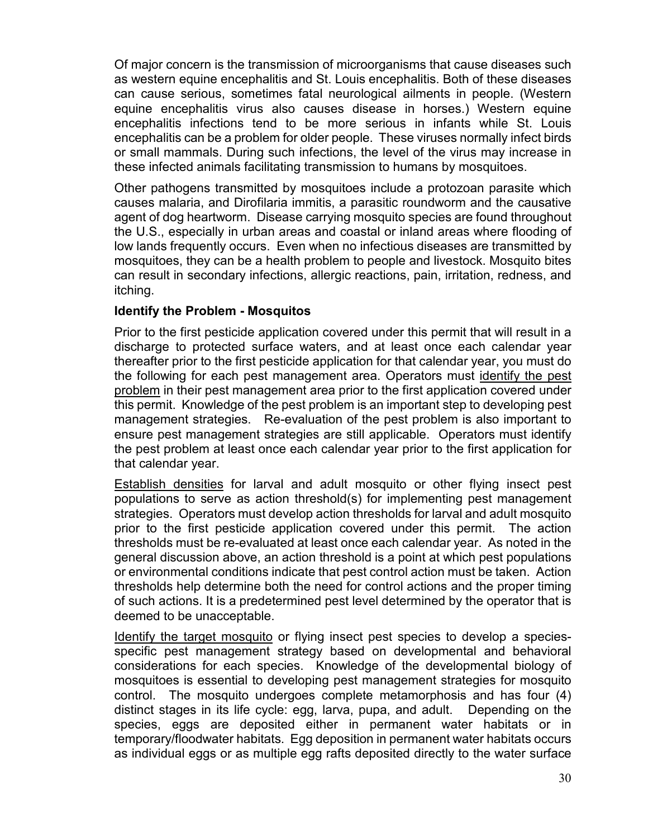Of major concern is the transmission of microorganisms that cause diseases such as western equine encephalitis and St. Louis encephalitis. Both of these diseases can cause serious, sometimes fatal neurological ailments in people. (Western equine encephalitis virus also causes disease in horses.) Western equine encephalitis infections tend to be more serious in infants while St. Louis encephalitis can be a problem for older people. These viruses normally infect birds or small mammals. During such infections, the level of the virus may increase in these infected animals facilitating transmission to humans by mosquitoes.

Other pathogens transmitted by mosquitoes include a protozoan parasite which causes malaria, and Dirofilaria immitis, a parasitic roundworm and the causative agent of dog heartworm. Disease carrying mosquito species are found throughout the U.S., especially in urban areas and coastal or inland areas where flooding of low lands frequently occurs. Even when no infectious diseases are transmitted by mosquitoes, they can be a health problem to people and livestock. Mosquito bites can result in secondary infections, allergic reactions, pain, irritation, redness, and itching.

## **Identify the Problem - Mosquitos**

Prior to the first pesticide application covered under this permit that will result in a discharge to protected surface waters, and at least once each calendar year thereafter prior to the first pesticide application for that calendar year, you must do the following for each pest management area. Operators must identify the pest problem in their pest management area prior to the first application covered under this permit. Knowledge of the pest problem is an important step to developing pest management strategies. Re-evaluation of the pest problem is also important to ensure pest management strategies are still applicable. Operators must identify the pest problem at least once each calendar year prior to the first application for that calendar year.

Establish densities for larval and adult mosquito or other flying insect pest populations to serve as action threshold(s) for implementing pest management strategies.Operators must develop action thresholds for larval and adult mosquito prior to the first pesticide application covered under this permit. The action thresholds must be re-evaluated at least once each calendar year. As noted in the general discussion above, an action threshold is a point at which pest populations or environmental conditions indicate that pest control action must be taken. Action thresholds help determine both the need for control actions and the proper timing of such actions. It is a predetermined pest level determined by the operator that is deemed to be unacceptable.

Identify the target mosquito or flying insect pest species to develop a speciesspecific pest management strategy based on developmental and behavioral considerations for each species. Knowledge of the developmental biology of mosquitoes is essential to developing pest management strategies for mosquito control. The mosquito undergoes complete metamorphosis and has four (4) distinct stages in its life cycle: egg, larva, pupa, and adult. Depending on the species, eggs are deposited either in permanent water habitats or in temporary/floodwater habitats. Egg deposition in permanent water habitats occurs as individual eggs or as multiple egg rafts deposited directly to the water surface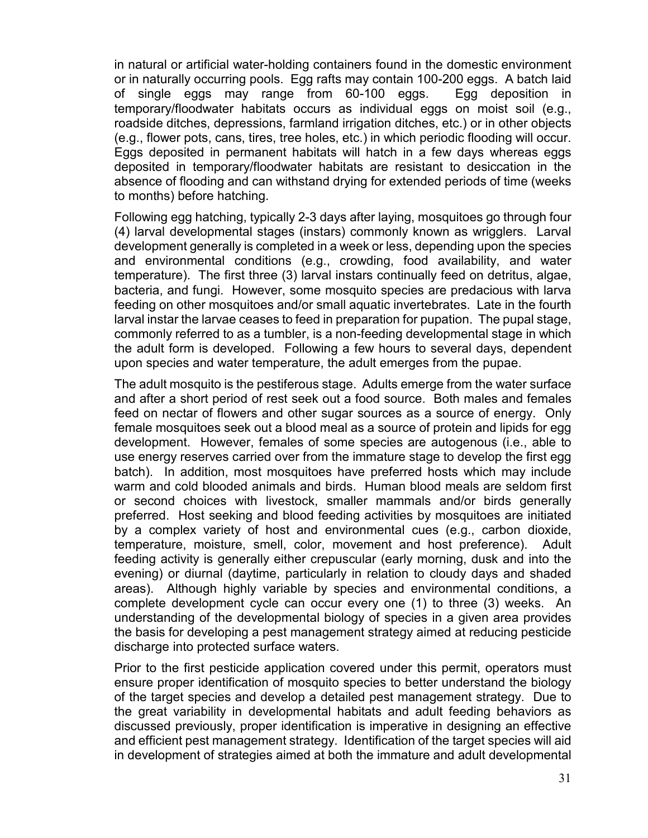in natural or artificial water-holding containers found in the domestic environment or in naturally occurring pools. Egg rafts may contain 100-200 eggs. A batch laid of single eggs may range from 60-100 eggs. Egg deposition in temporary/floodwater habitats occurs as individual eggs on moist soil (e.g., roadside ditches, depressions, farmland irrigation ditches, etc.) or in other objects (e.g., flower pots, cans, tires, tree holes, etc.) in which periodic flooding will occur. Eggs deposited in permanent habitats will hatch in a few days whereas eggs deposited in temporary/floodwater habitats are resistant to desiccation in the absence of flooding and can withstand drying for extended periods of time (weeks to months) before hatching.

Following egg hatching, typically 2-3 days after laying, mosquitoes go through four (4) larval developmental stages (instars) commonly known as wrigglers. Larval development generally is completed in a week or less, depending upon the species and environmental conditions (e.g., crowding, food availability, and water temperature). The first three (3) larval instars continually feed on detritus, algae, bacteria, and fungi. However, some mosquito species are predacious with larva feeding on other mosquitoes and/or small aquatic invertebrates. Late in the fourth larval instar the larvae ceases to feed in preparation for pupation. The pupal stage, commonly referred to as a tumbler, is a non-feeding developmental stage in which the adult form is developed. Following a few hours to several days, dependent upon species and water temperature, the adult emerges from the pupae.

The adult mosquito is the pestiferous stage. Adults emerge from the water surface and after a short period of rest seek out a food source. Both males and females feed on nectar of flowers and other sugar sources as a source of energy. Only female mosquitoes seek out a blood meal as a source of protein and lipids for egg development. However, females of some species are autogenous (i.e., able to use energy reserves carried over from the immature stage to develop the first egg batch). In addition, most mosquitoes have preferred hosts which may include warm and cold blooded animals and birds. Human blood meals are seldom first or second choices with livestock, smaller mammals and/or birds generally preferred. Host seeking and blood feeding activities by mosquitoes are initiated by a complex variety of host and environmental cues (e.g., carbon dioxide, temperature, moisture, smell, color, movement and host preference). Adult feeding activity is generally either crepuscular (early morning, dusk and into the evening) or diurnal (daytime, particularly in relation to cloudy days and shaded areas). Although highly variable by species and environmental conditions, a complete development cycle can occur every one (1) to three (3) weeks. An understanding of the developmental biology of species in a given area provides the basis for developing a pest management strategy aimed at reducing pesticide discharge into protected surface waters.

Prior to the first pesticide application covered under this permit, operators must ensure proper identification of mosquito species to better understand the biology of the target species and develop a detailed pest management strategy. Due to the great variability in developmental habitats and adult feeding behaviors as discussed previously, proper identification is imperative in designing an effective and efficient pest management strategy. Identification of the target species will aid in development of strategies aimed at both the immature and adult developmental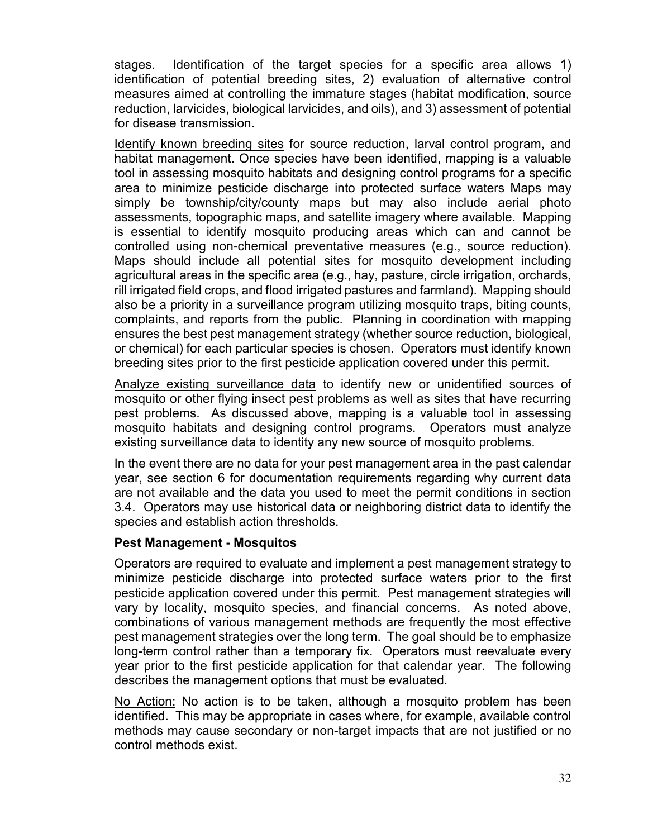stages. Identification of the target species for a specific area allows 1) identification of potential breeding sites, 2) evaluation of alternative control measures aimed at controlling the immature stages (habitat modification, source reduction, larvicides, biological larvicides, and oils), and 3) assessment of potential for disease transmission.

Identify known breeding sites for source reduction, larval control program, and habitat management. Once species have been identified, mapping is a valuable tool in assessing mosquito habitats and designing control programs for a specific area to minimize pesticide discharge into protected surface waters Maps may simply be township/city/county maps but may also include aerial photo assessments, topographic maps, and satellite imagery where available. Mapping is essential to identify mosquito producing areas which can and cannot be controlled using non-chemical preventative measures (e.g., source reduction). Maps should include all potential sites for mosquito development including agricultural areas in the specific area (e.g., hay, pasture, circle irrigation, orchards, rill irrigated field crops, and flood irrigated pastures and farmland). Mapping should also be a priority in a surveillance program utilizing mosquito traps, biting counts, complaints, and reports from the public. Planning in coordination with mapping ensures the best pest management strategy (whether source reduction, biological, or chemical) for each particular species is chosen. Operators must identify known breeding sites prior to the first pesticide application covered under this permit.

Analyze existing surveillance data to identify new or unidentified sources of mosquito or other flying insect pest problems as well as sites that have recurring pest problems.As discussed above, mapping is a valuable tool in assessing mosquito habitats and designing control programs. Operators must analyze existing surveillance data to identity any new source of mosquito problems.

In the event there are no data for your pest management area in the past calendar year, see section 6 for documentation requirements regarding why current data are not available and the data you used to meet the permit conditions in section 3.4. Operators may use historical data or neighboring district data to identify the species and establish action thresholds.

## **Pest Management - Mosquitos**

Operators are required to evaluate and implement a pest management strategy to minimize pesticide discharge into protected surface waters prior to the first pesticide application covered under this permit. Pest management strategies will vary by locality, mosquito species, and financial concerns. As noted above, combinations of various management methods are frequently the most effective pest management strategies over the long term. The goal should be to emphasize long-term control rather than a temporary fix. Operators must reevaluate every year prior to the first pesticide application for that calendar year. The following describes the management options that must be evaluated.

No Action: No action is to be taken, although a mosquito problem has been identified. This may be appropriate in cases where, for example, available control methods may cause secondary or non-target impacts that are not justified or no control methods exist.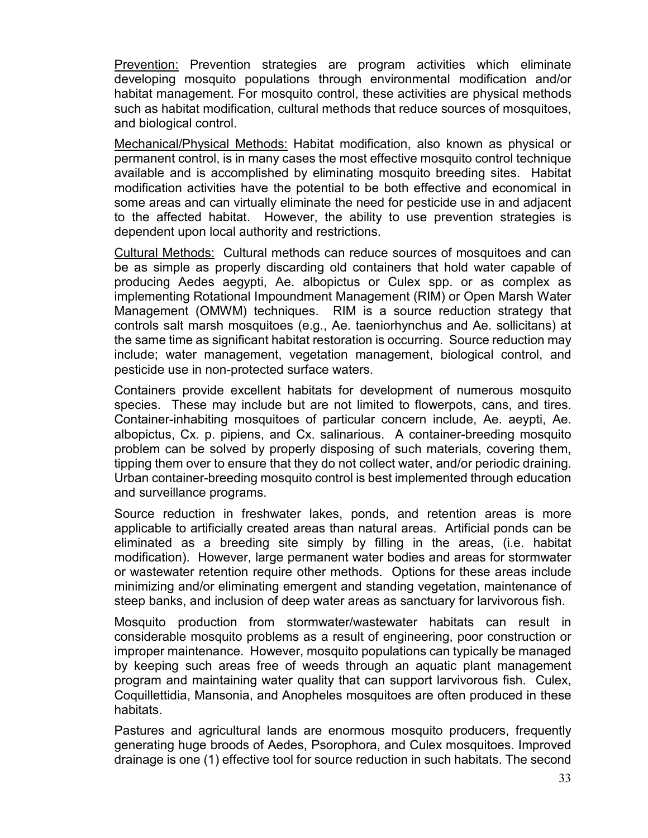Prevention: Prevention strategies are program activities which eliminate developing mosquito populations through environmental modification and/or habitat management. For mosquito control, these activities are physical methods such as habitat modification, cultural methods that reduce sources of mosquitoes, and biological control.

Mechanical/Physical Methods: Habitat modification, also known as physical or permanent control, is in many cases the most effective mosquito control technique available and is accomplished by eliminating mosquito breeding sites. Habitat modification activities have the potential to be both effective and economical in some areas and can virtually eliminate the need for pesticide use in and adjacent to the affected habitat. However, the ability to use prevention strategies is dependent upon local authority and restrictions.

Cultural Methods: Cultural methods can reduce sources of mosquitoes and can be as simple as properly discarding old containers that hold water capable of producing Aedes aegypti, Ae. albopictus or Culex spp. or as complex as implementing Rotational Impoundment Management (RIM) or Open Marsh Water Management (OMWM) techniques. RIM is a source reduction strategy that controls salt marsh mosquitoes (e.g., Ae. taeniorhynchus and Ae. sollicitans) at the same time as significant habitat restoration is occurring. Source reduction may include; water management, vegetation management, biological control, and pesticide use in non-protected surface waters.

Containers provide excellent habitats for development of numerous mosquito species. These may include but are not limited to flowerpots, cans, and tires. Container-inhabiting mosquitoes of particular concern include, Ae. aeypti, Ae. albopictus, Cx. p. pipiens, and Cx. salinarious. A container-breeding mosquito problem can be solved by properly disposing of such materials, covering them, tipping them over to ensure that they do not collect water, and/or periodic draining. Urban container-breeding mosquito control is best implemented through education and surveillance programs.

Source reduction in freshwater lakes, ponds, and retention areas is more applicable to artificially created areas than natural areas. Artificial ponds can be eliminated as a breeding site simply by filling in the areas, (i.e. habitat modification). However, large permanent water bodies and areas for stormwater or wastewater retention require other methods. Options for these areas include minimizing and/or eliminating emergent and standing vegetation, maintenance of steep banks, and inclusion of deep water areas as sanctuary for larvivorous fish.

Mosquito production from stormwater/wastewater habitats can result in considerable mosquito problems as a result of engineering, poor construction or improper maintenance. However, mosquito populations can typically be managed by keeping such areas free of weeds through an aquatic plant management program and maintaining water quality that can support larvivorous fish. Culex, Coquillettidia, Mansonia, and Anopheles mosquitoes are often produced in these habitats.

Pastures and agricultural lands are enormous mosquito producers, frequently generating huge broods of Aedes, Psorophora, and Culex mosquitoes. Improved drainage is one (1) effective tool for source reduction in such habitats. The second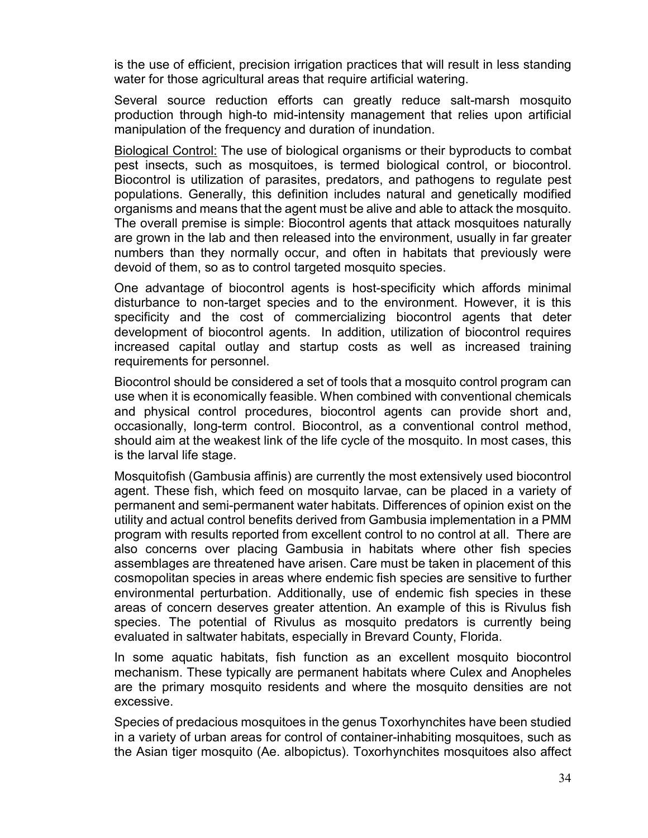is the use of efficient, precision irrigation practices that will result in less standing water for those agricultural areas that require artificial watering.

Several source reduction efforts can greatly reduce salt-marsh mosquito production through high-to mid-intensity management that relies upon artificial manipulation of the frequency and duration of inundation.

Biological Control: The use of biological organisms or their byproducts to combat pest insects, such as mosquitoes, is termed biological control, or biocontrol. Biocontrol is utilization of parasites, predators, and pathogens to regulate pest populations. Generally, this definition includes natural and genetically modified organisms and means that the agent must be alive and able to attack the mosquito. The overall premise is simple: Biocontrol agents that attack mosquitoes naturally are grown in the lab and then released into the environment, usually in far greater numbers than they normally occur, and often in habitats that previously were devoid of them, so as to control targeted mosquito species.

One advantage of biocontrol agents is host-specificity which affords minimal disturbance to non-target species and to the environment. However, it is this specificity and the cost of commercializing biocontrol agents that deter development of biocontrol agents. In addition, utilization of biocontrol requires increased capital outlay and startup costs as well as increased training requirements for personnel.

Biocontrol should be considered a set of tools that a mosquito control program can use when it is economically feasible. When combined with conventional chemicals and physical control procedures, biocontrol agents can provide short and, occasionally, long-term control. Biocontrol, as a conventional control method, should aim at the weakest link of the life cycle of the mosquito. In most cases, this is the larval life stage.

Mosquitofish (Gambusia affinis) are currently the most extensively used biocontrol agent. These fish, which feed on mosquito larvae, can be placed in a variety of permanent and semi-permanent water habitats. Differences of opinion exist on the utility and actual control benefits derived from Gambusia implementation in a PMM program with results reported from excellent control to no control at all. There are also concerns over placing Gambusia in habitats where other fish species assemblages are threatened have arisen. Care must be taken in placement of this cosmopolitan species in areas where endemic fish species are sensitive to further environmental perturbation. Additionally, use of endemic fish species in these areas of concern deserves greater attention. An example of this is Rivulus fish species. The potential of Rivulus as mosquito predators is currently being evaluated in saltwater habitats, especially in Brevard County, Florida.

In some aquatic habitats, fish function as an excellent mosquito biocontrol mechanism. These typically are permanent habitats where Culex and Anopheles are the primary mosquito residents and where the mosquito densities are not excessive.

Species of predacious mosquitoes in the genus Toxorhynchites have been studied in a variety of urban areas for control of container-inhabiting mosquitoes, such as the Asian tiger mosquito (Ae. albopictus). Toxorhynchites mosquitoes also affect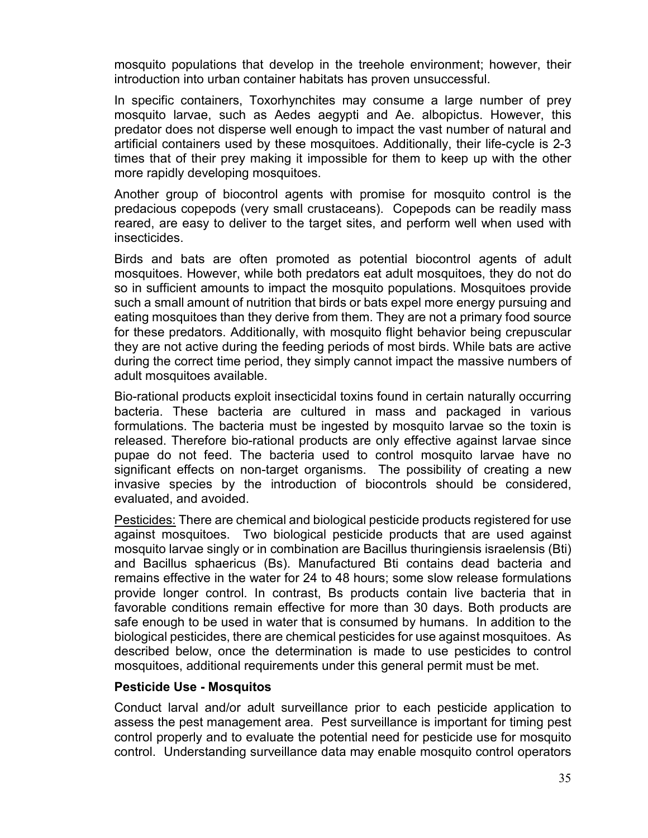mosquito populations that develop in the treehole environment; however, their introduction into urban container habitats has proven unsuccessful.

In specific containers, Toxorhynchites may consume a large number of prey mosquito larvae, such as Aedes aegypti and Ae. albopictus. However, this predator does not disperse well enough to impact the vast number of natural and artificial containers used by these mosquitoes. Additionally, their life-cycle is 2-3 times that of their prey making it impossible for them to keep up with the other more rapidly developing mosquitoes.

Another group of biocontrol agents with promise for mosquito control is the predacious copepods (very small crustaceans). Copepods can be readily mass reared, are easy to deliver to the target sites, and perform well when used with insecticides.

Birds and bats are often promoted as potential biocontrol agents of adult mosquitoes. However, while both predators eat adult mosquitoes, they do not do so in sufficient amounts to impact the mosquito populations. Mosquitoes provide such a small amount of nutrition that birds or bats expel more energy pursuing and eating mosquitoes than they derive from them. They are not a primary food source for these predators. Additionally, with mosquito flight behavior being crepuscular they are not active during the feeding periods of most birds. While bats are active during the correct time period, they simply cannot impact the massive numbers of adult mosquitoes available.

Bio-rational products exploit insecticidal toxins found in certain naturally occurring bacteria. These bacteria are cultured in mass and packaged in various formulations. The bacteria must be ingested by mosquito larvae so the toxin is released. Therefore bio-rational products are only effective against larvae since pupae do not feed. The bacteria used to control mosquito larvae have no significant effects on non-target organisms. The possibility of creating a new invasive species by the introduction of biocontrols should be considered, evaluated, and avoided.

Pesticides: There are chemical and biological pesticide products registered for use against mosquitoes. Two biological pesticide products that are used against mosquito larvae singly or in combination are Bacillus thuringiensis israelensis (Bti) and Bacillus sphaericus (Bs). Manufactured Bti contains dead bacteria and remains effective in the water for 24 to 48 hours; some slow release formulations provide longer control. In contrast, Bs products contain live bacteria that in favorable conditions remain effective for more than 30 days. Both products are safe enough to be used in water that is consumed by humans. In addition to the biological pesticides, there are chemical pesticides for use against mosquitoes. As described below, once the determination is made to use pesticides to control mosquitoes, additional requirements under this general permit must be met.

#### **Pesticide Use - Mosquitos**

Conduct larval and/or adult surveillance prior to each pesticide application to assess the pest management area. Pest surveillance is important for timing pest control properly and to evaluate the potential need for pesticide use for mosquito control. Understanding surveillance data may enable mosquito control operators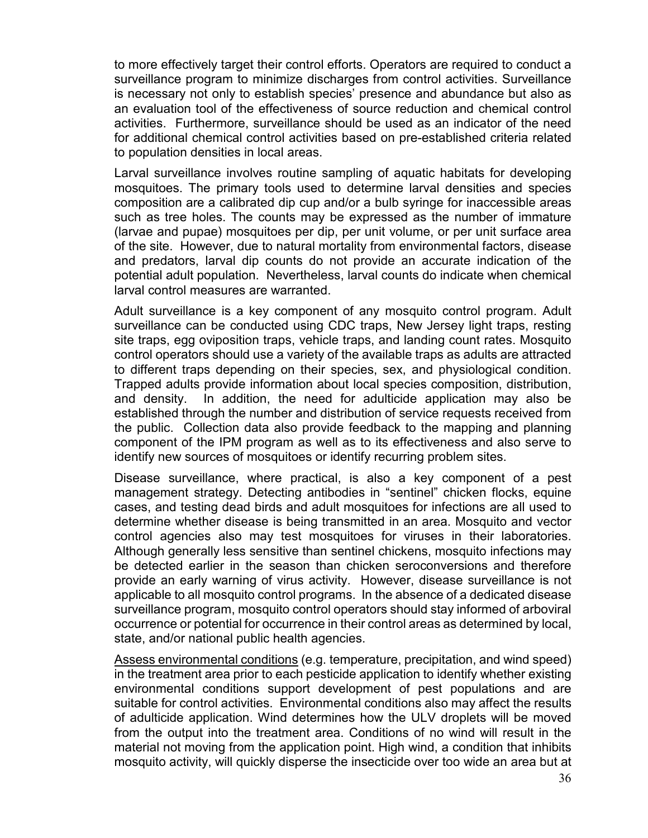to more effectively target their control efforts. Operators are required to conduct a surveillance program to minimize discharges from control activities. Surveillance is necessary not only to establish species' presence and abundance but also as an evaluation tool of the effectiveness of source reduction and chemical control activities. Furthermore, surveillance should be used as an indicator of the need for additional chemical control activities based on pre-established criteria related to population densities in local areas.

Larval surveillance involves routine sampling of aquatic habitats for developing mosquitoes. The primary tools used to determine larval densities and species composition are a calibrated dip cup and/or a bulb syringe for inaccessible areas such as tree holes. The counts may be expressed as the number of immature (larvae and pupae) mosquitoes per dip, per unit volume, or per unit surface area of the site. However, due to natural mortality from environmental factors, disease and predators, larval dip counts do not provide an accurate indication of the potential adult population. Nevertheless, larval counts do indicate when chemical larval control measures are warranted.

Adult surveillance is a key component of any mosquito control program. Adult surveillance can be conducted using CDC traps, New Jersey light traps, resting site traps, egg oviposition traps, vehicle traps, and landing count rates. Mosquito control operators should use a variety of the available traps as adults are attracted to different traps depending on their species, sex, and physiological condition. Trapped adults provide information about local species composition, distribution, and density. In addition, the need for adulticide application may also be established through the number and distribution of service requests received from the public. Collection data also provide feedback to the mapping and planning component of the IPM program as well as to its effectiveness and also serve to identify new sources of mosquitoes or identify recurring problem sites.

Disease surveillance, where practical, is also a key component of a pest management strategy. Detecting antibodies in "sentinel" chicken flocks, equine cases, and testing dead birds and adult mosquitoes for infections are all used to determine whether disease is being transmitted in an area. Mosquito and vector control agencies also may test mosquitoes for viruses in their laboratories. Although generally less sensitive than sentinel chickens, mosquito infections may be detected earlier in the season than chicken seroconversions and therefore provide an early warning of virus activity. However, disease surveillance is not applicable to all mosquito control programs. In the absence of a dedicated disease surveillance program, mosquito control operators should stay informed of arboviral occurrence or potential for occurrence in their control areas as determined by local, state, and/or national public health agencies.

Assess environmental conditions (e.g. temperature, precipitation, and wind speed) in the treatment area prior to each pesticide application to identify whether existing environmental conditions support development of pest populations and are suitable for control activities. Environmental conditions also may affect the results of adulticide application. Wind determines how the ULV droplets will be moved from the output into the treatment area. Conditions of no wind will result in the material not moving from the application point. High wind, a condition that inhibits mosquito activity, will quickly disperse the insecticide over too wide an area but at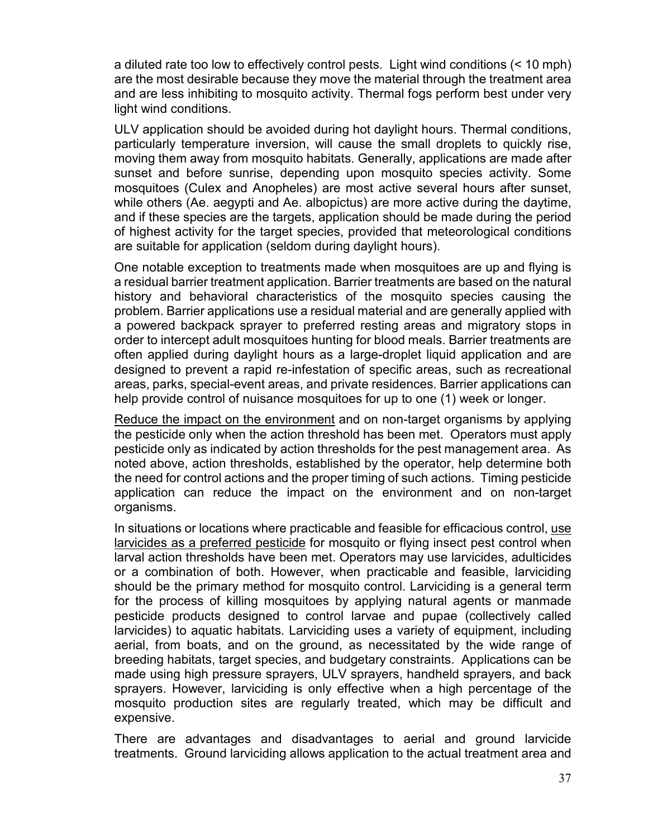a diluted rate too low to effectively control pests. Light wind conditions (< 10 mph) are the most desirable because they move the material through the treatment area and are less inhibiting to mosquito activity. Thermal fogs perform best under very light wind conditions.

ULV application should be avoided during hot daylight hours. Thermal conditions, particularly temperature inversion, will cause the small droplets to quickly rise, moving them away from mosquito habitats. Generally, applications are made after sunset and before sunrise, depending upon mosquito species activity. Some mosquitoes (Culex and Anopheles) are most active several hours after sunset, while others (Ae. aegypti and Ae. albopictus) are more active during the daytime, and if these species are the targets, application should be made during the period of highest activity for the target species, provided that meteorological conditions are suitable for application (seldom during daylight hours).

One notable exception to treatments made when mosquitoes are up and flying is a residual barrier treatment application. Barrier treatments are based on the natural history and behavioral characteristics of the mosquito species causing the problem. Barrier applications use a residual material and are generally applied with a powered backpack sprayer to preferred resting areas and migratory stops in order to intercept adult mosquitoes hunting for blood meals. Barrier treatments are often applied during daylight hours as a large-droplet liquid application and are designed to prevent a rapid re-infestation of specific areas, such as recreational areas, parks, special-event areas, and private residences. Barrier applications can help provide control of nuisance mosquitoes for up to one (1) week or longer.

Reduce the impact on the environment and on non-target organisms by applying the pesticide only when the action threshold has been met. Operators must apply pesticide only as indicated by action thresholds for the pest management area. As noted above, action thresholds, established by the operator, help determine both the need for control actions and the proper timing of such actions. Timing pesticide application can reduce the impact on the environment and on non-target organisms.

In situations or locations where practicable and feasible for efficacious control, use larvicides as a preferred pesticide for mosquito or flying insect pest control when larval action thresholds have been met. Operators may use larvicides, adulticides or a combination of both. However, when practicable and feasible, larviciding should be the primary method for mosquito control. Larviciding is a general term for the process of killing mosquitoes by applying natural agents or manmade pesticide products designed to control larvae and pupae (collectively called larvicides) to aquatic habitats. Larviciding uses a variety of equipment, including aerial, from boats, and on the ground, as necessitated by the wide range of breeding habitats, target species, and budgetary constraints. Applications can be made using high pressure sprayers, ULV sprayers, handheld sprayers, and back sprayers. However, larviciding is only effective when a high percentage of the mosquito production sites are regularly treated, which may be difficult and expensive.

There are advantages and disadvantages to aerial and ground larvicide treatments. Ground larviciding allows application to the actual treatment area and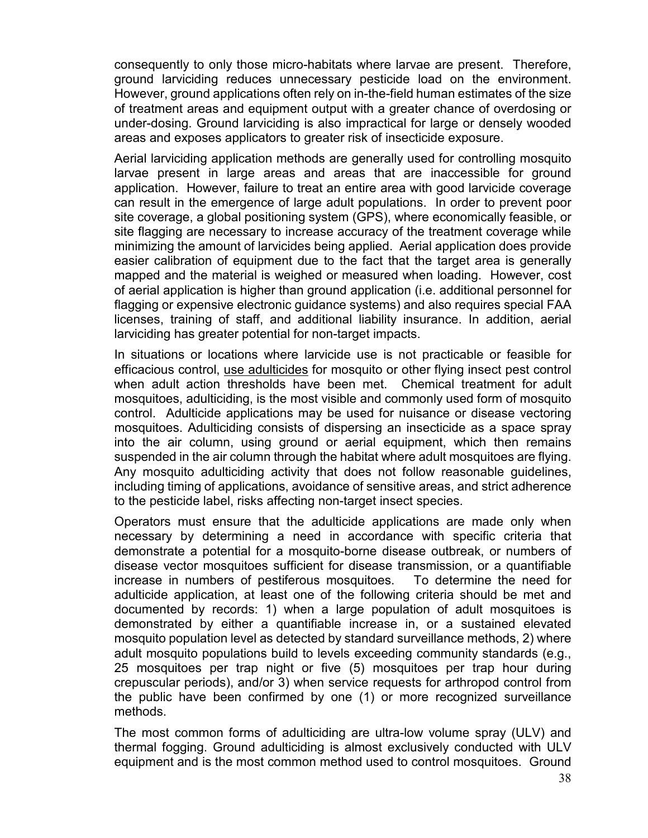consequently to only those micro-habitats where larvae are present. Therefore, ground larviciding reduces unnecessary pesticide load on the environment. However, ground applications often rely on in-the-field human estimates of the size of treatment areas and equipment output with a greater chance of overdosing or under-dosing. Ground larviciding is also impractical for large or densely wooded areas and exposes applicators to greater risk of insecticide exposure.

Aerial larviciding application methods are generally used for controlling mosquito larvae present in large areas and areas that are inaccessible for ground application. However, failure to treat an entire area with good larvicide coverage can result in the emergence of large adult populations. In order to prevent poor site coverage, a global positioning system (GPS), where economically feasible, or site flagging are necessary to increase accuracy of the treatment coverage while minimizing the amount of larvicides being applied. Aerial application does provide easier calibration of equipment due to the fact that the target area is generally mapped and the material is weighed or measured when loading. However, cost of aerial application is higher than ground application (i.e. additional personnel for flagging or expensive electronic guidance systems) and also requires special FAA licenses, training of staff, and additional liability insurance. In addition, aerial larviciding has greater potential for non-target impacts.

In situations or locations where larvicide use is not practicable or feasible for efficacious control, use adulticides for mosquito or other flying insect pest control when adult action thresholds have been met. Chemical treatment for adult mosquitoes, adulticiding, is the most visible and commonly used form of mosquito control. Adulticide applications may be used for nuisance or disease vectoring mosquitoes. Adulticiding consists of dispersing an insecticide as a space spray into the air column, using ground or aerial equipment, which then remains suspended in the air column through the habitat where adult mosquitoes are flying. Any mosquito adulticiding activity that does not follow reasonable guidelines, including timing of applications, avoidance of sensitive areas, and strict adherence to the pesticide label, risks affecting non-target insect species.

Operators must ensure that the adulticide applications are made only when necessary by determining a need in accordance with specific criteria that demonstrate a potential for a mosquito-borne disease outbreak, or numbers of disease vector mosquitoes sufficient for disease transmission, or a quantifiable increase in numbers of pestiferous mosquitoes. To determine the need for adulticide application, at least one of the following criteria should be met and documented by records: 1) when a large population of adult mosquitoes is demonstrated by either a quantifiable increase in, or a sustained elevated mosquito population level as detected by standard surveillance methods, 2) where adult mosquito populations build to levels exceeding community standards (e.g., 25 mosquitoes per trap night or five (5) mosquitoes per trap hour during crepuscular periods), and/or 3) when service requests for arthropod control from the public have been confirmed by one (1) or more recognized surveillance methods.

The most common forms of adulticiding are ultra-low volume spray (ULV) and thermal fogging. Ground adulticiding is almost exclusively conducted with ULV equipment and is the most common method used to control mosquitoes. Ground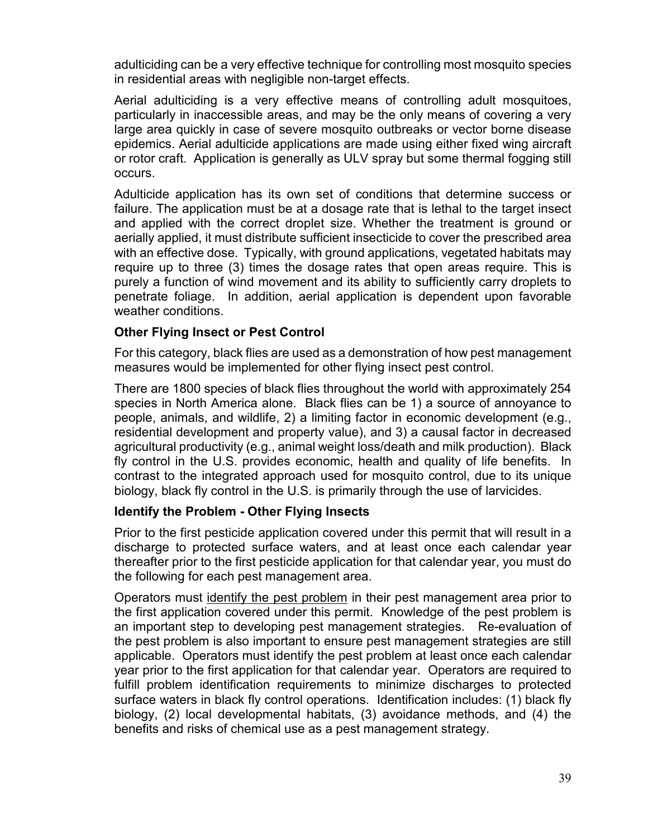adulticiding can be a very effective technique for controlling most mosquito species in residential areas with negligible non-target effects.

Aerial adulticiding is a very effective means of controlling adult mosquitoes, particularly in inaccessible areas, and may be the only means of covering a very large area quickly in case of severe mosquito outbreaks or vector borne disease epidemics. Aerial adulticide applications are made using either fixed wing aircraft or rotor craft. Application is generally as ULV spray but some thermal fogging still occurs.

Adulticide application has its own set of conditions that determine success or failure. The application must be at a dosage rate that is lethal to the target insect and applied with the correct droplet size. Whether the treatment is ground or aerially applied, it must distribute sufficient insecticide to cover the prescribed area with an effective dose. Typically, with ground applications, vegetated habitats may require up to three (3) times the dosage rates that open areas require. This is purely a function of wind movement and its ability to sufficiently carry droplets to penetrate foliage. In addition, aerial application is dependent upon favorable weather conditions.

#### **Other Flying Insect or Pest Control**

For this category, black flies are used as a demonstration of how pest management measures would be implemented for other flying insect pest control.

There are 1800 species of black flies throughout the world with approximately 254 species in North America alone. Black flies can be 1) a source of annoyance to people, animals, and wildlife, 2) a limiting factor in economic development (e.g., residential development and property value), and 3) a causal factor in decreased agricultural productivity (e.g., animal weight loss/death and milk production). Black fly control in the U.S. provides economic, health and quality of life benefits. In contrast to the integrated approach used for mosquito control, due to its unique biology, black fly control in the U.S. is primarily through the use of larvicides.

#### **Identify the Problem - Other Flying Insects**

Prior to the first pesticide application covered under this permit that will result in a discharge to protected surface waters, and at least once each calendar year thereafter prior to the first pesticide application for that calendar year, you must do the following for each pest management area.

Operators must identify the pest problem in their pest management area prior to the first application covered under this permit. Knowledge of the pest problem is an important step to developing pest management strategies. Re-evaluation of the pest problem is also important to ensure pest management strategies are still applicable. Operators must identify the pest problem at least once each calendar year prior to the first application for that calendar year. Operators are required to fulfill problem identification requirements to minimize discharges to protected surface waters in black fly control operations. Identification includes: (1) black fly biology, (2) local developmental habitats, (3) avoidance methods, and (4) the benefits and risks of chemical use as a pest management strategy.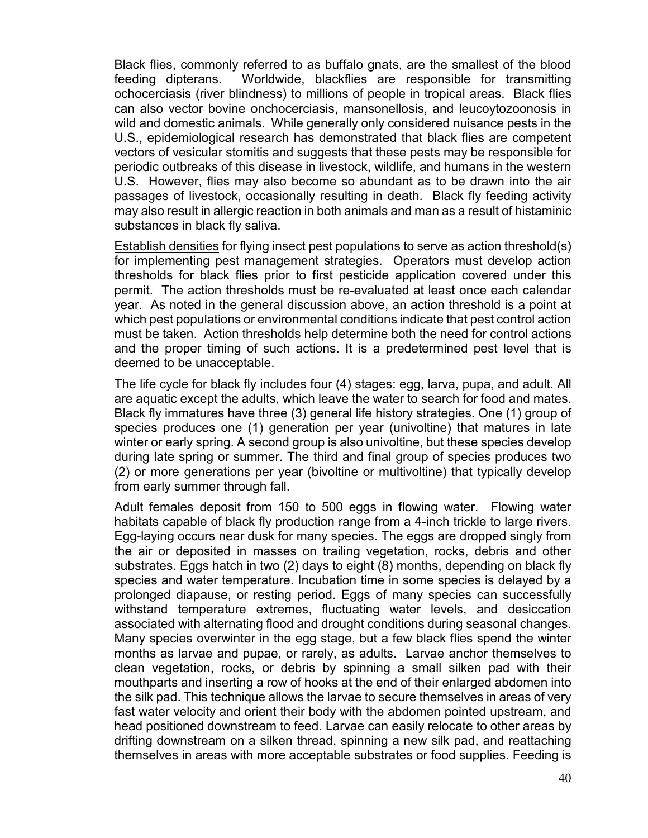Black flies, commonly referred to as buffalo gnats, are the smallest of the blood feeding dipterans. Worldwide, blackflies are responsible for transmitting ochocerciasis (river blindness) to millions of people in tropical areas. Black flies can also vector bovine onchocerciasis, mansonellosis, and leucoytozoonosis in wild and domestic animals. While generally only considered nuisance pests in the U.S., epidemiological research has demonstrated that black flies are competent vectors of vesicular stomitis and suggests that these pests may be responsible for periodic outbreaks of this disease in livestock, wildlife, and humans in the western U.S. However, flies may also become so abundant as to be drawn into the air passages of livestock, occasionally resulting in death. Black fly feeding activity may also result in allergic reaction in both animals and man as a result of histaminic substances in black fly saliva.

Establish densities for flying insect pest populations to serve as action threshold(s) for implementing pest management strategies.Operators must develop action thresholds for black flies prior to first pesticide application covered under this permit. The action thresholds must be re-evaluated at least once each calendar year. As noted in the general discussion above, an action threshold is a point at which pest populations or environmental conditions indicate that pest control action must be taken. Action thresholds help determine both the need for control actions and the proper timing of such actions. It is a predetermined pest level that is deemed to be unacceptable.

The life cycle for black fly includes four (4) stages: egg, larva, pupa, and adult. All are aquatic except the adults, which leave the water to search for food and mates. Black fly immatures have three (3) general life history strategies. One (1) group of species produces one (1) generation per year (univoltine) that matures in late winter or early spring. A second group is also univoltine, but these species develop during late spring or summer. The third and final group of species produces two (2) or more generations per year (bivoltine or multivoltine) that typically develop from early summer through fall.

Adult females deposit from 150 to 500 eggs in flowing water. Flowing water habitats capable of black fly production range from a 4-inch trickle to large rivers. Egg-laying occurs near dusk for many species. The eggs are dropped singly from the air or deposited in masses on trailing vegetation, rocks, debris and other substrates. Eggs hatch in two (2) days to eight (8) months, depending on black fly species and water temperature. Incubation time in some species is delayed by a prolonged diapause, or resting period. Eggs of many species can successfully withstand temperature extremes, fluctuating water levels, and desiccation associated with alternating flood and drought conditions during seasonal changes. Many species overwinter in the egg stage, but a few black flies spend the winter months as larvae and pupae, or rarely, as adults. Larvae anchor themselves to clean vegetation, rocks, or debris by spinning a small silken pad with their mouthparts and inserting a row of hooks at the end of their enlarged abdomen into the silk pad. This technique allows the larvae to secure themselves in areas of very fast water velocity and orient their body with the abdomen pointed upstream, and head positioned downstream to feed. Larvae can easily relocate to other areas by drifting downstream on a silken thread, spinning a new silk pad, and reattaching themselves in areas with more acceptable substrates or food supplies. Feeding is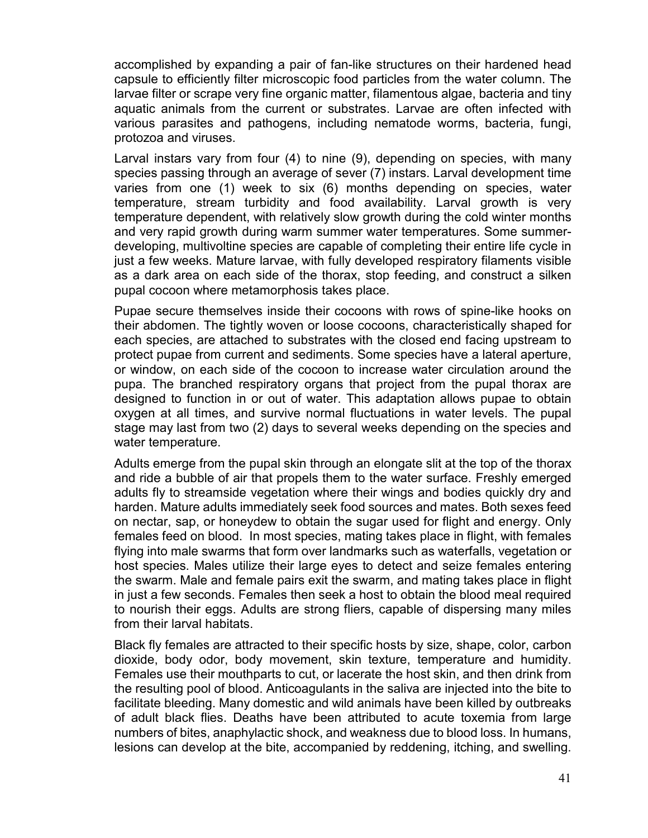accomplished by expanding a pair of fan-like structures on their hardened head capsule to efficiently filter microscopic food particles from the water column. The larvae filter or scrape very fine organic matter, filamentous algae, bacteria and tiny aquatic animals from the current or substrates. Larvae are often infected with various parasites and pathogens, including nematode worms, bacteria, fungi, protozoa and viruses.

Larval instars vary from four (4) to nine (9), depending on species, with many species passing through an average of sever (7) instars. Larval development time varies from one (1) week to six (6) months depending on species, water temperature, stream turbidity and food availability. Larval growth is very temperature dependent, with relatively slow growth during the cold winter months and very rapid growth during warm summer water temperatures. Some summerdeveloping, multivoltine species are capable of completing their entire life cycle in just a few weeks. Mature larvae, with fully developed respiratory filaments visible as a dark area on each side of the thorax, stop feeding, and construct a silken pupal cocoon where metamorphosis takes place.

Pupae secure themselves inside their cocoons with rows of spine-like hooks on their abdomen. The tightly woven or loose cocoons, characteristically shaped for each species, are attached to substrates with the closed end facing upstream to protect pupae from current and sediments. Some species have a lateral aperture, or window, on each side of the cocoon to increase water circulation around the pupa. The branched respiratory organs that project from the pupal thorax are designed to function in or out of water. This adaptation allows pupae to obtain oxygen at all times, and survive normal fluctuations in water levels. The pupal stage may last from two (2) days to several weeks depending on the species and water temperature.

Adults emerge from the pupal skin through an elongate slit at the top of the thorax and ride a bubble of air that propels them to the water surface. Freshly emerged adults fly to streamside vegetation where their wings and bodies quickly dry and harden. Mature adults immediately seek food sources and mates. Both sexes feed on nectar, sap, or honeydew to obtain the sugar used for flight and energy. Only females feed on blood. In most species, mating takes place in flight, with females flying into male swarms that form over landmarks such as waterfalls, vegetation or host species. Males utilize their large eyes to detect and seize females entering the swarm. Male and female pairs exit the swarm, and mating takes place in flight in just a few seconds. Females then seek a host to obtain the blood meal required to nourish their eggs. Adults are strong fliers, capable of dispersing many miles from their larval habitats.

Black fly females are attracted to their specific hosts by size, shape, color, carbon dioxide, body odor, body movement, skin texture, temperature and humidity. Females use their mouthparts to cut, or lacerate the host skin, and then drink from the resulting pool of blood. Anticoagulants in the saliva are injected into the bite to facilitate bleeding. Many domestic and wild animals have been killed by outbreaks of adult black flies. Deaths have been attributed to acute toxemia from large numbers of bites, anaphylactic shock, and weakness due to blood loss. In humans, lesions can develop at the bite, accompanied by reddening, itching, and swelling.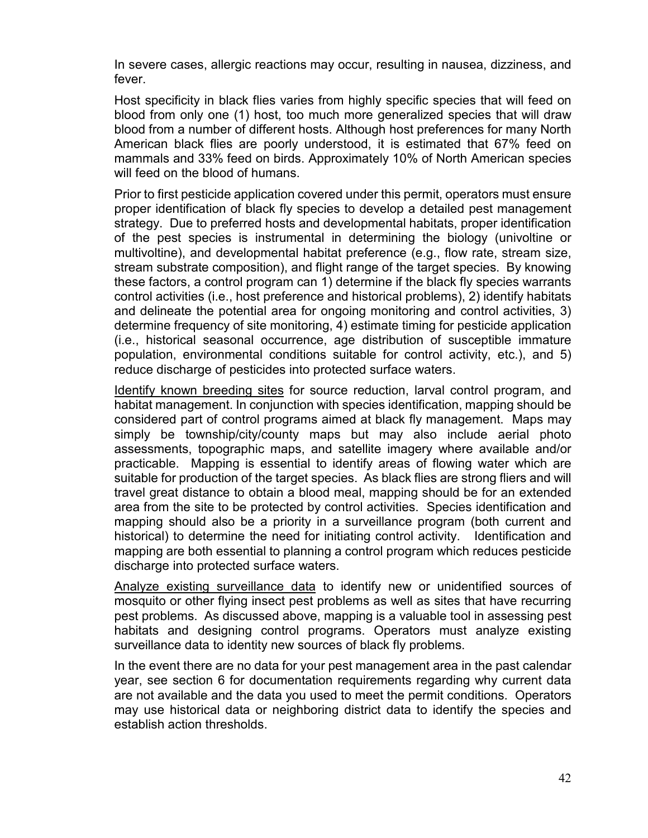In severe cases, allergic reactions may occur, resulting in nausea, dizziness, and fever.

Host specificity in black flies varies from highly specific species that will feed on blood from only one (1) host, too much more generalized species that will draw blood from a number of different hosts. Although host preferences for many North American black flies are poorly understood, it is estimated that 67% feed on mammals and 33% feed on birds. Approximately 10% of North American species will feed on the blood of humans.

Prior to first pesticide application covered under this permit, operators must ensure proper identification of black fly species to develop a detailed pest management strategy. Due to preferred hosts and developmental habitats, proper identification of the pest species is instrumental in determining the biology (univoltine or multivoltine), and developmental habitat preference (e.g., flow rate, stream size, stream substrate composition), and flight range of the target species. By knowing these factors, a control program can 1) determine if the black fly species warrants control activities (i.e., host preference and historical problems), 2) identify habitats and delineate the potential area for ongoing monitoring and control activities, 3) determine frequency of site monitoring, 4) estimate timing for pesticide application (i.e., historical seasonal occurrence, age distribution of susceptible immature population, environmental conditions suitable for control activity, etc.), and 5) reduce discharge of pesticides into protected surface waters.

Identify known breeding sites for source reduction, larval control program, and habitat management. In conjunction with species identification, mapping should be considered part of control programs aimed at black fly management. Maps may simply be township/city/county maps but may also include aerial photo assessments, topographic maps, and satellite imagery where available and/or practicable. Mapping is essential to identify areas of flowing water which are suitable for production of the target species. As black flies are strong fliers and will travel great distance to obtain a blood meal, mapping should be for an extended area from the site to be protected by control activities. Species identification and mapping should also be a priority in a surveillance program (both current and historical) to determine the need for initiating control activity. Identification and mapping are both essential to planning a control program which reduces pesticide discharge into protected surface waters.

Analyze existing surveillance data to identify new or unidentified sources of mosquito or other flying insect pest problems as well as sites that have recurring pest problems. As discussed above, mapping is a valuable tool in assessing pest habitats and designing control programs. Operators must analyze existing surveillance data to identity new sources of black fly problems.

In the event there are no data for your pest management area in the past calendar year, see section 6 for documentation requirements regarding why current data are not available and the data you used to meet the permit conditions. Operators may use historical data or neighboring district data to identify the species and establish action thresholds.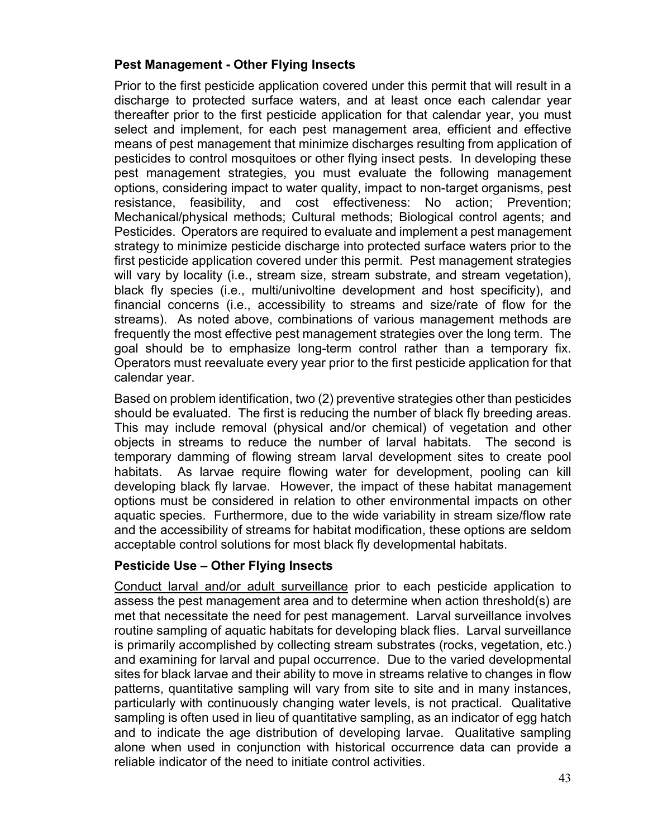### **Pest Management - Other Flying Insects**

Prior to the first pesticide application covered under this permit that will result in a discharge to protected surface waters, and at least once each calendar year thereafter prior to the first pesticide application for that calendar year, you must select and implement, for each pest management area, efficient and effective means of pest management that minimize discharges resulting from application of pesticides to control mosquitoes or other flying insect pests. In developing these pest management strategies, you must evaluate the following management options, considering impact to water quality, impact to non-target organisms, pest resistance, feasibility, and cost effectiveness: No action; Prevention; Mechanical/physical methods; Cultural methods; Biological control agents; and Pesticides. Operators are required to evaluate and implement a pest management strategy to minimize pesticide discharge into protected surface waters prior to the first pesticide application covered under this permit. Pest management strategies will vary by locality (i.e., stream size, stream substrate, and stream vegetation), black fly species (i.e., multi/univoltine development and host specificity), and financial concerns (i.e., accessibility to streams and size/rate of flow for the streams). As noted above, combinations of various management methods are frequently the most effective pest management strategies over the long term. The goal should be to emphasize long-term control rather than a temporary fix. Operators must reevaluate every year prior to the first pesticide application for that calendar year.

Based on problem identification, two (2) preventive strategies other than pesticides should be evaluated. The first is reducing the number of black fly breeding areas. This may include removal (physical and/or chemical) of vegetation and other objects in streams to reduce the number of larval habitats. The second is temporary damming of flowing stream larval development sites to create pool habitats. As larvae require flowing water for development, pooling can kill developing black fly larvae. However, the impact of these habitat management options must be considered in relation to other environmental impacts on other aquatic species. Furthermore, due to the wide variability in stream size/flow rate and the accessibility of streams for habitat modification, these options are seldom acceptable control solutions for most black fly developmental habitats.

#### **Pesticide Use – Other Flying Insects**

Conduct larval and/or adult surveillance prior to each pesticide application to assess the pest management area and to determine when action threshold(s) are met that necessitate the need for pest management.Larval surveillance involves routine sampling of aquatic habitats for developing black flies. Larval surveillance is primarily accomplished by collecting stream substrates (rocks, vegetation, etc.) and examining for larval and pupal occurrence. Due to the varied developmental sites for black larvae and their ability to move in streams relative to changes in flow patterns, quantitative sampling will vary from site to site and in many instances, particularly with continuously changing water levels, is not practical. Qualitative sampling is often used in lieu of quantitative sampling, as an indicator of egg hatch and to indicate the age distribution of developing larvae. Qualitative sampling alone when used in conjunction with historical occurrence data can provide a reliable indicator of the need to initiate control activities.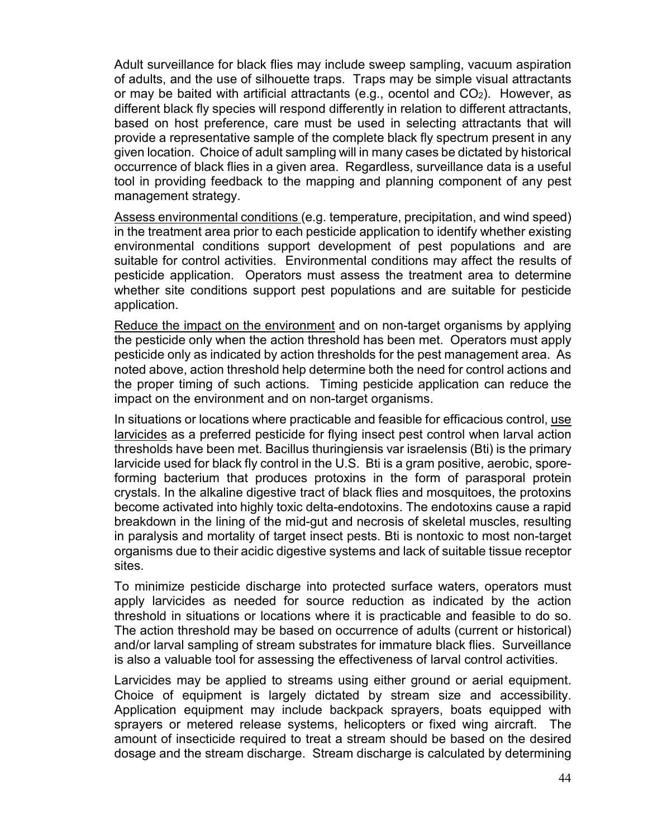Adult surveillance for black flies may include sweep sampling, vacuum aspiration of adults, and the use of silhouette traps. Traps may be simple visual attractants or may be baited with artificial attractants (e.g., ocentol and  $CO<sub>2</sub>$ ). However, as different black fly species will respond differently in relation to different attractants, based on host preference, care must be used in selecting attractants that will provide a representative sample of the complete black fly spectrum present in any given location. Choice of adult sampling will in many cases be dictated by historical occurrence of black flies in a given area. Regardless, surveillance data is a useful tool in providing feedback to the mapping and planning component of any pest management strategy.

Assess environmental conditions (e.g. temperature, precipitation, and wind speed) in the treatment area prior to each pesticide application to identify whether existing environmental conditions support development of pest populations and are suitable for control activities. Environmental conditions may affect the results of pesticide application. Operators must assess the treatment area to determine whether site conditions support pest populations and are suitable for pesticide application.

Reduce the impact on the environment and on non-target organisms by applying the pesticide only when the action threshold has been met. Operators must apply pesticide only as indicated by action thresholds for the pest management area. As noted above, action threshold help determine both the need for control actions and the proper timing of such actions. Timing pesticide application can reduce the impact on the environment and on non-target organisms.

In situations or locations where practicable and feasible for efficacious control, use larvicides as a preferred pesticide for flying insect pest control when larval action thresholds have been met. Bacillus thuringiensis var israelensis (Bti) is the primary larvicide used for black fly control in the U.S. Bti is a gram positive, aerobic, sporeforming bacterium that produces protoxins in the form of parasporal protein crystals. In the alkaline digestive tract of black flies and mosquitoes, the protoxins become activated into highly toxic delta-endotoxins. The endotoxins cause a rapid breakdown in the lining of the mid-gut and necrosis of skeletal muscles, resulting in paralysis and mortality of target insect pests. Bti is nontoxic to most non-target organisms due to their acidic digestive systems and lack of suitable tissue receptor sites.

To minimize pesticide discharge into protected surface waters, operators must apply larvicides as needed for source reduction as indicated by the action threshold in situations or locations where it is practicable and feasible to do so. The action threshold may be based on occurrence of adults (current or historical) and/or larval sampling of stream substrates for immature black flies. Surveillance is also a valuable tool for assessing the effectiveness of larval control activities.

Larvicides may be applied to streams using either ground or aerial equipment. Choice of equipment is largely dictated by stream size and accessibility. Application equipment may include backpack sprayers, boats equipped with sprayers or metered release systems, helicopters or fixed wing aircraft. The amount of insecticide required to treat a stream should be based on the desired dosage and the stream discharge. Stream discharge is calculated by determining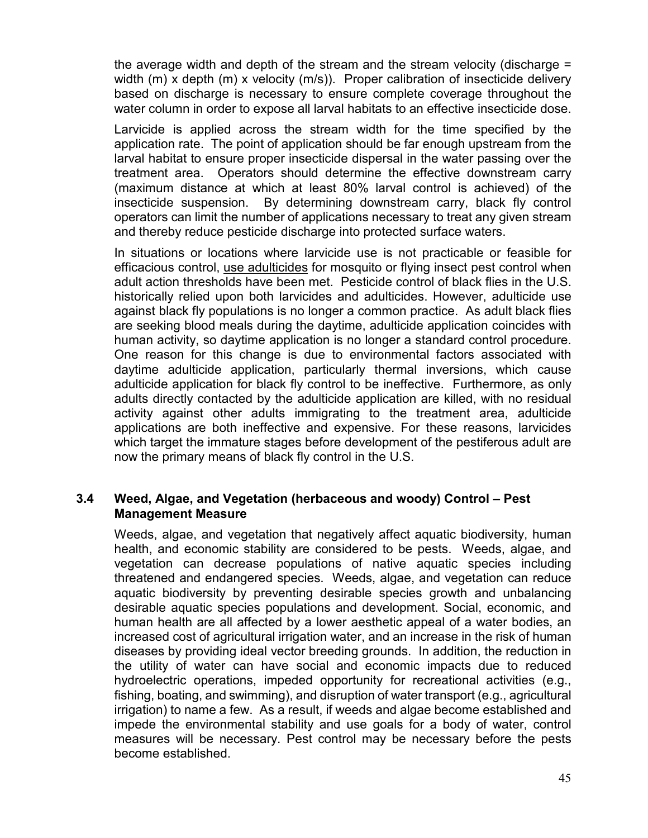the average width and depth of the stream and the stream velocity (discharge = width (m) x depth (m) x velocity (m/s)). Proper calibration of insecticide delivery based on discharge is necessary to ensure complete coverage throughout the water column in order to expose all larval habitats to an effective insecticide dose.

Larvicide is applied across the stream width for the time specified by the application rate. The point of application should be far enough upstream from the larval habitat to ensure proper insecticide dispersal in the water passing over the treatment area. Operators should determine the effective downstream carry (maximum distance at which at least 80% larval control is achieved) of the insecticide suspension. By determining downstream carry, black fly control operators can limit the number of applications necessary to treat any given stream and thereby reduce pesticide discharge into protected surface waters.

In situations or locations where larvicide use is not practicable or feasible for efficacious control, use adulticides for mosquito or flying insect pest control when adult action thresholds have been met.Pesticide control of black flies in the U.S. historically relied upon both larvicides and adulticides. However, adulticide use against black fly populations is no longer a common practice. As adult black flies are seeking blood meals during the daytime, adulticide application coincides with human activity, so daytime application is no longer a standard control procedure. One reason for this change is due to environmental factors associated with daytime adulticide application, particularly thermal inversions, which cause adulticide application for black fly control to be ineffective. Furthermore, as only adults directly contacted by the adulticide application are killed, with no residual activity against other adults immigrating to the treatment area, adulticide applications are both ineffective and expensive. For these reasons, larvicides which target the immature stages before development of the pestiferous adult are now the primary means of black fly control in the U.S.

### **3.4 Weed, Algae, and Vegetation (herbaceous and woody) Control – Pest Management Measure**

Weeds, algae, and vegetation that negatively affect aquatic biodiversity, human health, and economic stability are considered to be pests. Weeds, algae, and vegetation can decrease populations of native aquatic species including threatened and endangered species. Weeds, algae, and vegetation can reduce aquatic biodiversity by preventing desirable species growth and unbalancing desirable aquatic species populations and development. Social, economic, and human health are all affected by a lower aesthetic appeal of a water bodies, an increased cost of agricultural irrigation water, and an increase in the risk of human diseases by providing ideal vector breeding grounds. In addition, the reduction in the utility of water can have social and economic impacts due to reduced hydroelectric operations, impeded opportunity for recreational activities (e.g., fishing, boating, and swimming), and disruption of water transport (e.g., agricultural irrigation) to name a few. As a result, if weeds and algae become established and impede the environmental stability and use goals for a body of water, control measures will be necessary. Pest control may be necessary before the pests become established.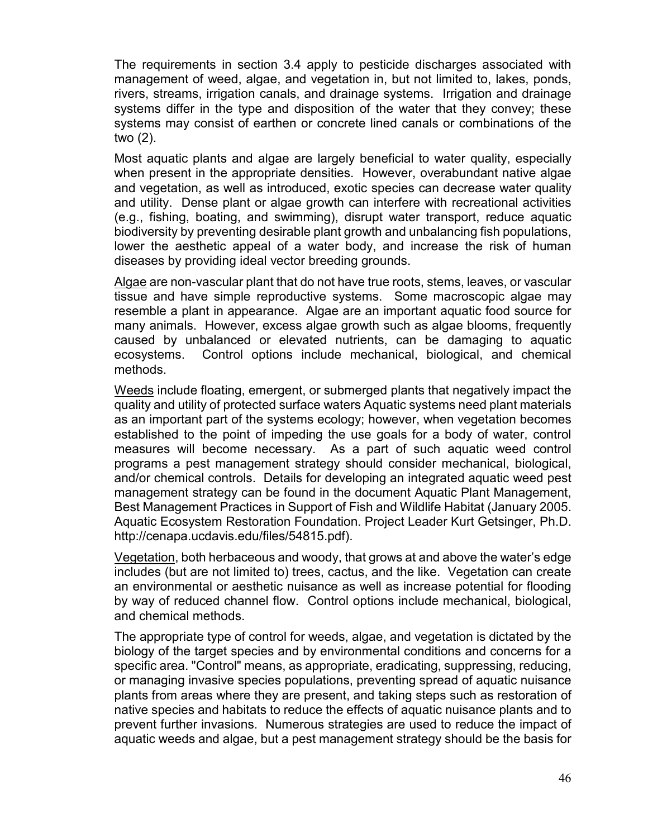The requirements in section 3.4 apply to pesticide discharges associated with management of weed, algae, and vegetation in, but not limited to, lakes, ponds, rivers, streams, irrigation canals, and drainage systems. Irrigation and drainage systems differ in the type and disposition of the water that they convey; these systems may consist of earthen or concrete lined canals or combinations of the two (2).

Most aquatic plants and algae are largely beneficial to water quality, especially when present in the appropriate densities. However, overabundant native algae and vegetation, as well as introduced, exotic species can decrease water quality and utility. Dense plant or algae growth can interfere with recreational activities (e.g., fishing, boating, and swimming), disrupt water transport, reduce aquatic biodiversity by preventing desirable plant growth and unbalancing fish populations, lower the aesthetic appeal of a water body, and increase the risk of human diseases by providing ideal vector breeding grounds.

Algae are non-vascular plant that do not have true roots, stems, leaves, or vascular tissue and have simple reproductive systems. Some macroscopic algae may resemble a plant in appearance. Algae are an important aquatic food source for many animals. However, excess algae growth such as algae blooms, frequently caused by unbalanced or elevated nutrients, can be damaging to aquatic ecosystems. Control options include mechanical, biological, and chemical methods.

Weeds include floating, emergent, or submerged plants that negatively impact the quality and utility of protected surface waters Aquatic systems need plant materials as an important part of the systems ecology; however, when vegetation becomes established to the point of impeding the use goals for a body of water, control measures will become necessary. As a part of such aquatic weed control programs a pest management strategy should consider mechanical, biological, and/or chemical controls. Details for developing an integrated aquatic weed pest management strategy can be found in the document Aquatic Plant Management, Best Management Practices in Support of Fish and Wildlife Habitat (January 2005. Aquatic Ecosystem Restoration Foundation. Project Leader Kurt Getsinger, Ph.D. http://cenapa.ucdavis.edu/files/54815.pdf).

Vegetation, both herbaceous and woody, that grows at and above the water's edge includes (but are not limited to) trees, cactus, and the like. Vegetation can create an environmental or aesthetic nuisance as well as increase potential for flooding by way of reduced channel flow. Control options include mechanical, biological, and chemical methods.

The appropriate type of control for weeds, algae, and vegetation is dictated by the biology of the target species and by environmental conditions and concerns for a specific area. "Control" means, as appropriate, eradicating, suppressing, reducing, or managing invasive species populations, preventing spread of aquatic nuisance plants from areas where they are present, and taking steps such as restoration of native species and habitats to reduce the effects of aquatic nuisance plants and to prevent further invasions. Numerous strategies are used to reduce the impact of aquatic weeds and algae, but a pest management strategy should be the basis for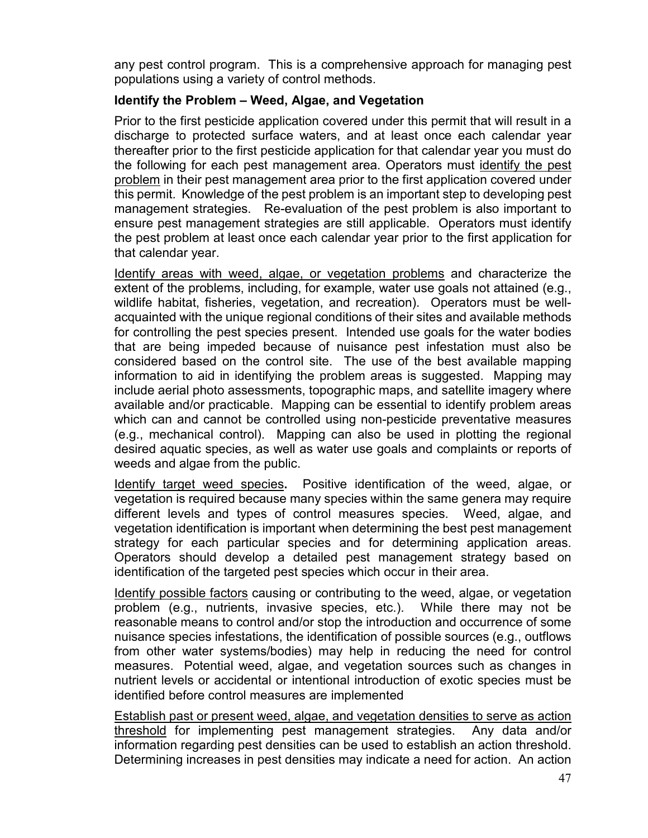any pest control program. This is a comprehensive approach for managing pest populations using a variety of control methods.

## **Identify the Problem – Weed, Algae, and Vegetation**

Prior to the first pesticide application covered under this permit that will result in a discharge to protected surface waters, and at least once each calendar year thereafter prior to the first pesticide application for that calendar year you must do the following for each pest management area. Operators must identify the pest problem in their pest management area prior to the first application covered under this permit. Knowledge of the pest problem is an important step to developing pest management strategies. Re-evaluation of the pest problem is also important to ensure pest management strategies are still applicable. Operators must identify the pest problem at least once each calendar year prior to the first application for that calendar year.

Identify areas with weed, algae, or vegetation problems and characterize the extent of the problems, including, for example, water use goals not attained (e.g., wildlife habitat, fisheries, vegetation, and recreation). Operators must be wellacquainted with the unique regional conditions of their sites and available methods for controlling the pest species present. Intended use goals for the water bodies that are being impeded because of nuisance pest infestation must also be considered based on the control site. The use of the best available mapping information to aid in identifying the problem areas is suggested. Mapping may include aerial photo assessments, topographic maps, and satellite imagery where available and/or practicable. Mapping can be essential to identify problem areas which can and cannot be controlled using non-pesticide preventative measures (e.g., mechanical control). Mapping can also be used in plotting the regional desired aquatic species, as well as water use goals and complaints or reports of weeds and algae from the public.

Identify target weed species**.** Positive identification of the weed, algae, or vegetation is required because many species within the same genera may require different levels and types of control measures species. Weed, algae, and vegetation identification is important when determining the best pest management strategy for each particular species and for determining application areas. Operators should develop a detailed pest management strategy based on identification of the targeted pest species which occur in their area.

Identify possible factors causing or contributing to the weed, algae, or vegetation problem (e.g., nutrients, invasive species, etc.).While there may not be reasonable means to control and/or stop the introduction and occurrence of some nuisance species infestations, the identification of possible sources (e.g., outflows from other water systems/bodies) may help in reducing the need for control measures. Potential weed, algae, and vegetation sources such as changes in nutrient levels or accidental or intentional introduction of exotic species must be identified before control measures are implemented

Establish past or present weed, algae, and vegetation densities to serve as action threshold for implementing pest management strategies. Any data and/or information regarding pest densities can be used to establish an action threshold. Determining increases in pest densities may indicate a need for action. An action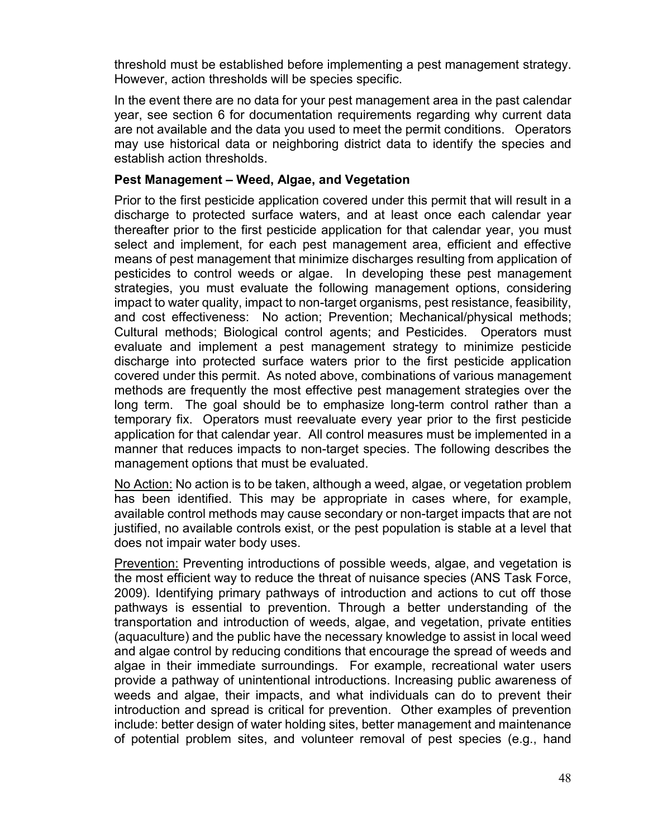threshold must be established before implementing a pest management strategy. However, action thresholds will be species specific.

In the event there are no data for your pest management area in the past calendar year, see section 6 for documentation requirements regarding why current data are not available and the data you used to meet the permit conditions. Operators may use historical data or neighboring district data to identify the species and establish action thresholds.

#### **Pest Management – Weed, Algae, and Vegetation**

Prior to the first pesticide application covered under this permit that will result in a discharge to protected surface waters, and at least once each calendar year thereafter prior to the first pesticide application for that calendar year, you must select and implement, for each pest management area, efficient and effective means of pest management that minimize discharges resulting from application of pesticides to control weeds or algae. In developing these pest management strategies, you must evaluate the following management options, considering impact to water quality, impact to non-target organisms, pest resistance, feasibility, and cost effectiveness: No action; Prevention; Mechanical/physical methods; Cultural methods; Biological control agents; and Pesticides. Operators must evaluate and implement a pest management strategy to minimize pesticide discharge into protected surface waters prior to the first pesticide application covered under this permit. As noted above, combinations of various management methods are frequently the most effective pest management strategies over the long term. The goal should be to emphasize long-term control rather than a temporary fix. Operators must reevaluate every year prior to the first pesticide application for that calendar year. All control measures must be implemented in a manner that reduces impacts to non-target species. The following describes the management options that must be evaluated.

No Action: No action is to be taken, although a weed, algae, or vegetation problem has been identified. This may be appropriate in cases where, for example, available control methods may cause secondary or non-target impacts that are not justified, no available controls exist, or the pest population is stable at a level that does not impair water body uses.

**Prevention:** Preventing introductions of possible weeds, algae, and vegetation is the most efficient way to reduce the threat of nuisance species (ANS Task Force, 2009). Identifying primary pathways of introduction and actions to cut off those pathways is essential to prevention. Through a better understanding of the transportation and introduction of weeds, algae, and vegetation, private entities (aquaculture) and the public have the necessary knowledge to assist in local weed and algae control by reducing conditions that encourage the spread of weeds and algae in their immediate surroundings. For example, recreational water users provide a pathway of unintentional introductions. Increasing public awareness of weeds and algae, their impacts, and what individuals can do to prevent their introduction and spread is critical for prevention. Other examples of prevention include: better design of water holding sites, better management and maintenance of potential problem sites, and volunteer removal of pest species (e.g., hand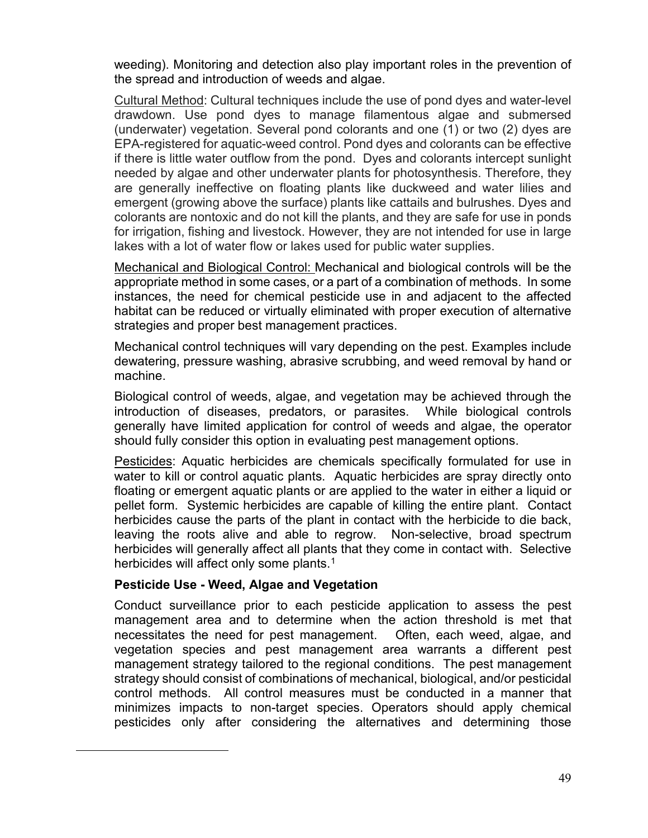weeding). Monitoring and detection also play important roles in the prevention of the spread and introduction of weeds and algae.

Cultural Method: Cultural techniques include the use of pond dyes and water-level drawdown. Use pond dyes to manage filamentous algae and submersed (underwater) vegetation. Several pond colorants and one (1) or two (2) dyes are EPA-registered for aquatic-weed control. Pond dyes and colorants can be effective if there is little water outflow from the pond. Dyes and colorants intercept sunlight needed by algae and other underwater plants for photosynthesis. Therefore, they are generally ineffective on floating plants like duckweed and water lilies and emergent (growing above the surface) plants like cattails and bulrushes. Dyes and colorants are nontoxic and do not kill the plants, and they are safe for use in ponds for irrigation, fishing and livestock. However, they are not intended for use in large lakes with a lot of water flow or lakes used for public water supplies.

Mechanical and Biological Control: Mechanical and biological controls will be the appropriate method in some cases, or a part of a combination of methods. In some instances, the need for chemical pesticide use in and adjacent to the affected habitat can be reduced or virtually eliminated with proper execution of alternative strategies and proper best management practices.

Mechanical control techniques will vary depending on the pest. Examples include dewatering, pressure washing, abrasive scrubbing, and weed removal by hand or machine.

Biological control of weeds, algae, and vegetation may be achieved through the introduction of diseases, predators, or parasites. While biological controls generally have limited application for control of weeds and algae, the operator should fully consider this option in evaluating pest management options.

Pesticides: Aquatic herbicides are chemicals specifically formulated for use in water to kill or control aquatic plants. Aquatic herbicides are spray directly onto floating or emergent aquatic plants or are applied to the water in either a liquid or pellet form. Systemic herbicides are capable of killing the entire plant. Contact herbicides cause the parts of the plant in contact with the herbicide to die back, leaving the roots alive and able to regrow. Non-selective, broad spectrum herbicides will generally affect all plants that they come in contact with. Selective herbicides will affect only some plants.<sup>[1](#page-48-0)</sup>

#### **Pesticide Use - Weed, Algae and Vegetation**

<span id="page-48-0"></span> $\overline{a}$ 

Conduct surveillance prior to each pesticide application to assess the pest management area and to determine when the action threshold is met that necessitates the need for pest management. Often, each weed, algae, and vegetation species and pest management area warrants a different pest management strategy tailored to the regional conditions. The pest management strategy should consist of combinations of mechanical, biological, and/or pesticidal control methods. All control measures must be conducted in a manner that minimizes impacts to non-target species. Operators should apply chemical pesticides only after considering the alternatives and determining those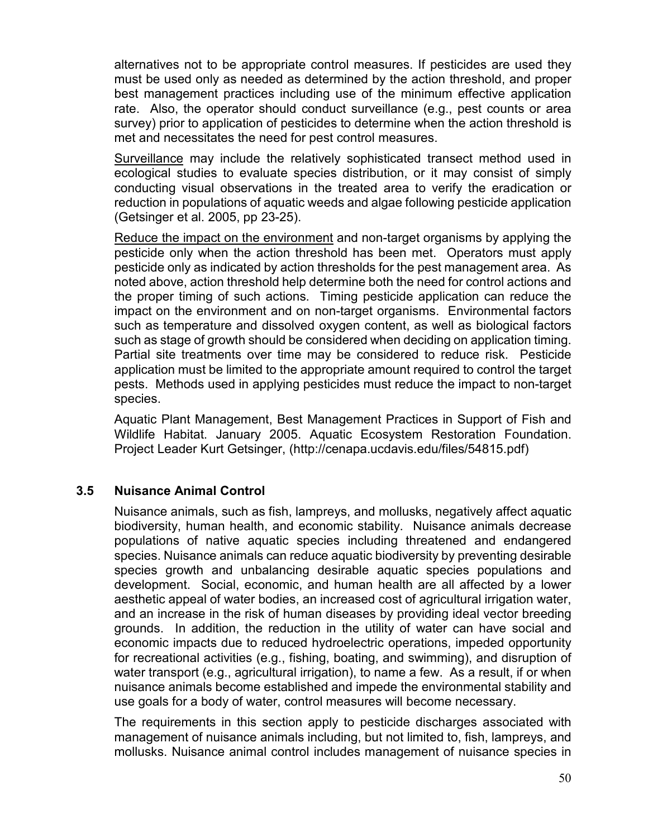alternatives not to be appropriate control measures. If pesticides are used they must be used only as needed as determined by the action threshold, and proper best management practices including use of the minimum effective application rate. Also, the operator should conduct surveillance (e.g., pest counts or area survey) prior to application of pesticides to determine when the action threshold is met and necessitates the need for pest control measures.

Surveillance may include the relatively sophisticated transect method used in ecological studies to evaluate species distribution, or it may consist of simply conducting visual observations in the treated area to verify the eradication or reduction in populations of aquatic weeds and algae following pesticide application (Getsinger et al. 2005, pp 23-25).

Reduce the impact on the environment and non-target organisms by applying the pesticide only when the action threshold has been met. Operators must apply pesticide only as indicated by action thresholds for the pest management area. As noted above, action threshold help determine both the need for control actions and the proper timing of such actions. Timing pesticide application can reduce the impact on the environment and on non-target organisms. Environmental factors such as temperature and dissolved oxygen content, as well as biological factors such as stage of growth should be considered when deciding on application timing. Partial site treatments over time may be considered to reduce risk. Pesticide application must be limited to the appropriate amount required to control the target pests. Methods used in applying pesticides must reduce the impact to non-target species.

Aquatic Plant Management, Best Management Practices in Support of Fish and Wildlife Habitat. January 2005. Aquatic Ecosystem Restoration Foundation. Project Leader Kurt Getsinger, (http://cenapa.ucdavis.edu/files/54815.pdf)

## **3.5 Nuisance Animal Control**

Nuisance animals, such as fish, lampreys, and mollusks, negatively affect aquatic biodiversity, human health, and economic stability. Nuisance animals decrease populations of native aquatic species including threatened and endangered species. Nuisance animals can reduce aquatic biodiversity by preventing desirable species growth and unbalancing desirable aquatic species populations and development. Social, economic, and human health are all affected by a lower aesthetic appeal of water bodies, an increased cost of agricultural irrigation water, and an increase in the risk of human diseases by providing ideal vector breeding grounds. In addition, the reduction in the utility of water can have social and economic impacts due to reduced hydroelectric operations, impeded opportunity for recreational activities (e.g., fishing, boating, and swimming), and disruption of water transport (e.g., agricultural irrigation), to name a few. As a result, if or when nuisance animals become established and impede the environmental stability and use goals for a body of water, control measures will become necessary.

The requirements in this section apply to pesticide discharges associated with management of nuisance animals including, but not limited to, fish, lampreys, and mollusks. Nuisance animal control includes management of nuisance species in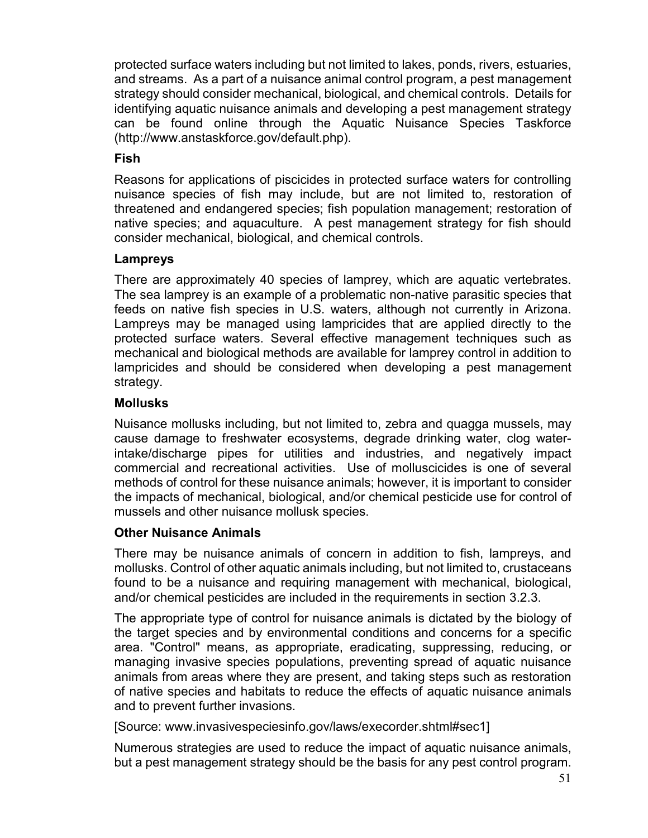protected surface waters including but not limited to lakes, ponds, rivers, estuaries, and streams. As a part of a nuisance animal control program, a pest management strategy should consider mechanical, biological, and chemical controls. Details for identifying aquatic nuisance animals and developing a pest management strategy can be found online through the Aquatic Nuisance Species Taskforce (http://www.anstaskforce.gov/default.php).

### **Fish**

Reasons for applications of piscicides in protected surface waters for controlling nuisance species of fish may include, but are not limited to, restoration of threatened and endangered species; fish population management; restoration of native species; and aquaculture. A pest management strategy for fish should consider mechanical, biological, and chemical controls.

### **Lampreys**

There are approximately 40 species of lamprey, which are aquatic vertebrates. The sea lamprey is an example of a problematic non-native parasitic species that feeds on native fish species in U.S. waters, although not currently in Arizona. Lampreys may be managed using lampricides that are applied directly to the protected surface waters. Several effective management techniques such as mechanical and biological methods are available for lamprey control in addition to lampricides and should be considered when developing a pest management strategy.

### **Mollusks**

Nuisance mollusks including, but not limited to, zebra and quagga mussels, may cause damage to freshwater ecosystems, degrade drinking water, clog waterintake/discharge pipes for utilities and industries, and negatively impact commercial and recreational activities. Use of molluscicides is one of several methods of control for these nuisance animals; however, it is important to consider the impacts of mechanical, biological, and/or chemical pesticide use for control of mussels and other nuisance mollusk species.

## **Other Nuisance Animals**

There may be nuisance animals of concern in addition to fish, lampreys, and mollusks. Control of other aquatic animals including, but not limited to, crustaceans found to be a nuisance and requiring management with mechanical, biological, and/or chemical pesticides are included in the requirements in section 3.2.3.

The appropriate type of control for nuisance animals is dictated by the biology of the target species and by environmental conditions and concerns for a specific area. "Control" means, as appropriate, eradicating, suppressing, reducing, or managing invasive species populations, preventing spread of aquatic nuisance animals from areas where they are present, and taking steps such as restoration of native species and habitats to reduce the effects of aquatic nuisance animals and to prevent further invasions.

[Source: www.invasivespeciesinfo.gov/laws/execorder.shtml#sec1]

Numerous strategies are used to reduce the impact of aquatic nuisance animals, but a pest management strategy should be the basis for any pest control program.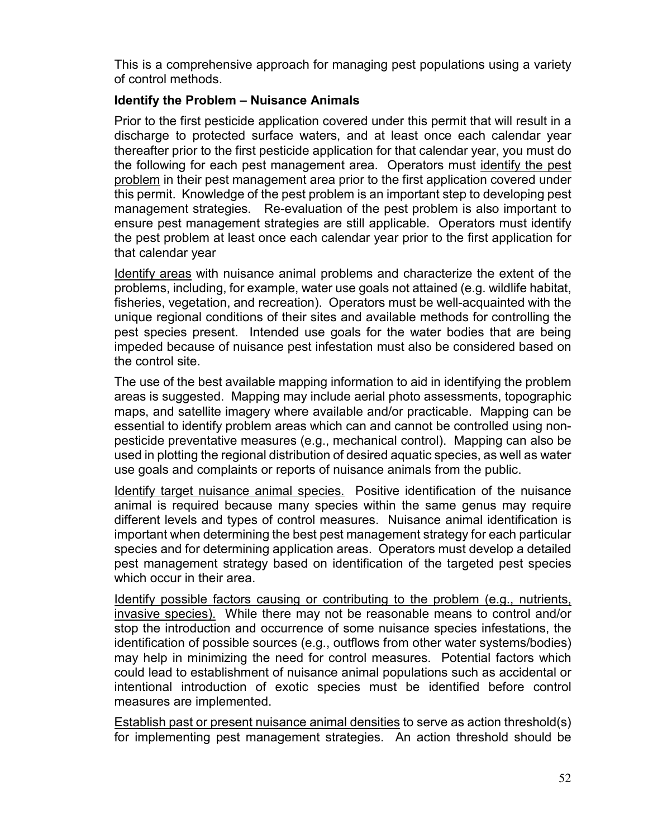This is a comprehensive approach for managing pest populations using a variety of control methods.

## **Identify the Problem – Nuisance Animals**

Prior to the first pesticide application covered under this permit that will result in a discharge to protected surface waters, and at least once each calendar year thereafter prior to the first pesticide application for that calendar year, you must do the following for each pest management area.Operators must identify the pest problem in their pest management area prior to the first application covered under this permit. Knowledge of the pest problem is an important step to developing pest management strategies. Re-evaluation of the pest problem is also important to ensure pest management strategies are still applicable. Operators must identify the pest problem at least once each calendar year prior to the first application for that calendar year

Identify areas with nuisance animal problems and characterize the extent of the problems, including, for example, water use goals not attained (e.g. wildlife habitat, fisheries, vegetation, and recreation). Operators must be well-acquainted with the unique regional conditions of their sites and available methods for controlling the pest species present. Intended use goals for the water bodies that are being impeded because of nuisance pest infestation must also be considered based on the control site.

The use of the best available mapping information to aid in identifying the problem areas is suggested. Mapping may include aerial photo assessments, topographic maps, and satellite imagery where available and/or practicable. Mapping can be essential to identify problem areas which can and cannot be controlled using nonpesticide preventative measures (e.g., mechanical control). Mapping can also be used in plotting the regional distribution of desired aquatic species, as well as water use goals and complaints or reports of nuisance animals from the public.

Identify target nuisance animal species.Positive identification of the nuisance animal is required because many species within the same genus may require different levels and types of control measures. Nuisance animal identification is important when determining the best pest management strategy for each particular species and for determining application areas. Operators must develop a detailed pest management strategy based on identification of the targeted pest species which occur in their area.

Identify possible factors causing or contributing to the problem (e.g., nutrients, invasive species).While there may not be reasonable means to control and/or stop the introduction and occurrence of some nuisance species infestations, the identification of possible sources (e.g., outflows from other water systems/bodies) may help in minimizing the need for control measures. Potential factors which could lead to establishment of nuisance animal populations such as accidental or intentional introduction of exotic species must be identified before control measures are implemented.

Establish past or present nuisance animal densities to serve as action threshold(s) for implementing pest management strategies.An action threshold should be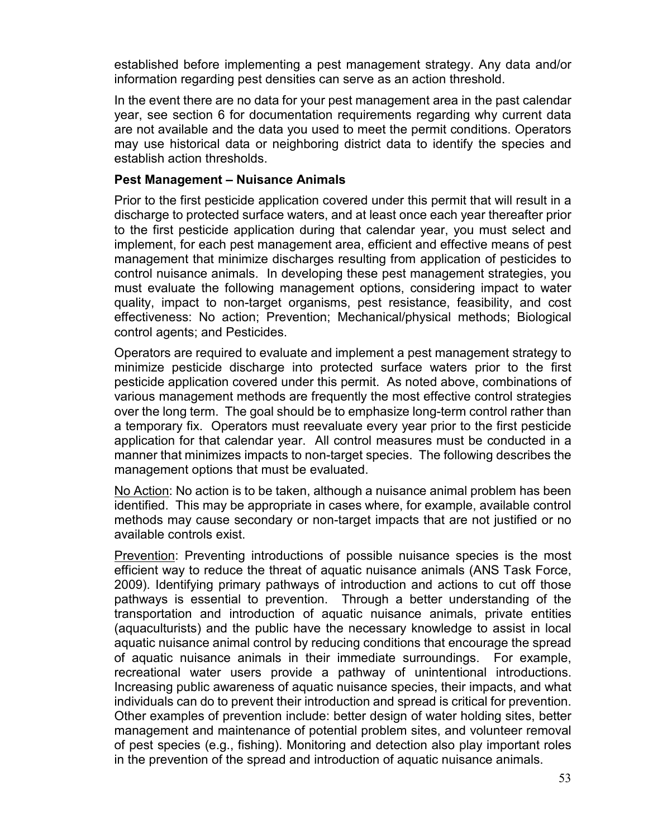established before implementing a pest management strategy. Any data and/or information regarding pest densities can serve as an action threshold.

In the event there are no data for your pest management area in the past calendar year, see section 6 for documentation requirements regarding why current data are not available and the data you used to meet the permit conditions. Operators may use historical data or neighboring district data to identify the species and establish action thresholds.

#### **Pest Management – Nuisance Animals**

Prior to the first pesticide application covered under this permit that will result in a discharge to protected surface waters, and at least once each year thereafter prior to the first pesticide application during that calendar year, you must select and implement, for each pest management area, efficient and effective means of pest management that minimize discharges resulting from application of pesticides to control nuisance animals. In developing these pest management strategies, you must evaluate the following management options, considering impact to water quality, impact to non-target organisms, pest resistance, feasibility, and cost effectiveness: No action; Prevention; Mechanical/physical methods; Biological control agents; and Pesticides.

Operators are required to evaluate and implement a pest management strategy to minimize pesticide discharge into protected surface waters prior to the first pesticide application covered under this permit. As noted above, combinations of various management methods are frequently the most effective control strategies over the long term. The goal should be to emphasize long-term control rather than a temporary fix. Operators must reevaluate every year prior to the first pesticide application for that calendar year. All control measures must be conducted in a manner that minimizes impacts to non-target species. The following describes the management options that must be evaluated.

No Action: No action is to be taken, although a nuisance animal problem has been identified. This may be appropriate in cases where, for example, available control methods may cause secondary or non-target impacts that are not justified or no available controls exist.

Prevention: Preventing introductions of possible nuisance species is the most efficient way to reduce the threat of aquatic nuisance animals (ANS Task Force, 2009). Identifying primary pathways of introduction and actions to cut off those pathways is essential to prevention. Through a better understanding of the transportation and introduction of aquatic nuisance animals, private entities (aquaculturists) and the public have the necessary knowledge to assist in local aquatic nuisance animal control by reducing conditions that encourage the spread of aquatic nuisance animals in their immediate surroundings. For example, recreational water users provide a pathway of unintentional introductions. Increasing public awareness of aquatic nuisance species, their impacts, and what individuals can do to prevent their introduction and spread is critical for prevention. Other examples of prevention include: better design of water holding sites, better management and maintenance of potential problem sites, and volunteer removal of pest species (e.g., fishing). Monitoring and detection also play important roles in the prevention of the spread and introduction of aquatic nuisance animals.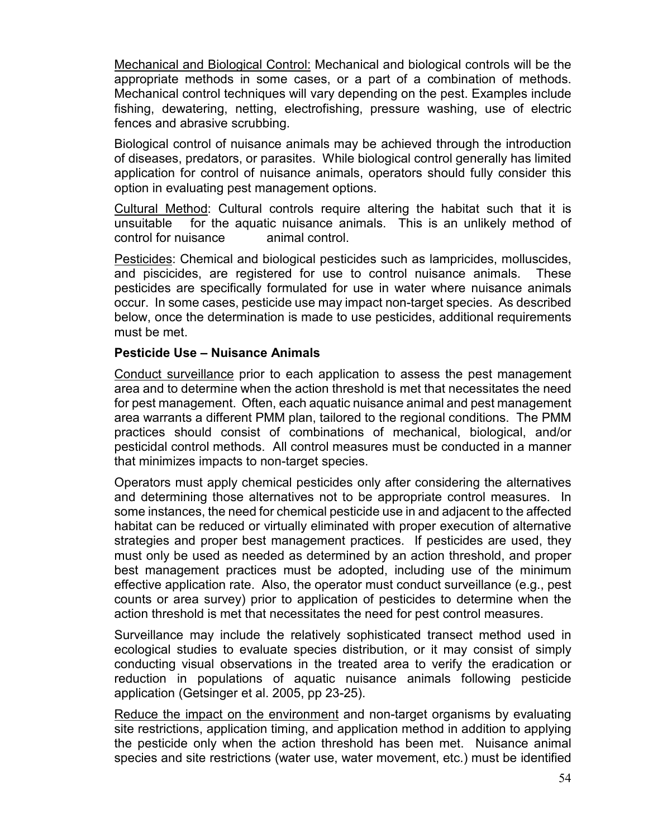Mechanical and Biological Control: Mechanical and biological controls will be the appropriate methods in some cases, or a part of a combination of methods. Mechanical control techniques will vary depending on the pest. Examples include fishing, dewatering, netting, electrofishing, pressure washing, use of electric fences and abrasive scrubbing.

Biological control of nuisance animals may be achieved through the introduction of diseases, predators, or parasites. While biological control generally has limited application for control of nuisance animals, operators should fully consider this option in evaluating pest management options.

Cultural Method: Cultural controls require altering the habitat such that it is unsuitable for the aquatic nuisance animals. This is an unlikely method of control for nuisance animal control.

Pesticides: Chemical and biological pesticides such as lampricides, molluscides, and piscicides, are registered for use to control nuisance animals. These pesticides are specifically formulated for use in water where nuisance animals occur. In some cases, pesticide use may impact non-target species. As described below, once the determination is made to use pesticides, additional requirements must be met.

#### **Pesticide Use – Nuisance Animals**

Conduct surveillance prior to each application to assess the pest management area and to determine when the action threshold is met that necessitates the need for pest management. Often, each aquatic nuisance animal and pest management area warrants a different PMM plan, tailored to the regional conditions. The PMM practices should consist of combinations of mechanical, biological, and/or pesticidal control methods. All control measures must be conducted in a manner that minimizes impacts to non-target species.

Operators must apply chemical pesticides only after considering the alternatives and determining those alternatives not to be appropriate control measures. In some instances, the need for chemical pesticide use in and adjacent to the affected habitat can be reduced or virtually eliminated with proper execution of alternative strategies and proper best management practices. If pesticides are used, they must only be used as needed as determined by an action threshold, and proper best management practices must be adopted, including use of the minimum effective application rate. Also, the operator must conduct surveillance (e.g., pest counts or area survey) prior to application of pesticides to determine when the action threshold is met that necessitates the need for pest control measures.

Surveillance may include the relatively sophisticated transect method used in ecological studies to evaluate species distribution, or it may consist of simply conducting visual observations in the treated area to verify the eradication or reduction in populations of aquatic nuisance animals following pesticide application (Getsinger et al. 2005, pp 23-25).

Reduce the impact on the environment and non-target organisms by evaluating site restrictions, application timing, and application method in addition to applying the pesticide only when the action threshold has been met. Nuisance animal species and site restrictions (water use, water movement, etc.) must be identified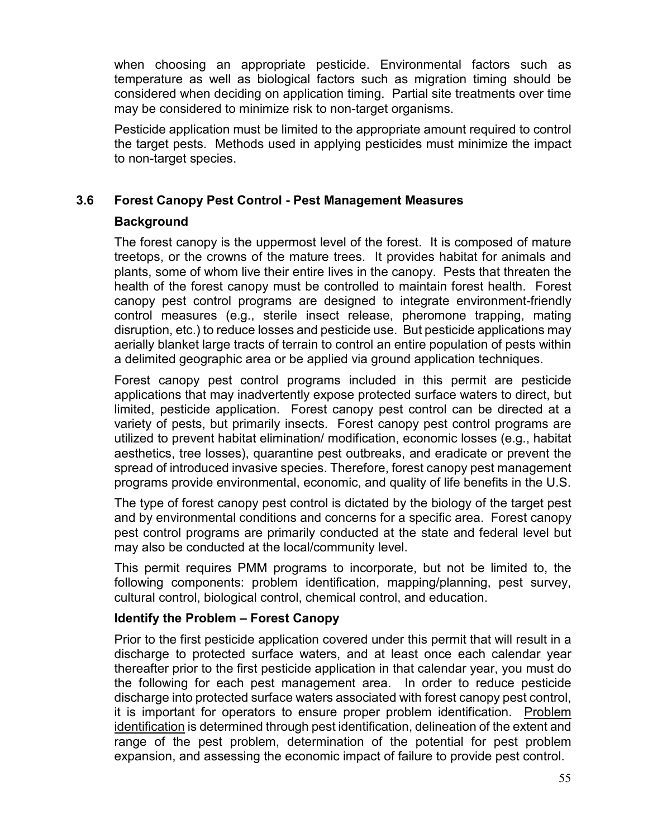when choosing an appropriate pesticide. Environmental factors such as temperature as well as biological factors such as migration timing should be considered when deciding on application timing. Partial site treatments over time may be considered to minimize risk to non-target organisms.

Pesticide application must be limited to the appropriate amount required to control the target pests. Methods used in applying pesticides must minimize the impact to non-target species.

# **3.6 Forest Canopy Pest Control - Pest Management Measures**

## **Background**

The forest canopy is the uppermost level of the forest. It is composed of mature treetops, or the crowns of the mature trees. It provides habitat for animals and plants, some of whom live their entire lives in the canopy. Pests that threaten the health of the forest canopy must be controlled to maintain forest health. Forest canopy pest control programs are designed to integrate environment-friendly control measures (e.g., sterile insect release, pheromone trapping, mating disruption, etc.) to reduce losses and pesticide use. But pesticide applications may aerially blanket large tracts of terrain to control an entire population of pests within a delimited geographic area or be applied via ground application techniques.

Forest canopy pest control programs included in this permit are pesticide applications that may inadvertently expose protected surface waters to direct, but limited, pesticide application. Forest canopy pest control can be directed at a variety of pests, but primarily insects. Forest canopy pest control programs are utilized to prevent habitat elimination/ modification, economic losses (e.g., habitat aesthetics, tree losses), quarantine pest outbreaks, and eradicate or prevent the spread of introduced invasive species. Therefore, forest canopy pest management programs provide environmental, economic, and quality of life benefits in the U.S.

The type of forest canopy pest control is dictated by the biology of the target pest and by environmental conditions and concerns for a specific area. Forest canopy pest control programs are primarily conducted at the state and federal level but may also be conducted at the local/community level.

This permit requires PMM programs to incorporate, but not be limited to, the following components: problem identification, mapping/planning, pest survey, cultural control, biological control, chemical control, and education.

## **Identify the Problem – Forest Canopy**

Prior to the first pesticide application covered under this permit that will result in a discharge to protected surface waters, and at least once each calendar year thereafter prior to the first pesticide application in that calendar year, you must do the following for each pest management area. In order to reduce pesticide discharge into protected surface waters associated with forest canopy pest control, it is important for operators to ensure proper problem identification. Problem identification is determined through pest identification, delineation of the extent and range of the pest problem, determination of the potential for pest problem expansion, and assessing the economic impact of failure to provide pest control.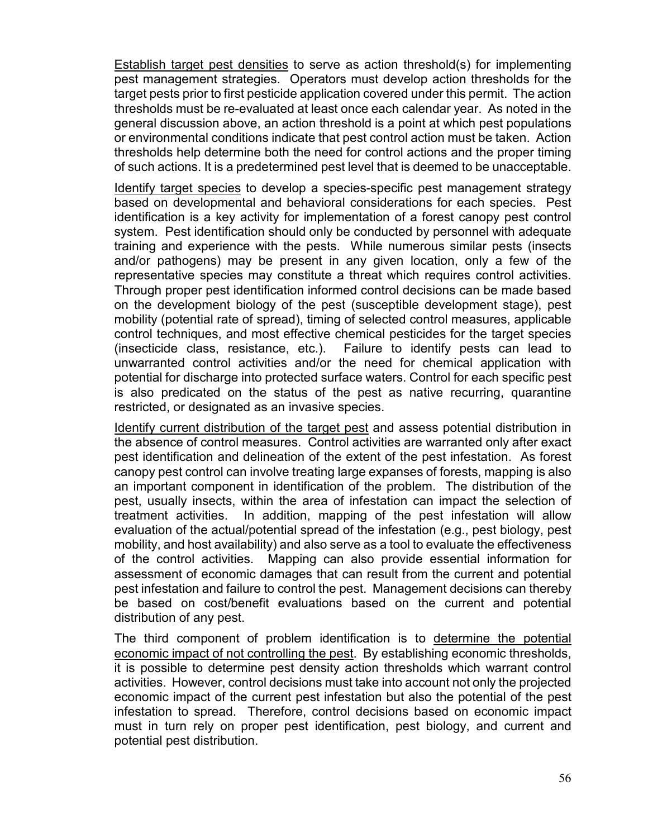Establish target pest densities to serve as action threshold(s) for implementing pest management strategies. Operators must develop action thresholds for the target pests prior to first pesticide application covered under this permit. The action thresholds must be re-evaluated at least once each calendar year. As noted in the general discussion above, an action threshold is a point at which pest populations or environmental conditions indicate that pest control action must be taken. Action thresholds help determine both the need for control actions and the proper timing of such actions. It is a predetermined pest level that is deemed to be unacceptable.

Identify target species to develop a species-specific pest management strategy based on developmental and behavioral considerations for each species. Pest identification is a key activity for implementation of a forest canopy pest control system. Pest identification should only be conducted by personnel with adequate training and experience with the pests. While numerous similar pests (insects and/or pathogens) may be present in any given location, only a few of the representative species may constitute a threat which requires control activities. Through proper pest identification informed control decisions can be made based on the development biology of the pest (susceptible development stage), pest mobility (potential rate of spread), timing of selected control measures, applicable control techniques, and most effective chemical pesticides for the target species<br>(insecticide class, resistance, etc.). Failure to identify pests can lead to Failure to identify pests can lead to unwarranted control activities and/or the need for chemical application with potential for discharge into protected surface waters. Control for each specific pest is also predicated on the status of the pest as native recurring, quarantine restricted, or designated as an invasive species.

Identify current distribution of the target pest and assess potential distribution in the absence of control measures. Control activities are warranted only after exact pest identification and delineation of the extent of the pest infestation. As forest canopy pest control can involve treating large expanses of forests, mapping is also an important component in identification of the problem. The distribution of the pest, usually insects, within the area of infestation can impact the selection of treatment activities. In addition, mapping of the pest infestation will allow evaluation of the actual/potential spread of the infestation (e.g., pest biology, pest mobility, and host availability) and also serve as a tool to evaluate the effectiveness of the control activities. Mapping can also provide essential information for assessment of economic damages that can result from the current and potential pest infestation and failure to control the pest. Management decisions can thereby be based on cost/benefit evaluations based on the current and potential distribution of any pest.

The third component of problem identification is to determine the potential economic impact of not controlling the pest. By establishing economic thresholds, it is possible to determine pest density action thresholds which warrant control activities. However, control decisions must take into account not only the projected economic impact of the current pest infestation but also the potential of the pest infestation to spread. Therefore, control decisions based on economic impact must in turn rely on proper pest identification, pest biology, and current and potential pest distribution.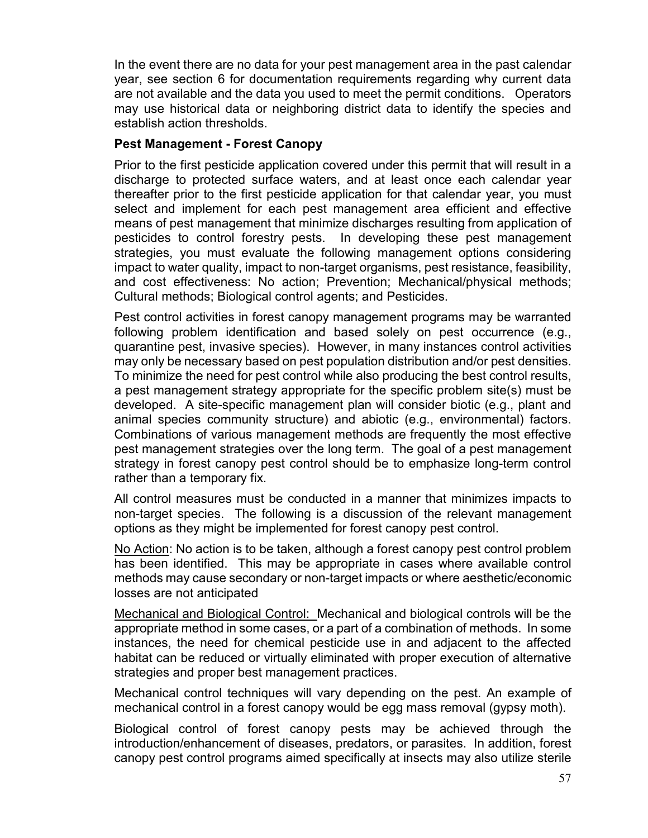In the event there are no data for your pest management area in the past calendar year, see section 6 for documentation requirements regarding why current data are not available and the data you used to meet the permit conditions. Operators may use historical data or neighboring district data to identify the species and establish action thresholds.

### **Pest Management - Forest Canopy**

Prior to the first pesticide application covered under this permit that will result in a discharge to protected surface waters, and at least once each calendar year thereafter prior to the first pesticide application for that calendar year, you must select and implement for each pest management area efficient and effective means of pest management that minimize discharges resulting from application of pesticides to control forestry pests. In developing these pest management strategies, you must evaluate the following management options considering impact to water quality, impact to non-target organisms, pest resistance, feasibility, and cost effectiveness: No action; Prevention; Mechanical/physical methods; Cultural methods; Biological control agents; and Pesticides.

Pest control activities in forest canopy management programs may be warranted following problem identification and based solely on pest occurrence (e.g., quarantine pest, invasive species). However, in many instances control activities may only be necessary based on pest population distribution and/or pest densities. To minimize the need for pest control while also producing the best control results, a pest management strategy appropriate for the specific problem site(s) must be developed. A site-specific management plan will consider biotic (e.g., plant and animal species community structure) and abiotic (e.g., environmental) factors. Combinations of various management methods are frequently the most effective pest management strategies over the long term. The goal of a pest management strategy in forest canopy pest control should be to emphasize long-term control rather than a temporary fix.

All control measures must be conducted in a manner that minimizes impacts to non-target species. The following is a discussion of the relevant management options as they might be implemented for forest canopy pest control.

No Action: No action is to be taken, although a forest canopy pest control problem has been identified. This may be appropriate in cases where available control methods may cause secondary or non-target impacts or where aesthetic/economic losses are not anticipated

Mechanical and Biological Control: Mechanical and biological controls will be the appropriate method in some cases, or a part of a combination of methods. In some instances, the need for chemical pesticide use in and adjacent to the affected habitat can be reduced or virtually eliminated with proper execution of alternative strategies and proper best management practices.

Mechanical control techniques will vary depending on the pest. An example of mechanical control in a forest canopy would be egg mass removal (gypsy moth).

Biological control of forest canopy pests may be achieved through the introduction/enhancement of diseases, predators, or parasites. In addition, forest canopy pest control programs aimed specifically at insects may also utilize sterile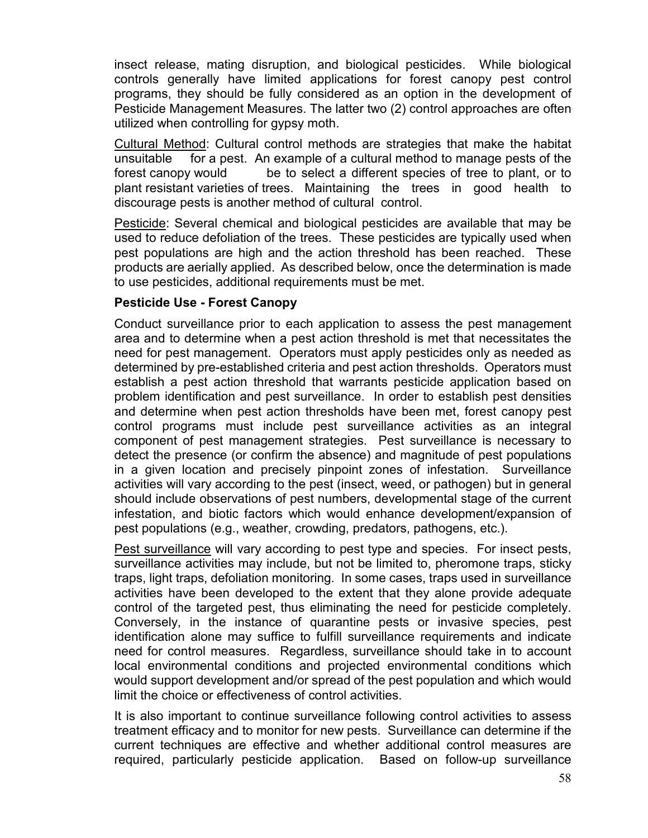insect release, mating disruption, and biological pesticides. While biological controls generally have limited applications for forest canopy pest control programs, they should be fully considered as an option in the development of Pesticide Management Measures. The latter two (2) control approaches are often utilized when controlling for gypsy moth.

Cultural Method: Cultural control methods are strategies that make the habitat unsuitable for a pest. An example of a cultural method to manage pests of the forest canopy would be to select a different species of tree to plant, or to plant resistant varieties of trees. Maintaining the trees in good health to discourage pests is another method of cultural control.

Pesticide: Several chemical and biological pesticides are available that may be used to reduce defoliation of the trees. These pesticides are typically used when pest populations are high and the action threshold has been reached. These products are aerially applied. As described below, once the determination is made to use pesticides, additional requirements must be met.

### **Pesticide Use - Forest Canopy**

Conduct surveillance prior to each application to assess the pest management area and to determine when a pest action threshold is met that necessitates the need for pest management.Operators must apply pesticides only as needed as determined by pre-established criteria and pest action thresholds. Operators must establish a pest action threshold that warrants pesticide application based on problem identification and pest surveillance. In order to establish pest densities and determine when pest action thresholds have been met, forest canopy pest control programs must include pest surveillance activities as an integral component of pest management strategies. Pest surveillance is necessary to detect the presence (or confirm the absence) and magnitude of pest populations in a given location and precisely pinpoint zones of infestation. Surveillance activities will vary according to the pest (insect, weed, or pathogen) but in general should include observations of pest numbers, developmental stage of the current infestation, and biotic factors which would enhance development/expansion of pest populations (e.g., weather, crowding, predators, pathogens, etc.).

Pest surveillance will vary according to pest type and species. For insect pests, surveillance activities may include, but not be limited to, pheromone traps, sticky traps, light traps, defoliation monitoring. In some cases, traps used in surveillance activities have been developed to the extent that they alone provide adequate control of the targeted pest, thus eliminating the need for pesticide completely. Conversely, in the instance of quarantine pests or invasive species, pest identification alone may suffice to fulfill surveillance requirements and indicate need for control measures. Regardless, surveillance should take in to account local environmental conditions and projected environmental conditions which would support development and/or spread of the pest population and which would limit the choice or effectiveness of control activities.

It is also important to continue surveillance following control activities to assess treatment efficacy and to monitor for new pests. Surveillance can determine if the current techniques are effective and whether additional control measures are required, particularly pesticide application. Based on follow-up surveillance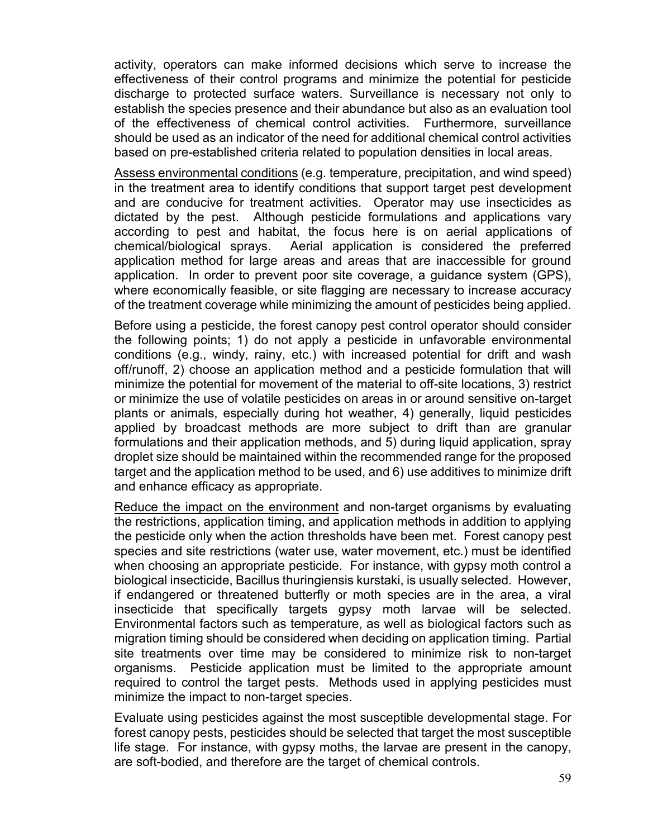activity, operators can make informed decisions which serve to increase the effectiveness of their control programs and minimize the potential for pesticide discharge to protected surface waters. Surveillance is necessary not only to establish the species presence and their abundance but also as an evaluation tool of the effectiveness of chemical control activities. Furthermore, surveillance should be used as an indicator of the need for additional chemical control activities based on pre-established criteria related to population densities in local areas.

Assess environmental conditions (e.g. temperature, precipitation, and wind speed) in the treatment area to identify conditions that support target pest development and are conducive for treatment activities.Operator may use insecticides as dictated by the pest. Although pesticide formulations and applications vary according to pest and habitat, the focus here is on aerial applications of chemical/biological sprays. Aerial application is considered the preferred application method for large areas and areas that are inaccessible for ground application. In order to prevent poor site coverage, a guidance system (GPS), where economically feasible, or site flagging are necessary to increase accuracy of the treatment coverage while minimizing the amount of pesticides being applied.

Before using a pesticide, the forest canopy pest control operator should consider the following points; 1) do not apply a pesticide in unfavorable environmental conditions (e.g., windy, rainy, etc.) with increased potential for drift and wash off/runoff, 2) choose an application method and a pesticide formulation that will minimize the potential for movement of the material to off-site locations, 3) restrict or minimize the use of volatile pesticides on areas in or around sensitive on-target plants or animals, especially during hot weather, 4) generally, liquid pesticides applied by broadcast methods are more subject to drift than are granular formulations and their application methods, and 5) during liquid application, spray droplet size should be maintained within the recommended range for the proposed target and the application method to be used, and 6) use additives to minimize drift and enhance efficacy as appropriate.

Reduce the impact on the environment and non-target organisms by evaluating the restrictions, application timing, and application methods in addition to applying the pesticide only when the action thresholds have been met. Forest canopy pest species and site restrictions (water use, water movement, etc.) must be identified when choosing an appropriate pesticide. For instance, with gypsy moth control a biological insecticide, Bacillus thuringiensis kurstaki, is usually selected. However, if endangered or threatened butterfly or moth species are in the area, a viral insecticide that specifically targets gypsy moth larvae will be selected. Environmental factors such as temperature, as well as biological factors such as migration timing should be considered when deciding on application timing. Partial site treatments over time may be considered to minimize risk to non-target organisms. Pesticide application must be limited to the appropriate amount required to control the target pests. Methods used in applying pesticides must minimize the impact to non-target species.

Evaluate using pesticides against the most susceptible developmental stage. For forest canopy pests, pesticides should be selected that target the most susceptible life stage. For instance, with gypsy moths, the larvae are present in the canopy, are soft-bodied, and therefore are the target of chemical controls.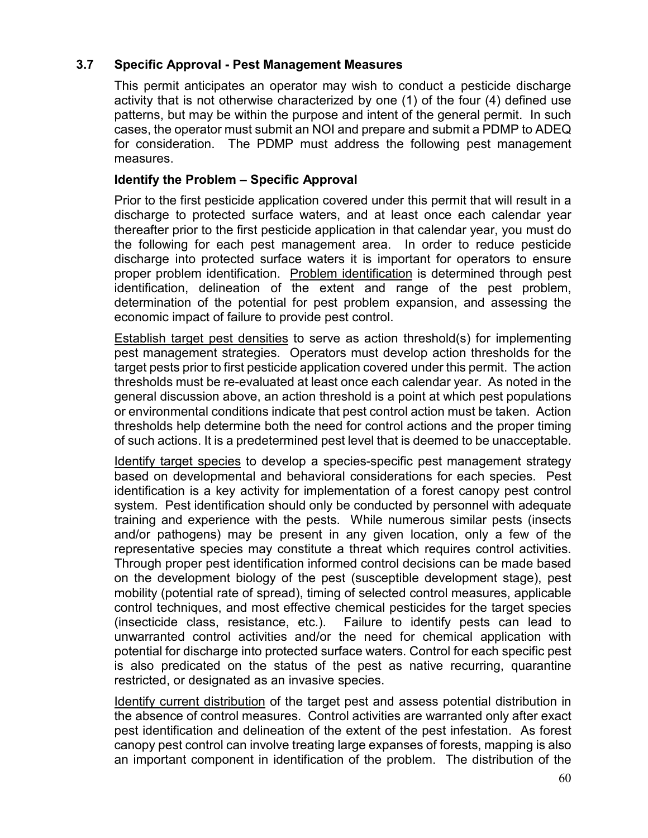## **3.7 Specific Approval - Pest Management Measures**

This permit anticipates an operator may wish to conduct a pesticide discharge activity that is not otherwise characterized by one (1) of the four (4) defined use patterns, but may be within the purpose and intent of the general permit. In such cases, the operator must submit an NOI and prepare and submit a PDMP to ADEQ for consideration. The PDMP must address the following pest management measures.

### **Identify the Problem – Specific Approval**

Prior to the first pesticide application covered under this permit that will result in a discharge to protected surface waters, and at least once each calendar year thereafter prior to the first pesticide application in that calendar year, you must do the following for each pest management area. In order to reduce pesticide discharge into protected surface waters it is important for operators to ensure proper problem identification. Problem identification is determined through pest identification, delineation of the extent and range of the pest problem, determination of the potential for pest problem expansion, and assessing the economic impact of failure to provide pest control.

Establish target pest densities to serve as action threshold(s) for implementing pest management strategies. Operators must develop action thresholds for the target pests prior to first pesticide application covered under this permit. The action thresholds must be re-evaluated at least once each calendar year. As noted in the general discussion above, an action threshold is a point at which pest populations or environmental conditions indicate that pest control action must be taken. Action thresholds help determine both the need for control actions and the proper timing of such actions. It is a predetermined pest level that is deemed to be unacceptable.

Identify target species to develop a species-specific pest management strategy based on developmental and behavioral considerations for each species. Pest identification is a key activity for implementation of a forest canopy pest control system. Pest identification should only be conducted by personnel with adequate training and experience with the pests. While numerous similar pests (insects and/or pathogens) may be present in any given location, only a few of the representative species may constitute a threat which requires control activities. Through proper pest identification informed control decisions can be made based on the development biology of the pest (susceptible development stage), pest mobility (potential rate of spread), timing of selected control measures, applicable control techniques, and most effective chemical pesticides for the target species (insecticide class, resistance, etc.). Failure to identify pests can lead to unwarranted control activities and/or the need for chemical application with potential for discharge into protected surface waters. Control for each specific pest is also predicated on the status of the pest as native recurring, quarantine restricted, or designated as an invasive species.

Identify current distribution of the target pest and assess potential distribution in the absence of control measures. Control activities are warranted only after exact pest identification and delineation of the extent of the pest infestation. As forest canopy pest control can involve treating large expanses of forests, mapping is also an important component in identification of the problem. The distribution of the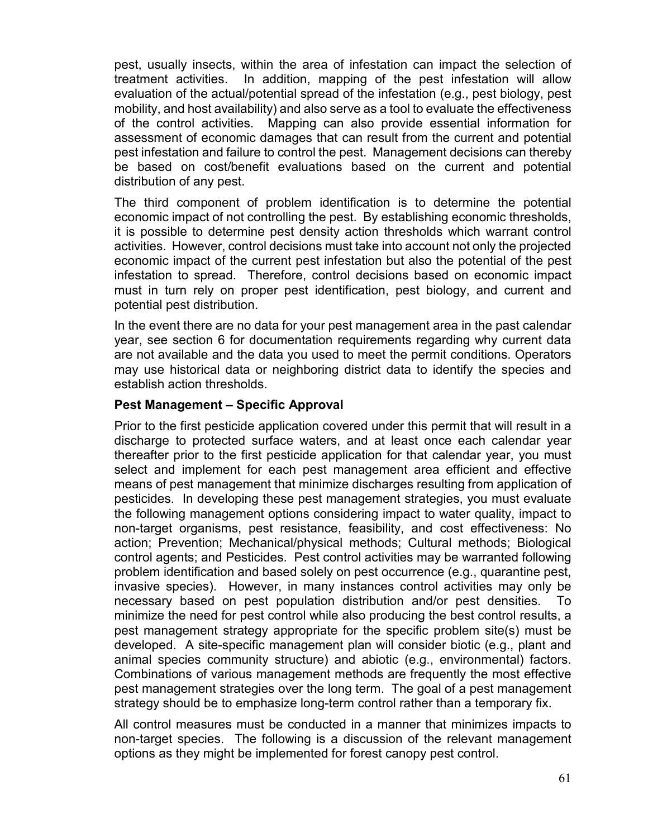pest, usually insects, within the area of infestation can impact the selection of treatment activities. In addition, mapping of the pest infestation will allow evaluation of the actual/potential spread of the infestation (e.g., pest biology, pest mobility, and host availability) and also serve as a tool to evaluate the effectiveness of the control activities. Mapping can also provide essential information for assessment of economic damages that can result from the current and potential pest infestation and failure to control the pest. Management decisions can thereby be based on cost/benefit evaluations based on the current and potential distribution of any pest.

The third component of problem identification is to determine the potential economic impact of not controlling the pest. By establishing economic thresholds, it is possible to determine pest density action thresholds which warrant control activities. However, control decisions must take into account not only the projected economic impact of the current pest infestation but also the potential of the pest infestation to spread. Therefore, control decisions based on economic impact must in turn rely on proper pest identification, pest biology, and current and potential pest distribution.

In the event there are no data for your pest management area in the past calendar year, see section 6 for documentation requirements regarding why current data are not available and the data you used to meet the permit conditions. Operators may use historical data or neighboring district data to identify the species and establish action thresholds.

#### **Pest Management – Specific Approval**

Prior to the first pesticide application covered under this permit that will result in a discharge to protected surface waters, and at least once each calendar year thereafter prior to the first pesticide application for that calendar year, you must select and implement for each pest management area efficient and effective means of pest management that minimize discharges resulting from application of pesticides. In developing these pest management strategies, you must evaluate the following management options considering impact to water quality, impact to non-target organisms, pest resistance, feasibility, and cost effectiveness: No action; Prevention; Mechanical/physical methods; Cultural methods; Biological control agents; and Pesticides. Pest control activities may be warranted following problem identification and based solely on pest occurrence (e.g., quarantine pest, invasive species). However, in many instances control activities may only be necessary based on pest population distribution and/or pest densities. To minimize the need for pest control while also producing the best control results, a pest management strategy appropriate for the specific problem site(s) must be developed. A site-specific management plan will consider biotic (e.g., plant and animal species community structure) and abiotic (e.g., environmental) factors. Combinations of various management methods are frequently the most effective pest management strategies over the long term. The goal of a pest management strategy should be to emphasize long-term control rather than a temporary fix.

All control measures must be conducted in a manner that minimizes impacts to non-target species. The following is a discussion of the relevant management options as they might be implemented for forest canopy pest control.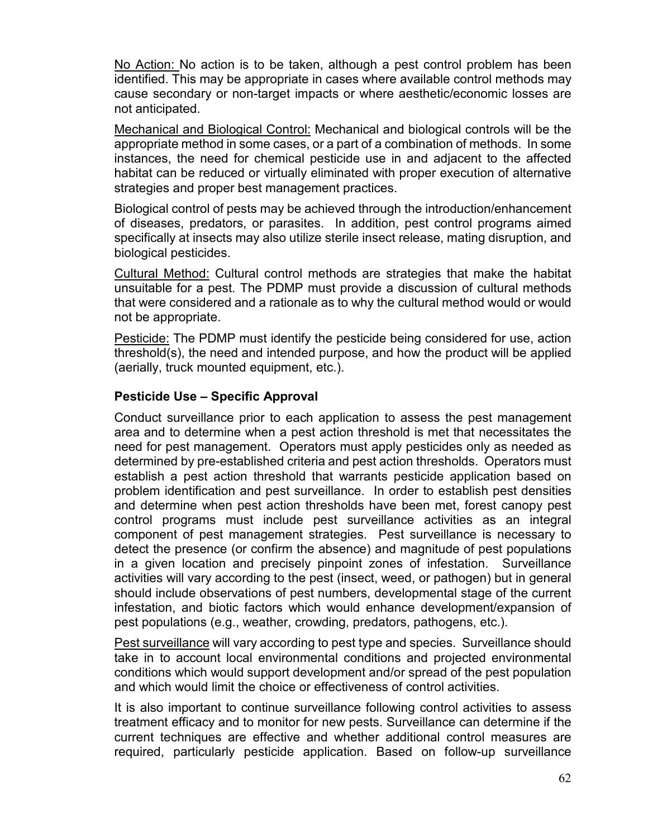No Action: No action is to be taken, although a pest control problem has been identified. This may be appropriate in cases where available control methods may cause secondary or non-target impacts or where aesthetic/economic losses are not anticipated.

Mechanical and Biological Control: Mechanical and biological controls will be the appropriate method in some cases, or a part of a combination of methods. In some instances, the need for chemical pesticide use in and adjacent to the affected habitat can be reduced or virtually eliminated with proper execution of alternative strategies and proper best management practices.

Biological control of pests may be achieved through the introduction/enhancement of diseases, predators, or parasites. In addition, pest control programs aimed specifically at insects may also utilize sterile insect release, mating disruption, and biological pesticides.

Cultural Method: Cultural control methods are strategies that make the habitat unsuitable for a pest. The PDMP must provide a discussion of cultural methods that were considered and a rationale as to why the cultural method would or would not be appropriate.

Pesticide: The PDMP must identify the pesticide being considered for use, action threshold(s), the need and intended purpose, and how the product will be applied (aerially, truck mounted equipment, etc.).

### **Pesticide Use – Specific Approval**

Conduct surveillance prior to each application to assess the pest management area and to determine when a pest action threshold is met that necessitates the need for pest management. Operators must apply pesticides only as needed as determined by pre-established criteria and pest action thresholds. Operators must establish a pest action threshold that warrants pesticide application based on problem identification and pest surveillance. In order to establish pest densities and determine when pest action thresholds have been met, forest canopy pest control programs must include pest surveillance activities as an integral component of pest management strategies. Pest surveillance is necessary to detect the presence (or confirm the absence) and magnitude of pest populations in a given location and precisely pinpoint zones of infestation. Surveillance activities will vary according to the pest (insect, weed, or pathogen) but in general should include observations of pest numbers, developmental stage of the current infestation, and biotic factors which would enhance development/expansion of pest populations (e.g., weather, crowding, predators, pathogens, etc.).

Pest surveillance will vary according to pest type and species. Surveillance should take in to account local environmental conditions and projected environmental conditions which would support development and/or spread of the pest population and which would limit the choice or effectiveness of control activities.

It is also important to continue surveillance following control activities to assess treatment efficacy and to monitor for new pests. Surveillance can determine if the current techniques are effective and whether additional control measures are required, particularly pesticide application. Based on follow-up surveillance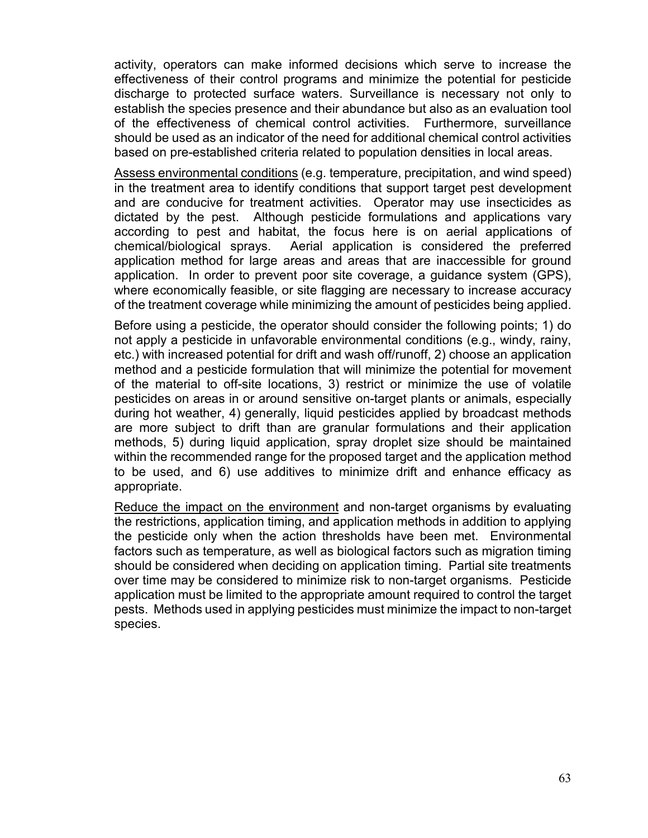activity, operators can make informed decisions which serve to increase the effectiveness of their control programs and minimize the potential for pesticide discharge to protected surface waters. Surveillance is necessary not only to establish the species presence and their abundance but also as an evaluation tool of the effectiveness of chemical control activities. Furthermore, surveillance should be used as an indicator of the need for additional chemical control activities based on pre-established criteria related to population densities in local areas.

Assess environmental conditions (e.g. temperature, precipitation, and wind speed) in the treatment area to identify conditions that support target pest development and are conducive for treatment activities.Operator may use insecticides as dictated by the pest. Although pesticide formulations and applications vary according to pest and habitat, the focus here is on aerial applications of chemical/biological sprays. Aerial application is considered the preferred application method for large areas and areas that are inaccessible for ground application. In order to prevent poor site coverage, a guidance system (GPS), where economically feasible, or site flagging are necessary to increase accuracy of the treatment coverage while minimizing the amount of pesticides being applied.

Before using a pesticide, the operator should consider the following points; 1) do not apply a pesticide in unfavorable environmental conditions (e.g., windy, rainy, etc.) with increased potential for drift and wash off/runoff, 2) choose an application method and a pesticide formulation that will minimize the potential for movement of the material to off-site locations, 3) restrict or minimize the use of volatile pesticides on areas in or around sensitive on-target plants or animals, especially during hot weather, 4) generally, liquid pesticides applied by broadcast methods are more subject to drift than are granular formulations and their application methods, 5) during liquid application, spray droplet size should be maintained within the recommended range for the proposed target and the application method to be used, and 6) use additives to minimize drift and enhance efficacy as appropriate.

Reduce the impact on the environment and non-target organisms by evaluating the restrictions, application timing, and application methods in addition to applying the pesticide only when the action thresholds have been met. Environmental factors such as temperature, as well as biological factors such as migration timing should be considered when deciding on application timing. Partial site treatments over time may be considered to minimize risk to non-target organisms. Pesticide application must be limited to the appropriate amount required to control the target pests. Methods used in applying pesticides must minimize the impact to non-target species.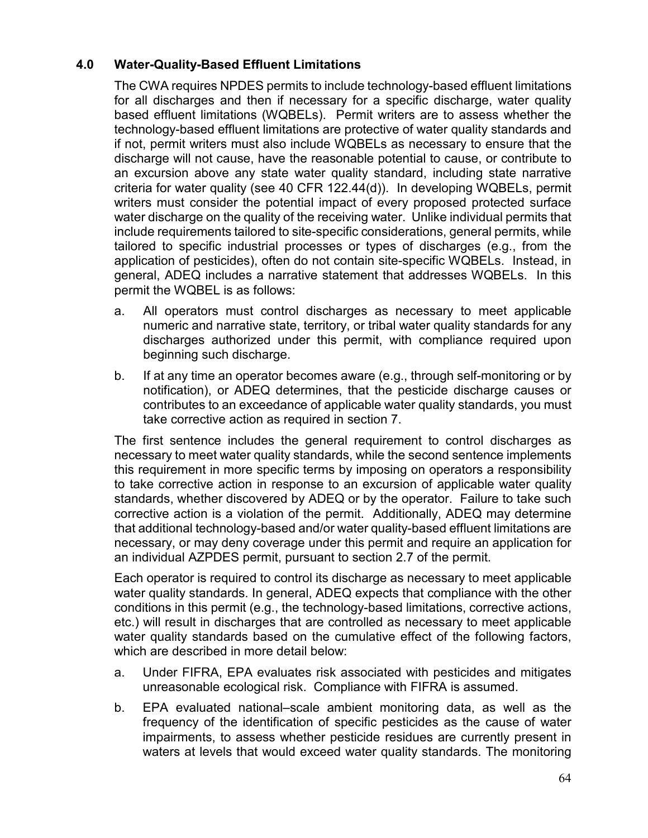# **4.0 Water-Quality-Based Effluent Limitations**

The CWA requires NPDES permits to include technology-based effluent limitations for all discharges and then if necessary for a specific discharge, water quality based effluent limitations (WQBELs). Permit writers are to assess whether the technology-based effluent limitations are protective of water quality standards and if not, permit writers must also include WQBELs as necessary to ensure that the discharge will not cause, have the reasonable potential to cause, or contribute to an excursion above any state water quality standard, including state narrative criteria for water quality (see 40 CFR 122.44(d)). In developing WQBELs, permit writers must consider the potential impact of every proposed protected surface water discharge on the quality of the receiving water. Unlike individual permits that include requirements tailored to site-specific considerations, general permits, while tailored to specific industrial processes or types of discharges (e.g., from the application of pesticides), often do not contain site-specific WQBELs. Instead, in general, ADEQ includes a narrative statement that addresses WQBELs. In this permit the WQBEL is as follows:

- a. All operators must control discharges as necessary to meet applicable numeric and narrative state, territory, or tribal water quality standards for any discharges authorized under this permit, with compliance required upon beginning such discharge.
- b. If at any time an operator becomes aware (e.g., through self-monitoring or by notification), or ADEQ determines, that the pesticide discharge causes or contributes to an exceedance of applicable water quality standards, you must take corrective action as required in section 7.

The first sentence includes the general requirement to control discharges as necessary to meet water quality standards, while the second sentence implements this requirement in more specific terms by imposing on operators a responsibility to take corrective action in response to an excursion of applicable water quality standards, whether discovered by ADEQ or by the operator. Failure to take such corrective action is a violation of the permit. Additionally, ADEQ may determine that additional technology-based and/or water quality-based effluent limitations are necessary, or may deny coverage under this permit and require an application for an individual AZPDES permit, pursuant to section 2.7 of the permit.

Each operator is required to control its discharge as necessary to meet applicable water quality standards. In general, ADEQ expects that compliance with the other conditions in this permit (e.g., the technology-based limitations, corrective actions, etc.) will result in discharges that are controlled as necessary to meet applicable water quality standards based on the cumulative effect of the following factors, which are described in more detail below:

- a. Under FIFRA, EPA evaluates risk associated with pesticides and mitigates unreasonable ecological risk. Compliance with FIFRA is assumed.
- b. EPA evaluated national–scale ambient monitoring data, as well as the frequency of the identification of specific pesticides as the cause of water impairments, to assess whether pesticide residues are currently present in waters at levels that would exceed water quality standards. The monitoring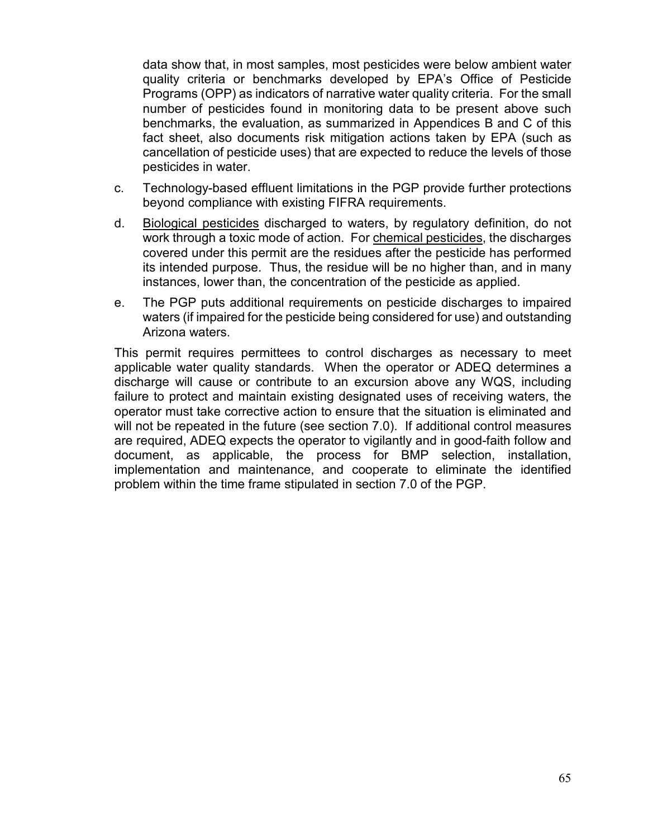data show that, in most samples, most pesticides were below ambient water quality criteria or benchmarks developed by EPA's Office of Pesticide Programs (OPP) as indicators of narrative water quality criteria. For the small number of pesticides found in monitoring data to be present above such benchmarks, the evaluation, as summarized in Appendices B and C of this fact sheet, also documents risk mitigation actions taken by EPA (such as cancellation of pesticide uses) that are expected to reduce the levels of those pesticides in water.

- c. Technology-based effluent limitations in the PGP provide further protections beyond compliance with existing FIFRA requirements.
- d. Biological pesticides discharged to waters, by regulatory definition, do not work through a toxic mode of action. For chemical pesticides, the discharges covered under this permit are the residues after the pesticide has performed its intended purpose. Thus, the residue will be no higher than, and in many instances, lower than, the concentration of the pesticide as applied.
- e. The PGP puts additional requirements on pesticide discharges to impaired waters (if impaired for the pesticide being considered for use) and outstanding Arizona waters.

This permit requires permittees to control discharges as necessary to meet applicable water quality standards. When the operator or ADEQ determines a discharge will cause or contribute to an excursion above any WQS, including failure to protect and maintain existing designated uses of receiving waters, the operator must take corrective action to ensure that the situation is eliminated and will not be repeated in the future (see section 7.0). If additional control measures are required, ADEQ expects the operator to vigilantly and in good-faith follow and document, as applicable, the process for BMP selection, installation, implementation and maintenance, and cooperate to eliminate the identified problem within the time frame stipulated in section 7.0 of the PGP.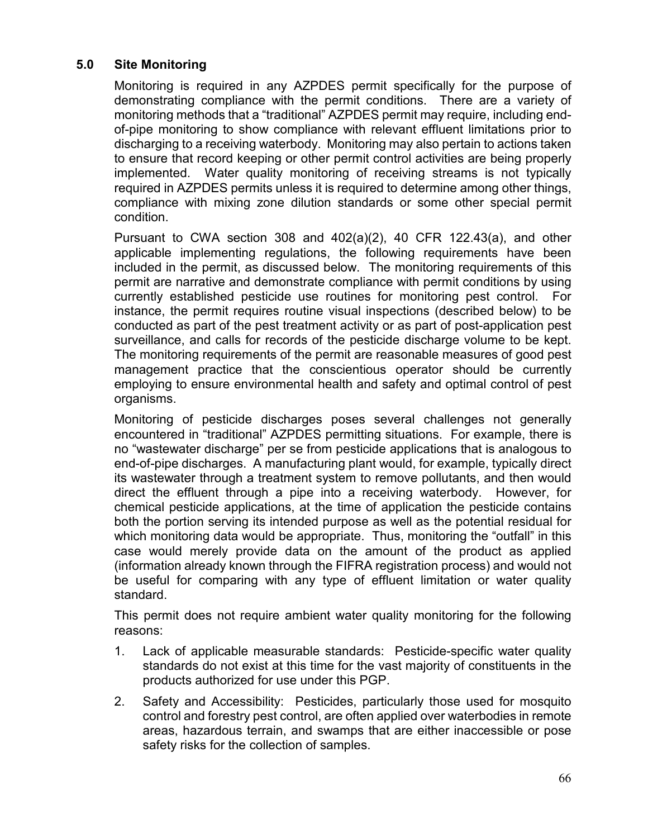## **5.0 Site Monitoring**

Monitoring is required in any AZPDES permit specifically for the purpose of demonstrating compliance with the permit conditions. There are a variety of monitoring methods that a "traditional" AZPDES permit may require, including endof-pipe monitoring to show compliance with relevant effluent limitations prior to discharging to a receiving waterbody. Monitoring may also pertain to actions taken to ensure that record keeping or other permit control activities are being properly implemented. Water quality monitoring of receiving streams is not typically required in AZPDES permits unless it is required to determine among other things, compliance with mixing zone dilution standards or some other special permit condition.

Pursuant to CWA section 308 and  $402(a)(2)$ , 40 CFR 122.43 $(a)$ , and other applicable implementing regulations, the following requirements have been included in the permit, as discussed below. The monitoring requirements of this permit are narrative and demonstrate compliance with permit conditions by using currently established pesticide use routines for monitoring pest control. For instance, the permit requires routine visual inspections (described below) to be conducted as part of the pest treatment activity or as part of post-application pest surveillance, and calls for records of the pesticide discharge volume to be kept. The monitoring requirements of the permit are reasonable measures of good pest management practice that the conscientious operator should be currently employing to ensure environmental health and safety and optimal control of pest organisms.

Monitoring of pesticide discharges poses several challenges not generally encountered in "traditional" AZPDES permitting situations. For example, there is no "wastewater discharge" per se from pesticide applications that is analogous to end-of-pipe discharges. A manufacturing plant would, for example, typically direct its wastewater through a treatment system to remove pollutants, and then would direct the effluent through a pipe into a receiving waterbody. However, for chemical pesticide applications, at the time of application the pesticide contains both the portion serving its intended purpose as well as the potential residual for which monitoring data would be appropriate. Thus, monitoring the "outfall" in this case would merely provide data on the amount of the product as applied (information already known through the FIFRA registration process) and would not be useful for comparing with any type of effluent limitation or water quality standard.

This permit does not require ambient water quality monitoring for the following reasons:

- 1. Lack of applicable measurable standards: Pesticide-specific water quality standards do not exist at this time for the vast majority of constituents in the products authorized for use under this PGP.
- 2. Safety and Accessibility: Pesticides, particularly those used for mosquito control and forestry pest control, are often applied over waterbodies in remote areas, hazardous terrain, and swamps that are either inaccessible or pose safety risks for the collection of samples.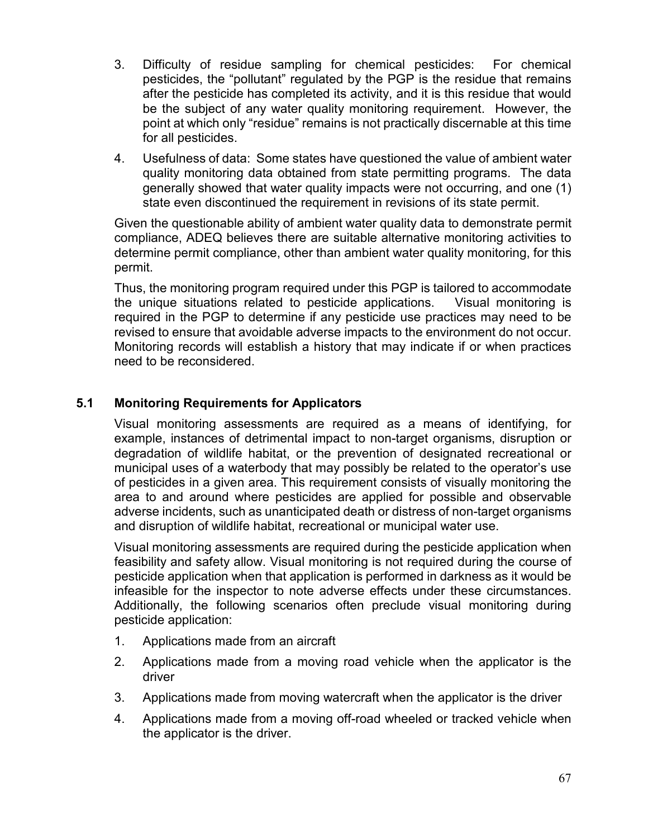- 3. Difficulty of residue sampling for chemical pesticides: For chemical pesticides, the "pollutant" regulated by the PGP is the residue that remains after the pesticide has completed its activity, and it is this residue that would be the subject of any water quality monitoring requirement. However, the point at which only "residue" remains is not practically discernable at this time for all pesticides.
- 4. Usefulness of data: Some states have questioned the value of ambient water quality monitoring data obtained from state permitting programs. The data generally showed that water quality impacts were not occurring, and one (1) state even discontinued the requirement in revisions of its state permit.

Given the questionable ability of ambient water quality data to demonstrate permit compliance, ADEQ believes there are suitable alternative monitoring activities to determine permit compliance, other than ambient water quality monitoring, for this permit.

Thus, the monitoring program required under this PGP is tailored to accommodate the unique situations related to pesticide applications. Visual monitoring is required in the PGP to determine if any pesticide use practices may need to be revised to ensure that avoidable adverse impacts to the environment do not occur. Monitoring records will establish a history that may indicate if or when practices need to be reconsidered.

# **5.1 Monitoring Requirements for Applicators**

Visual monitoring assessments are required as a means of identifying, for example, instances of detrimental impact to non-target organisms, disruption or degradation of wildlife habitat, or the prevention of designated recreational or municipal uses of a waterbody that may possibly be related to the operator's use of pesticides in a given area. This requirement consists of visually monitoring the area to and around where pesticides are applied for possible and observable adverse incidents, such as unanticipated death or distress of non-target organisms and disruption of wildlife habitat, recreational or municipal water use.

Visual monitoring assessments are required during the pesticide application when feasibility and safety allow. Visual monitoring is not required during the course of pesticide application when that application is performed in darkness as it would be infeasible for the inspector to note adverse effects under these circumstances. Additionally, the following scenarios often preclude visual monitoring during pesticide application:

- 1. Applications made from an aircraft
- 2. Applications made from a moving road vehicle when the applicator is the driver
- 3. Applications made from moving watercraft when the applicator is the driver
- 4. Applications made from a moving off-road wheeled or tracked vehicle when the applicator is the driver.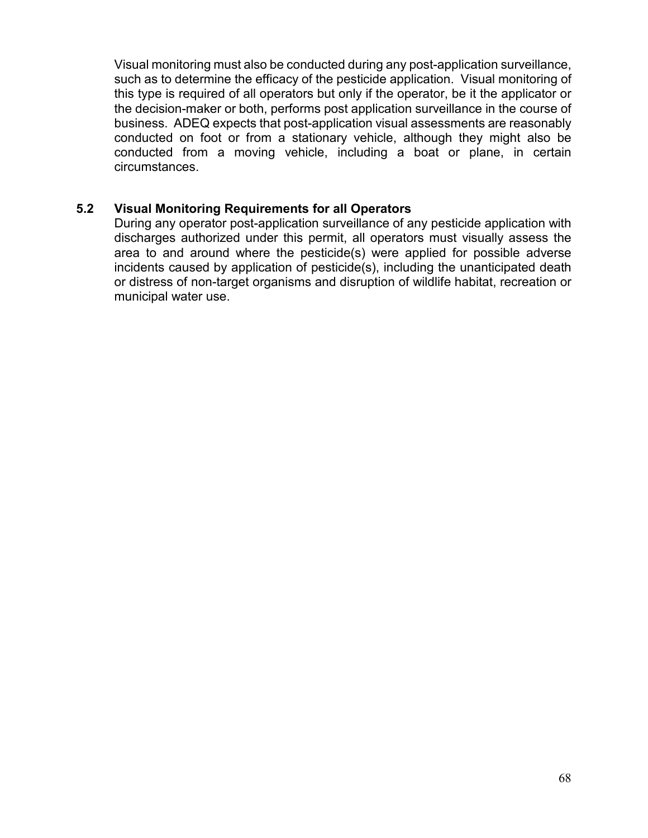Visual monitoring must also be conducted during any post-application surveillance, such as to determine the efficacy of the pesticide application. Visual monitoring of this type is required of all operators but only if the operator, be it the applicator or the decision-maker or both, performs post application surveillance in the course of business. ADEQ expects that post-application visual assessments are reasonably conducted on foot or from a stationary vehicle, although they might also be conducted from a moving vehicle, including a boat or plane, in certain circumstances.

### **5.2 Visual Monitoring Requirements for all Operators**

During any operator post-application surveillance of any pesticide application with discharges authorized under this permit, all operators must visually assess the area to and around where the pesticide(s) were applied for possible adverse incidents caused by application of pesticide(s), including the unanticipated death or distress of non-target organisms and disruption of wildlife habitat, recreation or municipal water use.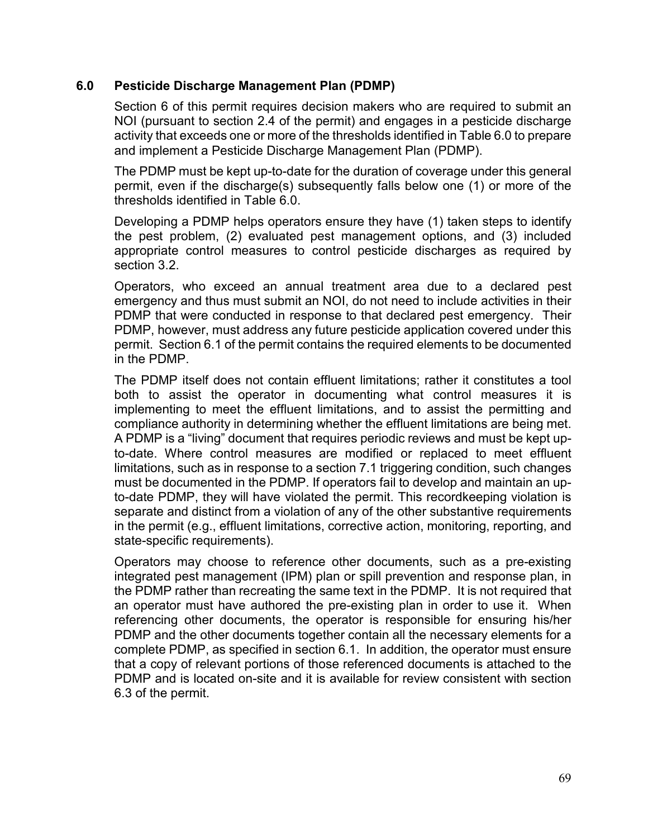#### **6.0 Pesticide Discharge Management Plan (PDMP)**

Section 6 of this permit requires decision makers who are required to submit an NOI (pursuant to section 2.4 of the permit) and engages in a pesticide discharge activity that exceeds one or more of the thresholds identified in Table 6.0 to prepare and implement a Pesticide Discharge Management Plan (PDMP).

The PDMP must be kept up-to-date for the duration of coverage under this general permit, even if the discharge(s) subsequently falls below one (1) or more of the thresholds identified in Table 6.0.

Developing a PDMP helps operators ensure they have (1) taken steps to identify the pest problem, (2) evaluated pest management options, and (3) included appropriate control measures to control pesticide discharges as required by section 3.2.

Operators, who exceed an annual treatment area due to a declared pest emergency and thus must submit an NOI, do not need to include activities in their PDMP that were conducted in response to that declared pest emergency. Their PDMP, however, must address any future pesticide application covered under this permit. Section 6.1 of the permit contains the required elements to be documented in the PDMP.

The PDMP itself does not contain effluent limitations; rather it constitutes a tool both to assist the operator in documenting what control measures it is implementing to meet the effluent limitations, and to assist the permitting and compliance authority in determining whether the effluent limitations are being met. A PDMP is a "living" document that requires periodic reviews and must be kept upto-date. Where control measures are modified or replaced to meet effluent limitations, such as in response to a section 7.1 triggering condition, such changes must be documented in the PDMP. If operators fail to develop and maintain an upto-date PDMP, they will have violated the permit. This recordkeeping violation is separate and distinct from a violation of any of the other substantive requirements in the permit (e.g., effluent limitations, corrective action, monitoring, reporting, and state-specific requirements).

Operators may choose to reference other documents, such as a pre-existing integrated pest management (IPM) plan or spill prevention and response plan, in the PDMP rather than recreating the same text in the PDMP. It is not required that an operator must have authored the pre-existing plan in order to use it. When referencing other documents, the operator is responsible for ensuring his/her PDMP and the other documents together contain all the necessary elements for a complete PDMP, as specified in section 6.1. In addition, the operator must ensure that a copy of relevant portions of those referenced documents is attached to the PDMP and is located on-site and it is available for review consistent with section 6.3 of the permit.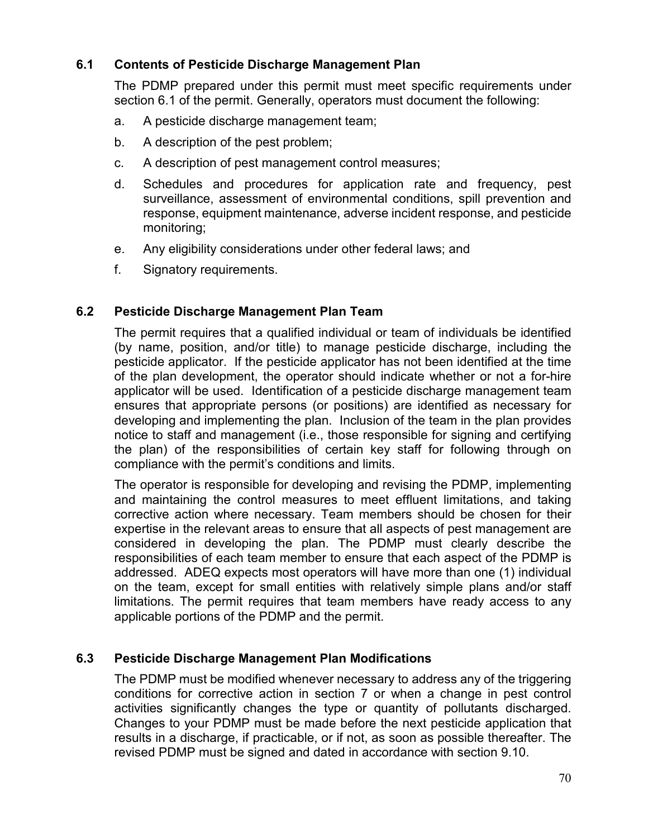## **6.1 Contents of Pesticide Discharge Management Plan**

The PDMP prepared under this permit must meet specific requirements under section 6.1 of the permit. Generally, operators must document the following:

- a. A pesticide discharge management team;
- b. A description of the pest problem;
- c. A description of pest management control measures;
- d. Schedules and procedures for application rate and frequency, pest surveillance, assessment of environmental conditions, spill prevention and response, equipment maintenance, adverse incident response, and pesticide monitoring;
- e. Any eligibility considerations under other federal laws; and
- f. Signatory requirements.

## **6.2 Pesticide Discharge Management Plan Team**

The permit requires that a qualified individual or team of individuals be identified (by name, position, and/or title) to manage pesticide discharge, including the pesticide applicator. If the pesticide applicator has not been identified at the time of the plan development, the operator should indicate whether or not a for-hire applicator will be used. Identification of a pesticide discharge management team ensures that appropriate persons (or positions) are identified as necessary for developing and implementing the plan. Inclusion of the team in the plan provides notice to staff and management (i.e., those responsible for signing and certifying the plan) of the responsibilities of certain key staff for following through on compliance with the permit's conditions and limits.

The operator is responsible for developing and revising the PDMP, implementing and maintaining the control measures to meet effluent limitations, and taking corrective action where necessary. Team members should be chosen for their expertise in the relevant areas to ensure that all aspects of pest management are considered in developing the plan. The PDMP must clearly describe the responsibilities of each team member to ensure that each aspect of the PDMP is addressed. ADEQ expects most operators will have more than one (1) individual on the team, except for small entities with relatively simple plans and/or staff limitations. The permit requires that team members have ready access to any applicable portions of the PDMP and the permit.

## **6.3 Pesticide Discharge Management Plan Modifications**

The PDMP must be modified whenever necessary to address any of the triggering conditions for corrective action in section 7 or when a change in pest control activities significantly changes the type or quantity of pollutants discharged. Changes to your PDMP must be made before the next pesticide application that results in a discharge, if practicable, or if not, as soon as possible thereafter. The revised PDMP must be signed and dated in accordance with section 9.10.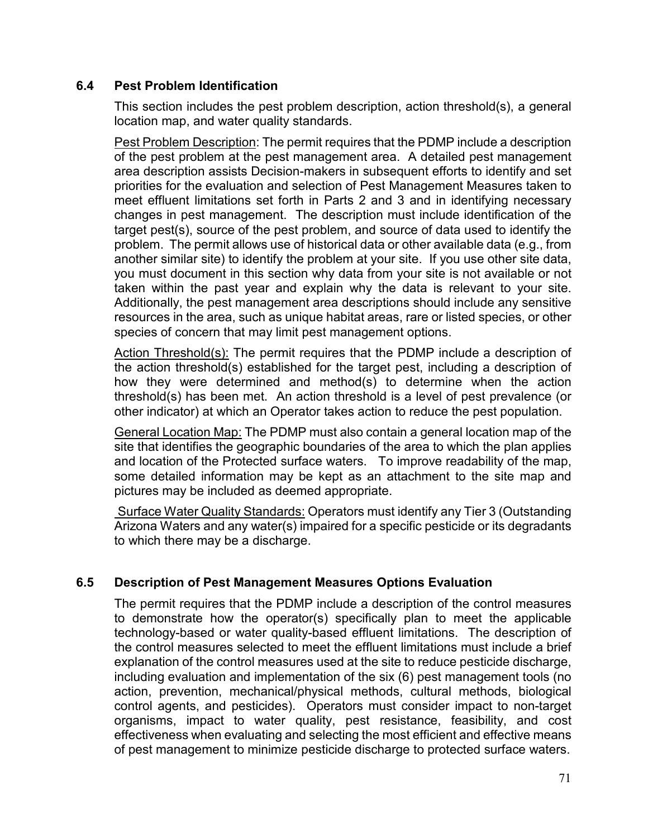### **6.4 Pest Problem Identification**

This section includes the pest problem description, action threshold(s), a general location map, and water quality standards.

Pest Problem Description: The permit requires that the PDMP include a description of the pest problem at the pest management area. A detailed pest management area description assists Decision-makers in subsequent efforts to identify and set priorities for the evaluation and selection of Pest Management Measures taken to meet effluent limitations set forth in Parts 2 and 3 and in identifying necessary changes in pest management. The description must include identification of the target pest(s), source of the pest problem, and source of data used to identify the problem. The permit allows use of historical data or other available data (e.g., from another similar site) to identify the problem at your site. If you use other site data, you must document in this section why data from your site is not available or not taken within the past year and explain why the data is relevant to your site. Additionally, the pest management area descriptions should include any sensitive resources in the area, such as unique habitat areas, rare or listed species, or other species of concern that may limit pest management options.

Action Threshold(s): The permit requires that the PDMP include a description of the action threshold(s) established for the target pest, including a description of how they were determined and method(s) to determine when the action threshold(s) has been met. An action threshold is a level of pest prevalence (or other indicator) at which an Operator takes action to reduce the pest population.

General Location Map: The PDMP must also contain a general location map of the site that identifies the geographic boundaries of the area to which the plan applies and location of the Protected surface waters. To improve readability of the map, some detailed information may be kept as an attachment to the site map and pictures may be included as deemed appropriate.

Surface Water Quality Standards: Operators must identify any Tier 3 (Outstanding Arizona Waters and any water(s) impaired for a specific pesticide or its degradants to which there may be a discharge.

## **6.5 Description of Pest Management Measures Options Evaluation**

The permit requires that the PDMP include a description of the control measures to demonstrate how the operator(s) specifically plan to meet the applicable technology-based or water quality-based effluent limitations. The description of the control measures selected to meet the effluent limitations must include a brief explanation of the control measures used at the site to reduce pesticide discharge, including evaluation and implementation of the six (6) pest management tools (no action, prevention, mechanical/physical methods, cultural methods, biological control agents, and pesticides). Operators must consider impact to non-target organisms, impact to water quality, pest resistance, feasibility, and cost effectiveness when evaluating and selecting the most efficient and effective means of pest management to minimize pesticide discharge to protected surface waters.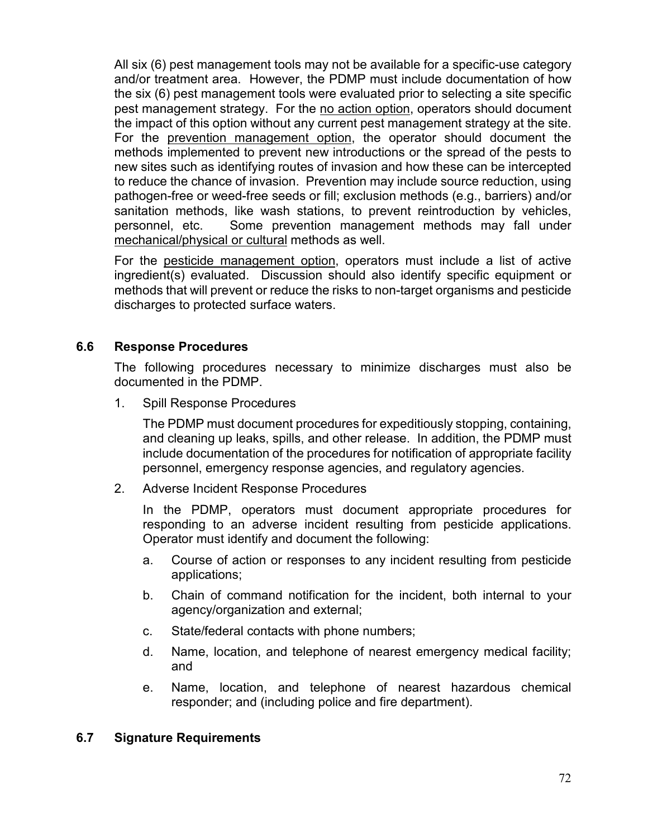All six (6) pest management tools may not be available for a specific-use category and/or treatment area. However, the PDMP must include documentation of how the six (6) pest management tools were evaluated prior to selecting a site specific pest management strategy. For the no action option, operators should document the impact of this option without any current pest management strategy at the site. For the prevention management option, the operator should document the methods implemented to prevent new introductions or the spread of the pests to new sites such as identifying routes of invasion and how these can be intercepted to reduce the chance of invasion. Prevention may include source reduction, using pathogen-free or weed-free seeds or fill; exclusion methods (e.g., barriers) and/or sanitation methods, like wash stations, to prevent reintroduction by vehicles, personnel, etc. Some prevention management methods may fall under mechanical/physical or cultural methods as well.

For the pesticide management option, operators must include a list of active ingredient(s) evaluated. Discussion should also identify specific equipment or methods that will prevent or reduce the risks to non-target organisms and pesticide discharges to protected surface waters.

### **6.6 Response Procedures**

The following procedures necessary to minimize discharges must also be documented in the PDMP.

1. Spill Response Procedures

The PDMP must document procedures for expeditiously stopping, containing, and cleaning up leaks, spills, and other release. In addition, the PDMP must include documentation of the procedures for notification of appropriate facility personnel, emergency response agencies, and regulatory agencies.

2. Adverse Incident Response Procedures

In the PDMP, operators must document appropriate procedures for responding to an adverse incident resulting from pesticide applications. Operator must identify and document the following:

- a. Course of action or responses to any incident resulting from pesticide applications;
- b. Chain of command notification for the incident, both internal to your agency/organization and external;
- c. State/federal contacts with phone numbers;
- d. Name, location, and telephone of nearest emergency medical facility; and
- e. Name, location, and telephone of nearest hazardous chemical responder; and (including police and fire department).

## **6.7 Signature Requirements**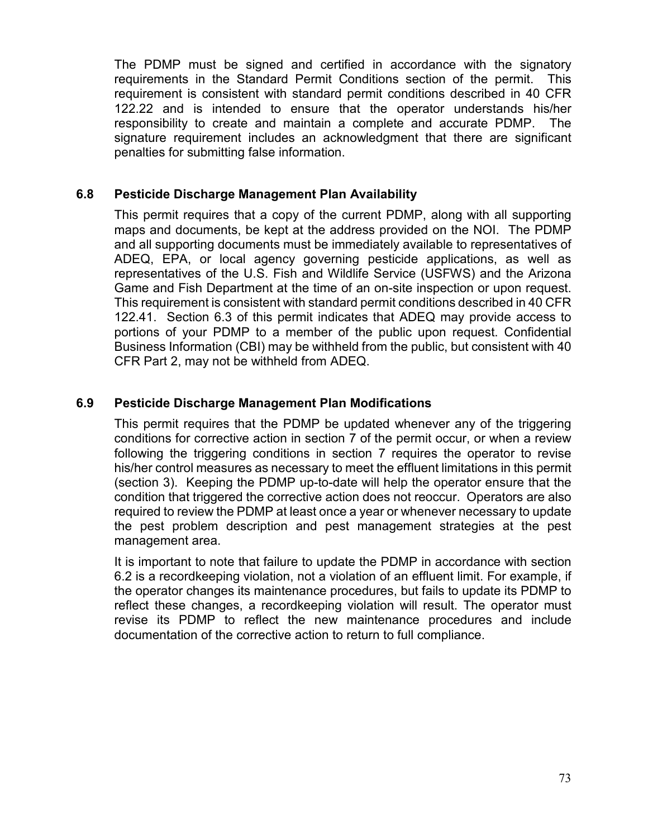The PDMP must be signed and certified in accordance with the signatory requirements in the Standard Permit Conditions section of the permit. This requirement is consistent with standard permit conditions described in 40 CFR 122.22 and is intended to ensure that the operator understands his/her responsibility to create and maintain a complete and accurate PDMP. The signature requirement includes an acknowledgment that there are significant penalties for submitting false information.

## **6.8 Pesticide Discharge Management Plan Availability**

This permit requires that a copy of the current PDMP, along with all supporting maps and documents, be kept at the address provided on the NOI. The PDMP and all supporting documents must be immediately available to representatives of ADEQ, EPA, or local agency governing pesticide applications, as well as representatives of the U.S. Fish and Wildlife Service (USFWS) and the Arizona Game and Fish Department at the time of an on-site inspection or upon request. This requirement is consistent with standard permit conditions described in 40 CFR 122.41. Section 6.3 of this permit indicates that ADEQ may provide access to portions of your PDMP to a member of the public upon request. Confidential Business Information (CBI) may be withheld from the public, but consistent with 40 CFR Part 2, may not be withheld from ADEQ.

## **6.9 Pesticide Discharge Management Plan Modifications**

This permit requires that the PDMP be updated whenever any of the triggering conditions for corrective action in section 7 of the permit occur, or when a review following the triggering conditions in section 7 requires the operator to revise his/her control measures as necessary to meet the effluent limitations in this permit (section 3). Keeping the PDMP up-to-date will help the operator ensure that the condition that triggered the corrective action does not reoccur. Operators are also required to review the PDMP at least once a year or whenever necessary to update the pest problem description and pest management strategies at the pest management area.

It is important to note that failure to update the PDMP in accordance with section 6.2 is a recordkeeping violation, not a violation of an effluent limit. For example, if the operator changes its maintenance procedures, but fails to update its PDMP to reflect these changes, a recordkeeping violation will result. The operator must revise its PDMP to reflect the new maintenance procedures and include documentation of the corrective action to return to full compliance.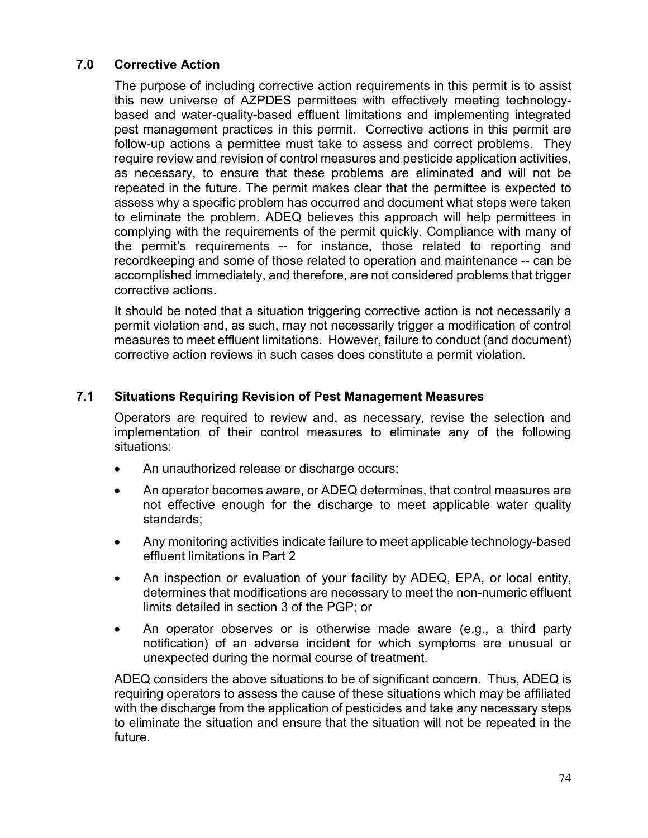# **7.0 Corrective Action**

The purpose of including corrective action requirements in this permit is to assist this new universe of AZPDES permittees with effectively meeting technologybased and water-quality-based effluent limitations and implementing integrated pest management practices in this permit. Corrective actions in this permit are follow-up actions a permittee must take to assess and correct problems. They require review and revision of control measures and pesticide application activities, as necessary, to ensure that these problems are eliminated and will not be repeated in the future. The permit makes clear that the permittee is expected to assess why a specific problem has occurred and document what steps were taken to eliminate the problem. ADEQ believes this approach will help permittees in complying with the requirements of the permit quickly. Compliance with many of the permit's requirements -- for instance, those related to reporting and recordkeeping and some of those related to operation and maintenance -- can be accomplished immediately, and therefore, are not considered problems that trigger corrective actions.

It should be noted that a situation triggering corrective action is not necessarily a permit violation and, as such, may not necessarily trigger a modification of control measures to meet effluent limitations. However, failure to conduct (and document) corrective action reviews in such cases does constitute a permit violation.

# **7.1 Situations Requiring Revision of Pest Management Measures**

Operators are required to review and, as necessary, revise the selection and implementation of their control measures to eliminate any of the following situations:

- An unauthorized release or discharge occurs;
- An operator becomes aware, or ADEQ determines, that control measures are not effective enough for the discharge to meet applicable water quality standards;
- Any monitoring activities indicate failure to meet applicable technology-based effluent limitations in Part 2
- An inspection or evaluation of your facility by ADEQ, EPA, or local entity, determines that modifications are necessary to meet the non-numeric effluent limits detailed in section 3 of the PGP; or
- An operator observes or is otherwise made aware (e.g., a third party notification) of an adverse incident for which symptoms are unusual or unexpected during the normal course of treatment.

ADEQ considers the above situations to be of significant concern. Thus, ADEQ is requiring operators to assess the cause of these situations which may be affiliated with the discharge from the application of pesticides and take any necessary steps to eliminate the situation and ensure that the situation will not be repeated in the future.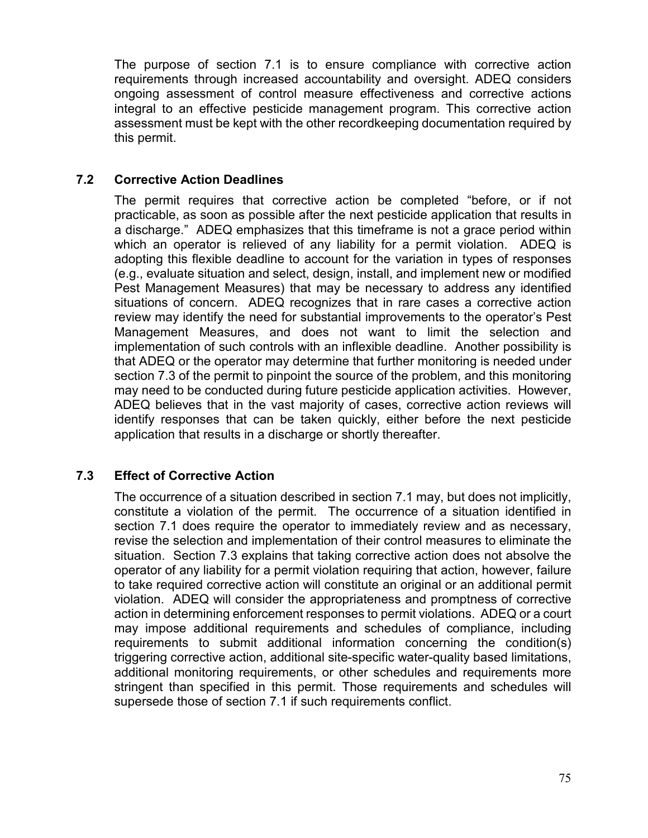The purpose of section 7.1 is to ensure compliance with corrective action requirements through increased accountability and oversight. ADEQ considers ongoing assessment of control measure effectiveness and corrective actions integral to an effective pesticide management program. This corrective action assessment must be kept with the other recordkeeping documentation required by this permit.

## **7.2 Corrective Action Deadlines**

The permit requires that corrective action be completed "before, or if not practicable, as soon as possible after the next pesticide application that results in a discharge." ADEQ emphasizes that this timeframe is not a grace period within which an operator is relieved of any liability for a permit violation. ADEQ is adopting this flexible deadline to account for the variation in types of responses (e.g., evaluate situation and select, design, install, and implement new or modified Pest Management Measures) that may be necessary to address any identified situations of concern. ADEQ recognizes that in rare cases a corrective action review may identify the need for substantial improvements to the operator's Pest Management Measures, and does not want to limit the selection and implementation of such controls with an inflexible deadline. Another possibility is that ADEQ or the operator may determine that further monitoring is needed under section 7.3 of the permit to pinpoint the source of the problem, and this monitoring may need to be conducted during future pesticide application activities. However, ADEQ believes that in the vast majority of cases, corrective action reviews will identify responses that can be taken quickly, either before the next pesticide application that results in a discharge or shortly thereafter.

# **7.3 Effect of Corrective Action**

The occurrence of a situation described in section 7.1 may, but does not implicitly, constitute a violation of the permit. The occurrence of a situation identified in section 7.1 does require the operator to immediately review and as necessary, revise the selection and implementation of their control measures to eliminate the situation. Section 7.3 explains that taking corrective action does not absolve the operator of any liability for a permit violation requiring that action, however, failure to take required corrective action will constitute an original or an additional permit violation. ADEQ will consider the appropriateness and promptness of corrective action in determining enforcement responses to permit violations. ADEQ or a court may impose additional requirements and schedules of compliance, including requirements to submit additional information concerning the condition(s) triggering corrective action, additional site-specific water-quality based limitations, additional monitoring requirements, or other schedules and requirements more stringent than specified in this permit. Those requirements and schedules will supersede those of section 7.1 if such requirements conflict.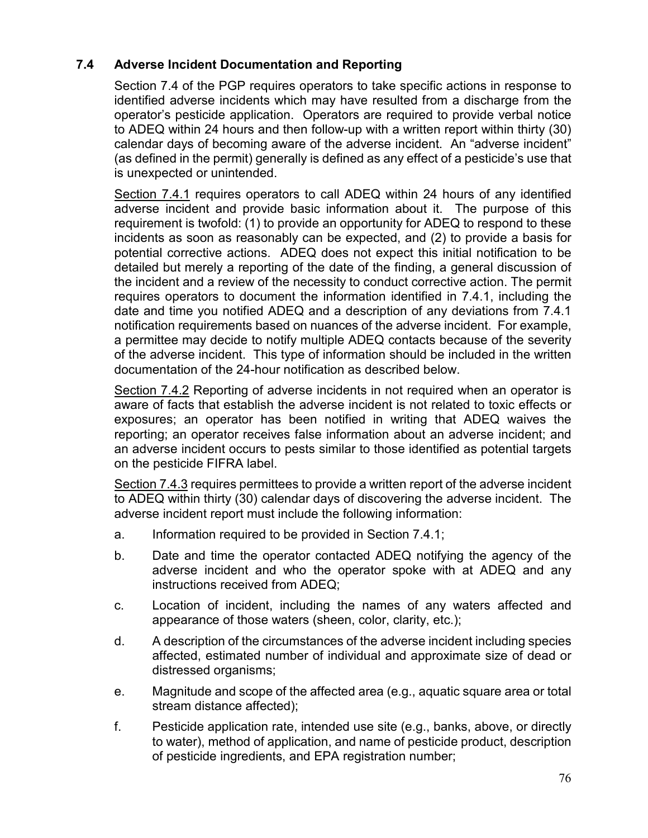# **7.4 Adverse Incident Documentation and Reporting**

Section 7.4 of the PGP requires operators to take specific actions in response to identified adverse incidents which may have resulted from a discharge from the operator's pesticide application. Operators are required to provide verbal notice to ADEQ within 24 hours and then follow-up with a written report within thirty (30) calendar days of becoming aware of the adverse incident. An "adverse incident" (as defined in the permit) generally is defined as any effect of a pesticide's use that is unexpected or unintended.

Section 7.4.1 requires operators to call ADEQ within 24 hours of any identified adverse incident and provide basic information about it. The purpose of this requirement is twofold: (1) to provide an opportunity for ADEQ to respond to these incidents as soon as reasonably can be expected, and (2) to provide a basis for potential corrective actions. ADEQ does not expect this initial notification to be detailed but merely a reporting of the date of the finding, a general discussion of the incident and a review of the necessity to conduct corrective action. The permit requires operators to document the information identified in 7.4.1, including the date and time you notified ADEQ and a description of any deviations from 7.4.1 notification requirements based on nuances of the adverse incident. For example, a permittee may decide to notify multiple ADEQ contacts because of the severity of the adverse incident. This type of information should be included in the written documentation of the 24-hour notification as described below.

Section 7.4.2 Reporting of adverse incidents in not required when an operator is aware of facts that establish the adverse incident is not related to toxic effects or exposures; an operator has been notified in writing that ADEQ waives the reporting; an operator receives false information about an adverse incident; and an adverse incident occurs to pests similar to those identified as potential targets on the pesticide FIFRA label.

Section 7.4.3 requires permittees to provide a written report of the adverse incident to ADEQ within thirty (30) calendar days of discovering the adverse incident. The adverse incident report must include the following information:

- a. Information required to be provided in Section 7.4.1;
- b. Date and time the operator contacted ADEQ notifying the agency of the adverse incident and who the operator spoke with at ADEQ and any instructions received from ADEQ;
- c. Location of incident, including the names of any waters affected and appearance of those waters (sheen, color, clarity, etc.);
- d. A description of the circumstances of the adverse incident including species affected, estimated number of individual and approximate size of dead or distressed organisms;
- e. Magnitude and scope of the affected area (e.g., aquatic square area or total stream distance affected);
- f. Pesticide application rate, intended use site (e.g., banks, above, or directly to water), method of application, and name of pesticide product, description of pesticide ingredients, and EPA registration number;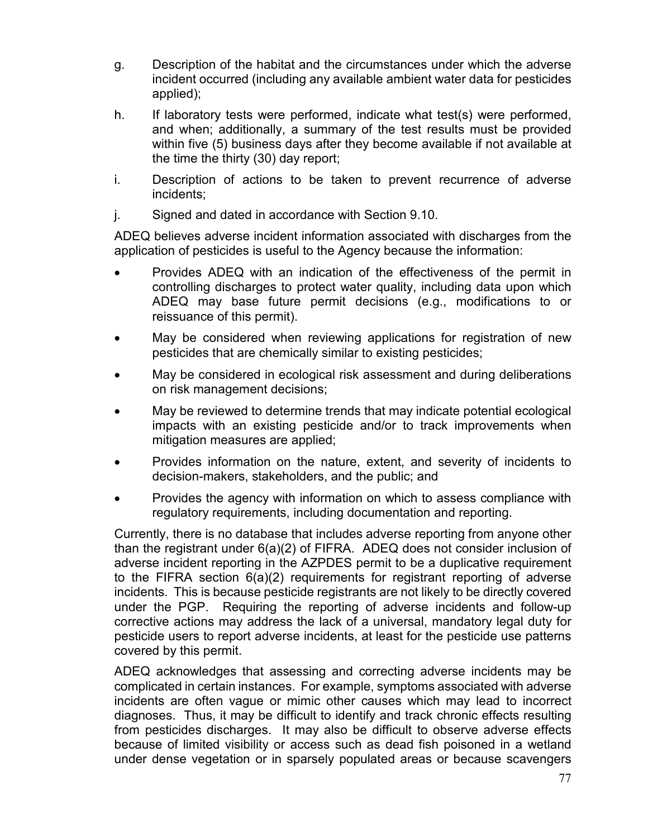- g. Description of the habitat and the circumstances under which the adverse incident occurred (including any available ambient water data for pesticides applied);
- h. If laboratory tests were performed, indicate what test(s) were performed, and when; additionally, a summary of the test results must be provided within five (5) business days after they become available if not available at the time the thirty (30) day report;
- i. Description of actions to be taken to prevent recurrence of adverse incidents;
- j. Signed and dated in accordance with Section 9.10.

ADEQ believes adverse incident information associated with discharges from the application of pesticides is useful to the Agency because the information:

- Provides ADEQ with an indication of the effectiveness of the permit in controlling discharges to protect water quality, including data upon which ADEQ may base future permit decisions (e.g., modifications to or reissuance of this permit).
- May be considered when reviewing applications for registration of new pesticides that are chemically similar to existing pesticides;
- May be considered in ecological risk assessment and during deliberations on risk management decisions;
- May be reviewed to determine trends that may indicate potential ecological impacts with an existing pesticide and/or to track improvements when mitigation measures are applied;
- Provides information on the nature, extent, and severity of incidents to decision-makers, stakeholders, and the public; and
- Provides the agency with information on which to assess compliance with regulatory requirements, including documentation and reporting.

Currently, there is no database that includes adverse reporting from anyone other than the registrant under 6(a)(2) of FIFRA. ADEQ does not consider inclusion of adverse incident reporting in the AZPDES permit to be a duplicative requirement to the FIFRA section 6(a)(2) requirements for registrant reporting of adverse incidents. This is because pesticide registrants are not likely to be directly covered under the PGP. Requiring the reporting of adverse incidents and follow-up corrective actions may address the lack of a universal, mandatory legal duty for pesticide users to report adverse incidents, at least for the pesticide use patterns covered by this permit.

ADEQ acknowledges that assessing and correcting adverse incidents may be complicated in certain instances. For example, symptoms associated with adverse incidents are often vague or mimic other causes which may lead to incorrect diagnoses. Thus, it may be difficult to identify and track chronic effects resulting from pesticides discharges. It may also be difficult to observe adverse effects because of limited visibility or access such as dead fish poisoned in a wetland under dense vegetation or in sparsely populated areas or because scavengers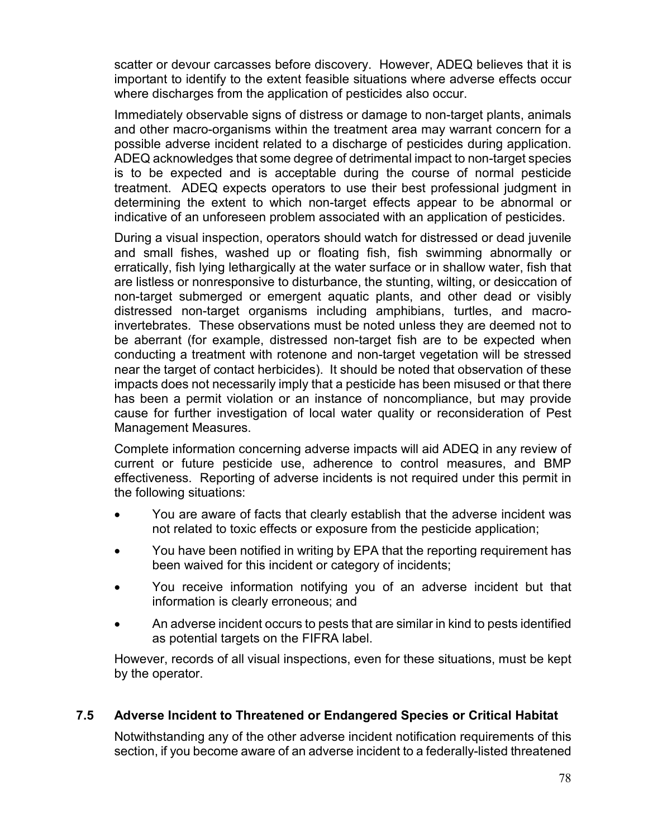scatter or devour carcasses before discovery. However, ADEQ believes that it is important to identify to the extent feasible situations where adverse effects occur where discharges from the application of pesticides also occur.

Immediately observable signs of distress or damage to non-target plants, animals and other macro-organisms within the treatment area may warrant concern for a possible adverse incident related to a discharge of pesticides during application. ADEQ acknowledges that some degree of detrimental impact to non-target species is to be expected and is acceptable during the course of normal pesticide treatment. ADEQ expects operators to use their best professional judgment in determining the extent to which non-target effects appear to be abnormal or indicative of an unforeseen problem associated with an application of pesticides.

During a visual inspection, operators should watch for distressed or dead juvenile and small fishes, washed up or floating fish, fish swimming abnormally or erratically, fish lying lethargically at the water surface or in shallow water, fish that are listless or nonresponsive to disturbance, the stunting, wilting, or desiccation of non-target submerged or emergent aquatic plants, and other dead or visibly distressed non-target organisms including amphibians, turtles, and macroinvertebrates. These observations must be noted unless they are deemed not to be aberrant (for example, distressed non-target fish are to be expected when conducting a treatment with rotenone and non-target vegetation will be stressed near the target of contact herbicides). It should be noted that observation of these impacts does not necessarily imply that a pesticide has been misused or that there has been a permit violation or an instance of noncompliance, but may provide cause for further investigation of local water quality or reconsideration of Pest Management Measures.

Complete information concerning adverse impacts will aid ADEQ in any review of current or future pesticide use, adherence to control measures, and BMP effectiveness. Reporting of adverse incidents is not required under this permit in the following situations:

- You are aware of facts that clearly establish that the adverse incident was not related to toxic effects or exposure from the pesticide application;
- You have been notified in writing by EPA that the reporting requirement has been waived for this incident or category of incidents;
- You receive information notifying you of an adverse incident but that information is clearly erroneous; and
- An adverse incident occurs to pests that are similar in kind to pests identified as potential targets on the FIFRA label.

However, records of all visual inspections, even for these situations, must be kept by the operator.

# **7.5 Adverse Incident to Threatened or Endangered Species or Critical Habitat**

Notwithstanding any of the other adverse incident notification requirements of this section, if you become aware of an adverse incident to a federally-listed threatened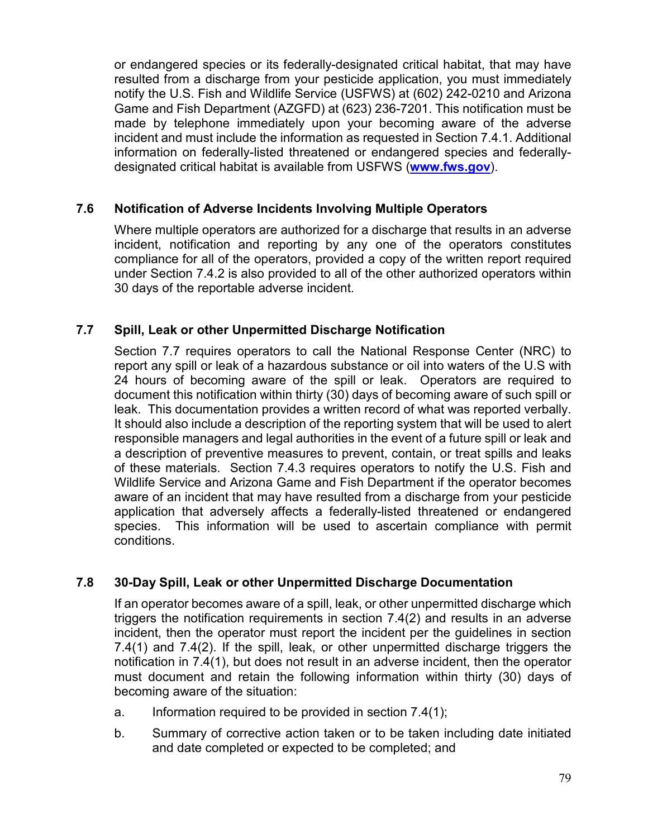or endangered species or its federally-designated critical habitat, that may have resulted from a discharge from your pesticide application, you must immediately notify the U.S. Fish and Wildlife Service (USFWS) at (602) 242-0210 and Arizona Game and Fish Department (AZGFD) at (623) 236-7201. This notification must be made by telephone immediately upon your becoming aware of the adverse incident and must include the information as requested in Section 7.4.1. Additional information on federally-listed threatened or endangered species and federallydesignated critical habitat is available from USFWS (**[www.fws.gov](http://www.fws.gov/)**).

# **7.6 Notification of Adverse Incidents Involving Multiple Operators**

Where multiple operators are authorized for a discharge that results in an adverse incident, notification and reporting by any one of the operators constitutes compliance for all of the operators, provided a copy of the written report required under Section 7.4.2 is also provided to all of the other authorized operators within 30 days of the reportable adverse incident.

# **7.7 Spill, Leak or other Unpermitted Discharge Notification**

Section 7.7 requires operators to call the National Response Center (NRC) to report any spill or leak of a hazardous substance or oil into waters of the U.S with 24 hours of becoming aware of the spill or leak. Operators are required to document this notification within thirty (30) days of becoming aware of such spill or leak. This documentation provides a written record of what was reported verbally. It should also include a description of the reporting system that will be used to alert responsible managers and legal authorities in the event of a future spill or leak and a description of preventive measures to prevent, contain, or treat spills and leaks of these materials. Section 7.4.3 requires operators to notify the U.S. Fish and Wildlife Service and Arizona Game and Fish Department if the operator becomes aware of an incident that may have resulted from a discharge from your pesticide application that adversely affects a federally-listed threatened or endangered species. This information will be used to ascertain compliance with permit conditions.

# **7.8 30-Day Spill, Leak or other Unpermitted Discharge Documentation**

If an operator becomes aware of a spill, leak, or other unpermitted discharge which triggers the notification requirements in section 7.4(2) and results in an adverse incident, then the operator must report the incident per the guidelines in section 7.4(1) and 7.4(2). If the spill, leak, or other unpermitted discharge triggers the notification in 7.4(1), but does not result in an adverse incident, then the operator must document and retain the following information within thirty (30) days of becoming aware of the situation:

- a. Information required to be provided in section 7.4(1);
- b. Summary of corrective action taken or to be taken including date initiated and date completed or expected to be completed; and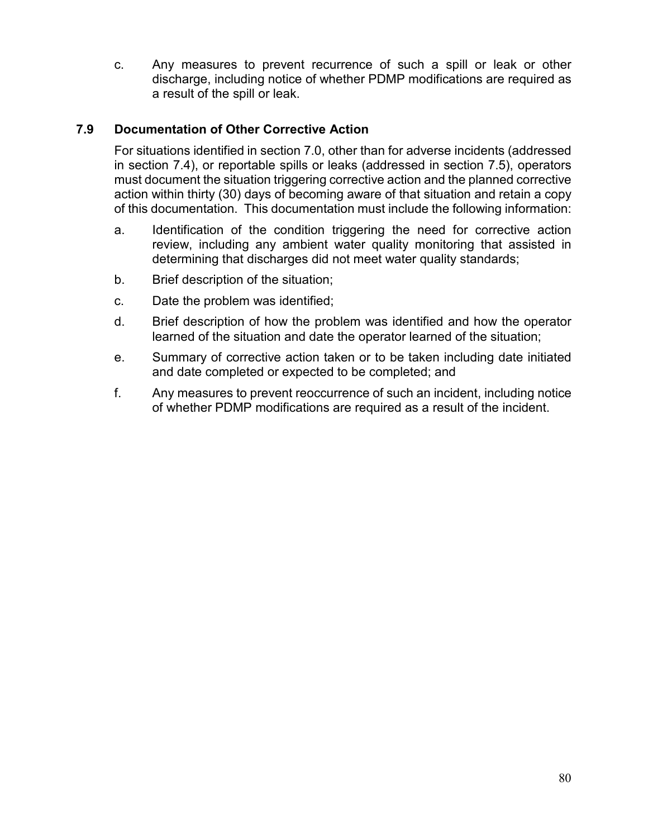c. Any measures to prevent recurrence of such a spill or leak or other discharge, including notice of whether PDMP modifications are required as a result of the spill or leak.

# **7.9 Documentation of Other Corrective Action**

For situations identified in section 7.0, other than for adverse incidents (addressed in section 7.4), or reportable spills or leaks (addressed in section 7.5), operators must document the situation triggering corrective action and the planned corrective action within thirty (30) days of becoming aware of that situation and retain a copy of this documentation. This documentation must include the following information:

- a. Identification of the condition triggering the need for corrective action review, including any ambient water quality monitoring that assisted in determining that discharges did not meet water quality standards;
- b. Brief description of the situation;
- c. Date the problem was identified;
- d. Brief description of how the problem was identified and how the operator learned of the situation and date the operator learned of the situation;
- e. Summary of corrective action taken or to be taken including date initiated and date completed or expected to be completed; and
- f. Any measures to prevent reoccurrence of such an incident, including notice of whether PDMP modifications are required as a result of the incident.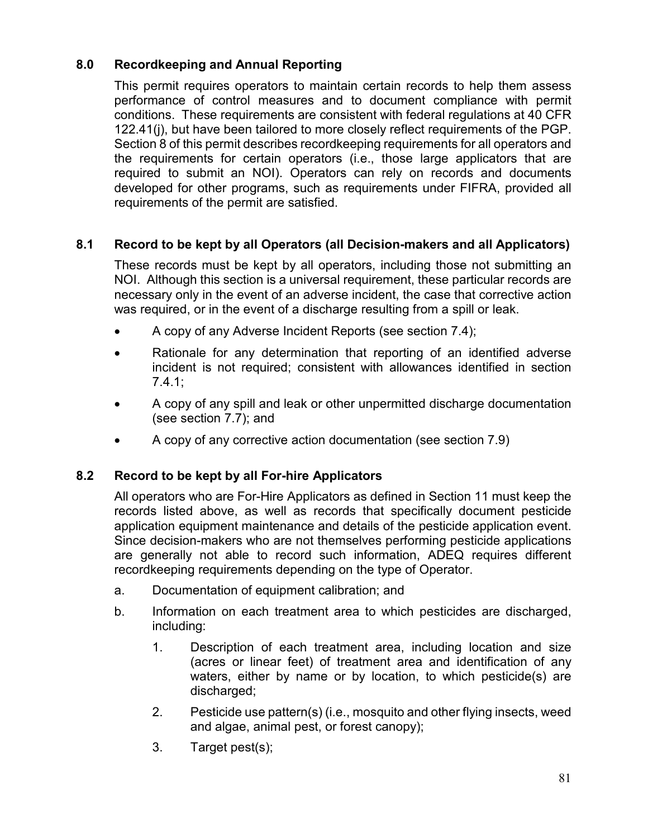# **8.0 Recordkeeping and Annual Reporting**

This permit requires operators to maintain certain records to help them assess performance of control measures and to document compliance with permit conditions. These requirements are consistent with federal regulations at 40 CFR 122.41(j), but have been tailored to more closely reflect requirements of the PGP. Section 8 of this permit describes recordkeeping requirements for all operators and the requirements for certain operators (i.e., those large applicators that are required to submit an NOI). Operators can rely on records and documents developed for other programs, such as requirements under FIFRA, provided all requirements of the permit are satisfied.

## **8.1 Record to be kept by all Operators (all Decision-makers and all Applicators)**

These records must be kept by all operators, including those not submitting an NOI. Although this section is a universal requirement, these particular records are necessary only in the event of an adverse incident, the case that corrective action was required, or in the event of a discharge resulting from a spill or leak.

- A copy of any Adverse Incident Reports (see section 7.4);
- Rationale for any determination that reporting of an identified adverse incident is not required; consistent with allowances identified in section 7.4.1;
- A copy of any spill and leak or other unpermitted discharge documentation (see section 7.7); and
- A copy of any corrective action documentation (see section 7.9)

# **8.2 Record to be kept by all For-hire Applicators**

All operators who are For-Hire Applicators as defined in Section 11 must keep the records listed above, as well as records that specifically document pesticide application equipment maintenance and details of the pesticide application event. Since decision-makers who are not themselves performing pesticide applications are generally not able to record such information, ADEQ requires different recordkeeping requirements depending on the type of Operator.

- a. Documentation of equipment calibration; and
- b. Information on each treatment area to which pesticides are discharged, including:
	- 1. Description of each treatment area, including location and size (acres or linear feet) of treatment area and identification of any waters, either by name or by location, to which pesticide(s) are discharged;
	- 2. Pesticide use pattern(s) (i.e., mosquito and other flying insects, weed and algae, animal pest, or forest canopy);
	- 3. Target pest(s);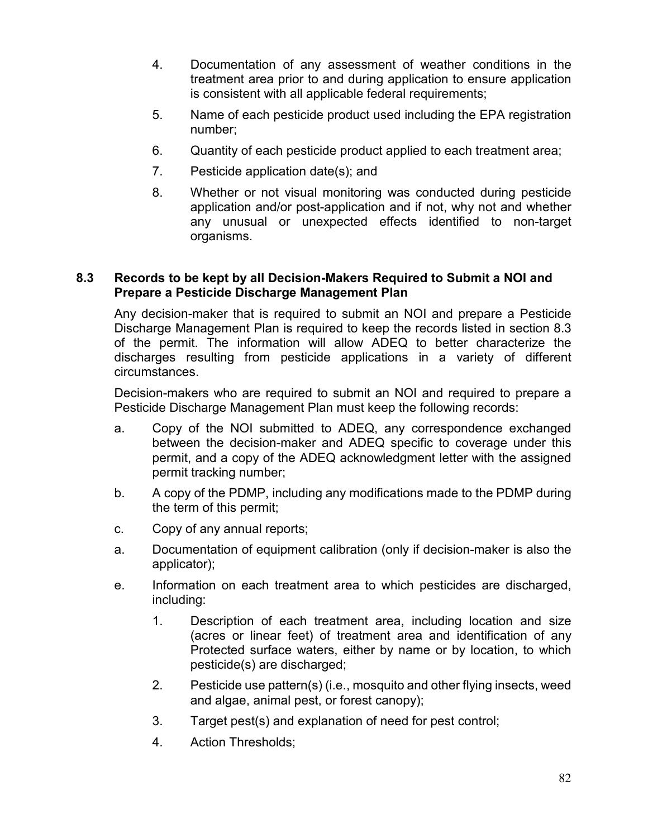- 4. Documentation of any assessment of weather conditions in the treatment area prior to and during application to ensure application is consistent with all applicable federal requirements;
- 5. Name of each pesticide product used including the EPA registration number;
- 6. Quantity of each pesticide product applied to each treatment area;
- 7. Pesticide application date(s); and
- 8. Whether or not visual monitoring was conducted during pesticide application and/or post-application and if not, why not and whether any unusual or unexpected effects identified to non-target organisms.

## **8.3 Records to be kept by all Decision-Makers Required to Submit a NOI and Prepare a Pesticide Discharge Management Plan**

Any decision-maker that is required to submit an NOI and prepare a Pesticide Discharge Management Plan is required to keep the records listed in section 8.3 of the permit. The information will allow ADEQ to better characterize the discharges resulting from pesticide applications in a variety of different circumstances.

Decision-makers who are required to submit an NOI and required to prepare a Pesticide Discharge Management Plan must keep the following records:

- a. Copy of the NOI submitted to ADEQ, any correspondence exchanged between the decision-maker and ADEQ specific to coverage under this permit, and a copy of the ADEQ acknowledgment letter with the assigned permit tracking number;
- b. A copy of the PDMP, including any modifications made to the PDMP during the term of this permit;
- c. Copy of any annual reports;
- a. Documentation of equipment calibration (only if decision-maker is also the applicator);
- e. Information on each treatment area to which pesticides are discharged, including:
	- 1. Description of each treatment area, including location and size (acres or linear feet) of treatment area and identification of any Protected surface waters, either by name or by location, to which pesticide(s) are discharged;
	- 2. Pesticide use pattern(s) (i.e., mosquito and other flying insects, weed and algae, animal pest, or forest canopy);
	- 3. Target pest(s) and explanation of need for pest control;
	- 4. Action Thresholds;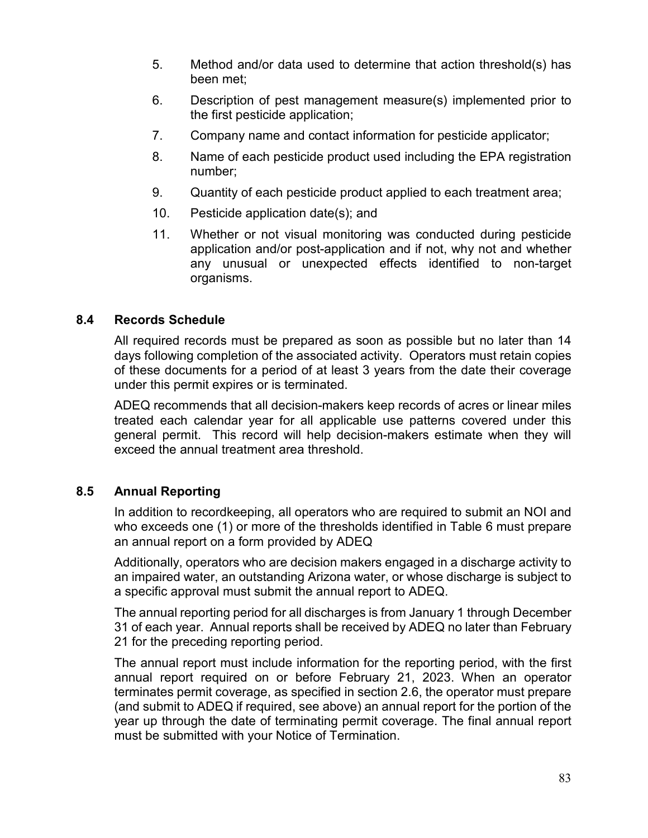- 5. Method and/or data used to determine that action threshold(s) has been met;
- 6. Description of pest management measure(s) implemented prior to the first pesticide application;
- 7. Company name and contact information for pesticide applicator;
- 8. Name of each pesticide product used including the EPA registration number;
- 9. Quantity of each pesticide product applied to each treatment area;
- 10. Pesticide application date(s); and
- 11. Whether or not visual monitoring was conducted during pesticide application and/or post-application and if not, why not and whether any unusual or unexpected effects identified to non-target organisms.

## **8.4 Records Schedule**

All required records must be prepared as soon as possible but no later than 14 days following completion of the associated activity. Operators must retain copies of these documents for a period of at least 3 years from the date their coverage under this permit expires or is terminated.

ADEQ recommends that all decision-makers keep records of acres or linear miles treated each calendar year for all applicable use patterns covered under this general permit. This record will help decision-makers estimate when they will exceed the annual treatment area threshold.

# **8.5 Annual Reporting**

In addition to recordkeeping, all operators who are required to submit an NOI and who exceeds one (1) or more of the thresholds identified in Table 6 must prepare an annual report on a form provided by ADEQ

Additionally, operators who are decision makers engaged in a discharge activity to an impaired water, an outstanding Arizona water, or whose discharge is subject to a specific approval must submit the annual report to ADEQ.

The annual reporting period for all discharges is from January 1 through December 31 of each year. Annual reports shall be received by ADEQ no later than February 21 for the preceding reporting period.

The annual report must include information for the reporting period, with the first annual report required on or before February 21, 2023. When an operator terminates permit coverage, as specified in section 2.6, the operator must prepare (and submit to ADEQ if required, see above) an annual report for the portion of the year up through the date of terminating permit coverage. The final annual report must be submitted with your Notice of Termination.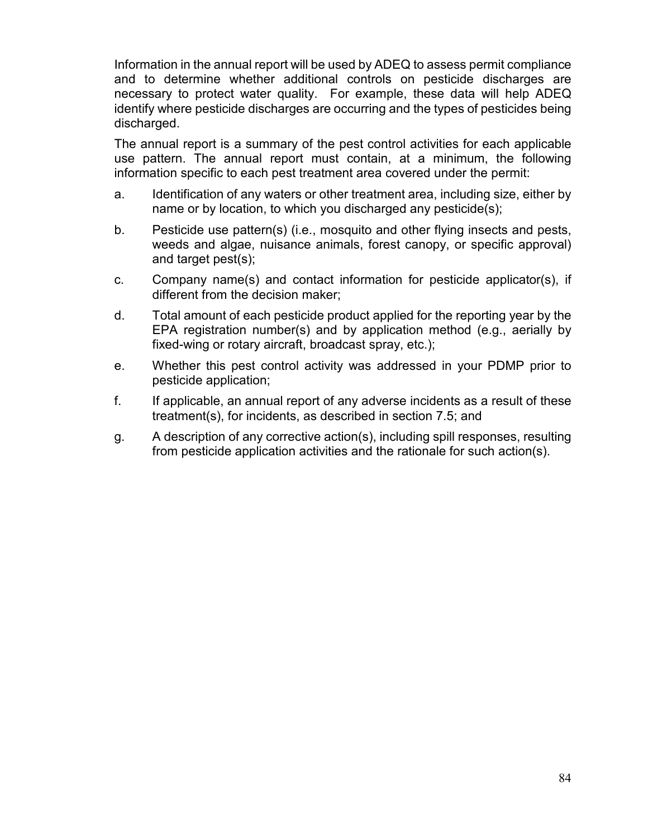Information in the annual report will be used by ADEQ to assess permit compliance and to determine whether additional controls on pesticide discharges are necessary to protect water quality. For example, these data will help ADEQ identify where pesticide discharges are occurring and the types of pesticides being discharged.

The annual report is a summary of the pest control activities for each applicable use pattern. The annual report must contain, at a minimum, the following information specific to each pest treatment area covered under the permit:

- a. Identification of any waters or other treatment area, including size, either by name or by location, to which you discharged any pesticide(s);
- b. Pesticide use pattern(s) (i.e., mosquito and other flying insects and pests, weeds and algae, nuisance animals, forest canopy, or specific approval) and target pest(s);
- c. Company name(s) and contact information for pesticide applicator(s), if different from the decision maker;
- d. Total amount of each pesticide product applied for the reporting year by the EPA registration number(s) and by application method (e.g., aerially by fixed-wing or rotary aircraft, broadcast spray, etc.);
- e. Whether this pest control activity was addressed in your PDMP prior to pesticide application;
- f. If applicable, an annual report of any adverse incidents as a result of these treatment(s), for incidents, as described in section 7.5; and
- g. A description of any corrective action(s), including spill responses, resulting from pesticide application activities and the rationale for such action(s).